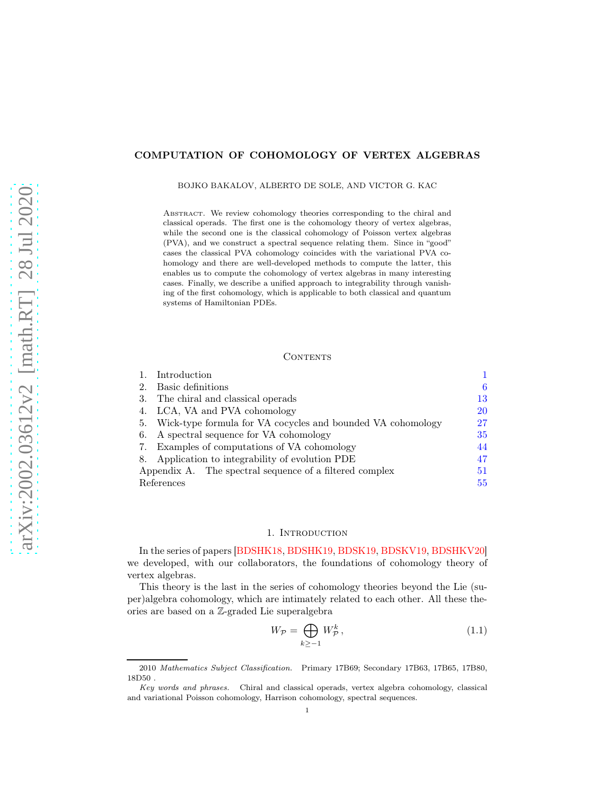# COMPUTATION OF COHOMOLOGY OF VERTEX ALGEBRAS

BOJKO BAKALOV, ALBERTO DE SOLE, AND VICTOR G. KAC

Abstract. We review cohomology theories corresponding to the chiral and classical operads. The first one is the cohomology theory of vertex algebras, while the second one is the classical cohomology of Poisson vertex algebras (PVA), and we construct a spectral sequence relating them. Since in "good" cases the classical PVA cohomology coincides with the variational PVA cohomology and there are well-developed methods to compute the latter, this enables us to compute the cohomology of vertex algebras in many interesting cases. Finally, we describe a unified approach to integrability through vanishing of the first cohomology, which is applicable to both classical and quantum systems of Hamiltonian PDEs.

#### CONTENTS

|                                                         | Introduction                                                   |    |
|---------------------------------------------------------|----------------------------------------------------------------|----|
|                                                         | Basic definitions                                              | 6  |
|                                                         | 3. The chiral and classical operads                            | 13 |
|                                                         | 4. LCA, VA and PVA cohomology                                  | 20 |
|                                                         | 5. Wick-type formula for VA cocycles and bounded VA cohomology | 27 |
| 6.                                                      | A spectral sequence for VA cohomology                          | 35 |
|                                                         | 7. Examples of computations of VA cohomology                   | 44 |
|                                                         | 8. Application to integrability of evolution PDE               | 47 |
| Appendix A. The spectral sequence of a filtered complex |                                                                | 51 |
| References                                              |                                                                | 55 |

# 1. INTRODUCTION

<span id="page-0-0"></span>In the series of papers [\[BDSHK18,](#page-54-1) [BDSHK19,](#page-54-2) [BDSK19,](#page-54-3) [BDSKV19,](#page-54-4) [BDSHKV20\]](#page-54-5) we developed, with our collaborators, the foundations of cohomology theory of vertex algebras.

This theory is the last in the series of cohomology theories beyond the Lie (super)algebra cohomology, which are intimately related to each other. All these theories are based on a Z-graded Lie superalgebra

<span id="page-0-1"></span>
$$
W_{\mathcal{P}} = \bigoplus_{k \ge -1} W_{\mathcal{P}}^k, \tag{1.1}
$$

<sup>2010</sup> Mathematics Subject Classification. Primary 17B69; Secondary 17B63, 17B65, 17B80, 18D50 .

Key words and phrases. Chiral and classical operads, vertex algebra cohomology, classical and variational Poisson cohomology, Harrison cohomology, spectral sequences.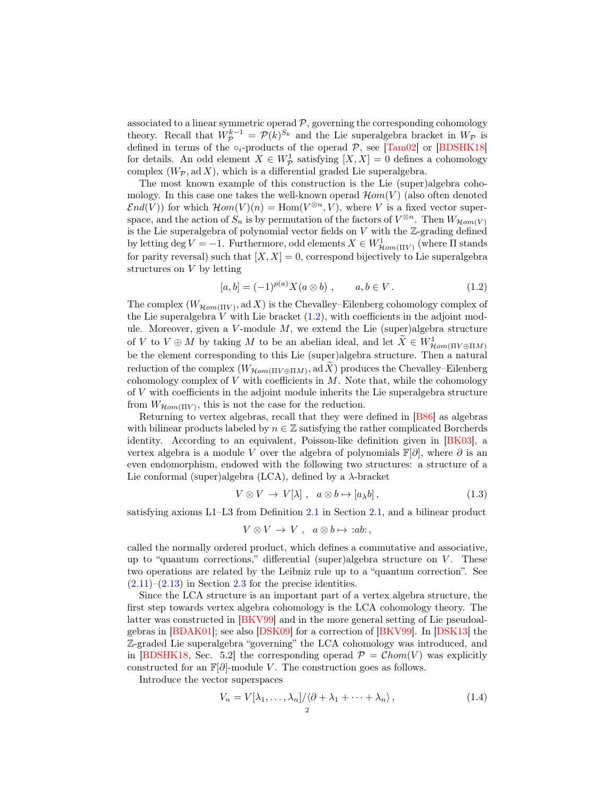associated to a linear symmetric operad  $P$ , governing the corresponding cohomology theory. Recall that  $W_{\mathcal{P}}^{k-1} = \mathcal{P}(k)^{S_k}$  and the Lie superalgebra bracket in  $W_{\mathcal{P}}$  is defined in terms of the  $\circ_i$ -products of the operad  $P$ , see [\[Tam02\]](#page-55-0) or [\[BDSHK18\]](#page-54-1) for details. An odd element  $X \in W_{\mathcal{P}}^1$  satisfying  $[X, X] = 0$  defines a cohomology complex  $(W_{\mathcal{P}}, \text{ad } X)$ , which is a differential graded Lie superalgebra.

The most known example of this construction is the Lie (super)algebra cohomology. In this case one takes the well-known operad  $\mathcal{H}om(V)$  (also often denoted  $\mathcal{E}nd(V)$ ) for which  $\mathcal{H}om(V)(n) = \text{Hom}(V^{\otimes n}, V)$ , where V is a fixed vector superspace, and the action of  $S_n$  is by permutation of the factors of  $V^{\otimes n}$ . Then  $W_{\mathcal{H}\text{om}(V)}$ is the Lie superalgebra of polynomial vector fields on  $V$  with the  $\mathbb Z$ -grading defined by letting deg  $V = -1$ . Furthermore, odd elements  $X \in W^1_{\mathcal{H}om(\Pi V)}$  (where  $\Pi$  stands for parity reversal) such that  $[X, X] = 0$ , correspond bijectively to Lie superalgebra structures on V by letting

<span id="page-1-0"></span>
$$
[a, b] = (-1)^{p(a)} X(a \otimes b) , \qquad a, b \in V . \tag{1.2}
$$

The complex  $(W_{\mathcal{H}\text{om}(\Pi V)}, \text{ad } X)$  is the Chevalley–Eilenberg cohomology complex of the Lie superalgebra V with Lie bracket  $(1.2)$ , with coefficients in the adjoint module. Moreover, given a  $V$ -module  $M$ , we extend the Lie (super)algebra structure of V to  $V \oplus M$  by taking M to be an abelian ideal, and let  $\tilde{X} \in W^1_{\mathcal{H}om(\Pi V \oplus \Pi M)}$ be the element corresponding to this Lie (super)algebra structure. Then a natural reduction of the complex  $(W_{\mathcal{H}\mathit{om}(\Pi V \oplus \Pi M)}, \mathrm{ad}\, X)$  produces the Chevalley–Eilenberg cohomology complex of  $V$  with coefficients in  $M$ . Note that, while the cohomology of V with coefficients in the adjoint module inherits the Lie superalgebra structure from  $W_{\mathcal{H}\text{om}(\Pi V)}$ , this is not the case for the reduction.

Returning to vertex algebras, recall that they were defined in [\[B86\]](#page-54-6) as algebras with bilinear products labeled by  $n \in \mathbb{Z}$  satisfying the rather complicated Borcherds identity. According to an equivalent, Poisson-like definition given in [\[BK03\]](#page-54-7), a vertex algebra is a module V over the algebra of polynomials  $\mathbb{F}[\partial]$ , where  $\partial$  is an even endomorphism, endowed with the following two structures: a structure of a Lie conformal (super)algebra (LCA), defined by a  $\lambda$ -bracket

$$
V \otimes V \to V[\lambda], \quad a \otimes b \mapsto [a_{\lambda}b], \tag{1.3}
$$

satisfying axioms L1–L3 from Definition [2.1](#page-5-1) in Section [2.1,](#page-5-2) and a bilinear product

$$
V \otimes V \to V \ , \ \ a \otimes b \mapsto :ab: ,
$$

called the normally ordered product, which defines a commutative and associative, up to "quantum corrections," differential (super)algebra structure on  $V$ . These two operations are related by the Leibniz rule up to a "quantum correction". See  $(2.11)$ – $(2.13)$  in Section [2.3](#page-8-2) for the precise identities.

Since the LCA structure is an important part of a vertex algebra structure, the first step towards vertex algebra cohomology is the LCA cohomology theory. The latter was constructed in [\[BKV99\]](#page-54-8) and in the more general setting of Lie pseudoalgebras in [\[BDAK01\]](#page-54-9); see also [\[DSK09\]](#page-54-10) for a correction of [\[BKV99\]](#page-54-8). In [\[DSK13\]](#page-55-1) the Z-graded Lie superalgebra "governing" the LCA cohomology was introduced, and in [\[BDSHK18,](#page-54-1) Sec. 5.2] the corresponding operad  $\mathcal{P} = \mathcal{C}hom(V)$  was explicitly constructed for an  $\mathbb{F}[\partial]$ -module V. The construction goes as follows.

Introduce the vector superspaces

<span id="page-1-1"></span>
$$
V_n = V[\lambda_1, \dots, \lambda_n] / \langle \partial + \lambda_1 + \dots + \lambda_n \rangle, \qquad (1.4)
$$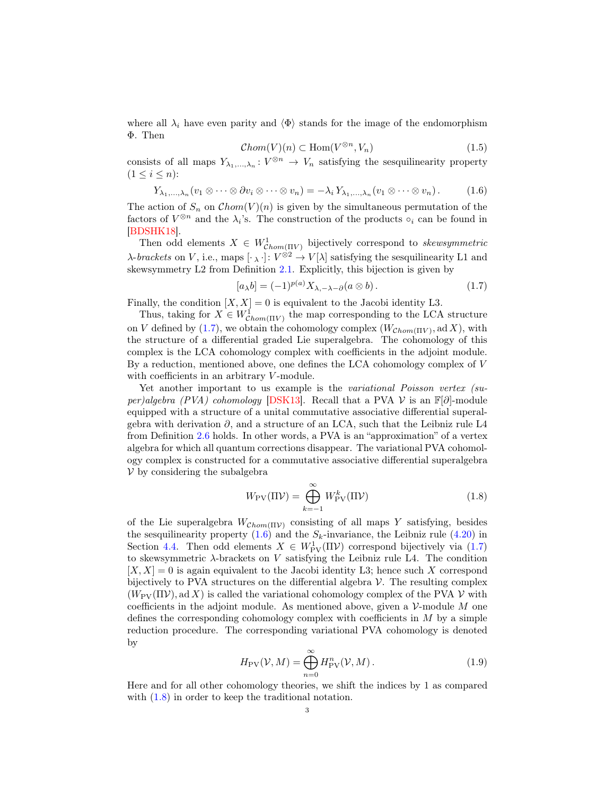where all  $\lambda_i$  have even parity and  $\langle \Phi \rangle$  stands for the image of the endomorphism Φ. Then

$$
\mathcal{C}hom(V)(n) \subset \text{Hom}(V^{\otimes n}, V_n) \tag{1.5}
$$

consists of all maps  $Y_{\lambda_1,\dots,\lambda_n}: V^{\otimes n} \to V_n$  satisfying the sesquilinearity property  $(1 \leq i \leq n)$ :

<span id="page-2-1"></span>
$$
Y_{\lambda_1,\ldots,\lambda_n}(v_1\otimes\cdots\otimes\partial v_i\otimes\cdots\otimes v_n)=-\lambda_i Y_{\lambda_1,\ldots,\lambda_n}(v_1\otimes\cdots\otimes v_n).
$$
 (1.6)

The action of  $S_n$  on  $Chom(V)(n)$  is given by the simultaneous permutation of the factors of  $V^{\otimes n}$  and the  $\lambda_i$ 's. The construction of the products  $\circ_i$  can be found in [\[BDSHK18\]](#page-54-1).

Then odd elements  $X \in W^1_{Chom(\Pi V)}$  bijectively correspond to skewsymmetric  $\lambda$ -brackets on V, i.e., maps  $[\cdot_{\lambda} \cdot] : V^{\otimes 2} \to V[\lambda]$  satisfying the sesquilinearity L1 and skewsymmetry L2 from Definition [2.1.](#page-5-1) Explicitly, this bijection is given by

<span id="page-2-0"></span>
$$
[a_{\lambda}b] = (-1)^{p(a)} X_{\lambda, -\lambda - \partial}(a \otimes b). \tag{1.7}
$$

Finally, the condition  $[X, X] = 0$  is equivalent to the Jacobi identity L3.

Thus, taking for  $X \in W^1_{Chom(\Pi V)}$  the map corresponding to the LCA structure on V defined by [\(1.7\)](#page-2-0), we obtain the cohomology complex  $(W_{Chom(\Pi V)}, \text{ad }X)$ , with the structure of a differential graded Lie superalgebra. The cohomology of this complex is the LCA cohomology complex with coefficients in the adjoint module. By a reduction, mentioned above, one defines the LCA cohomology complex of V with coefficients in an arbitrary  $V$ -module.

Yet another important to us example is the *variational Poisson vertex (su-*per)algebra (PVA) cohomology [\[DSK13\]](#page-55-1). Recall that a PVA  $\mathcal V$  is an  $\mathbb F[\partial]$ -module equipped with a structure of a unital commutative associative differential superalgebra with derivation  $\partial$ , and a structure of an LCA, such that the Leibniz rule L4 from Definition [2.6](#page-6-0) holds. In other words, a PVA is an "approximation" of a vertex algebra for which all quantum corrections disappear. The variational PVA cohomology complex is constructed for a commutative associative differential superalgebra  $V$  by considering the subalgebra

<span id="page-2-2"></span>
$$
W_{\rm PV}(\Pi \mathcal{V}) = \bigoplus_{k=-1}^{\infty} W_{\rm PV}^k(\Pi \mathcal{V})
$$
\n(1.8)

of the Lie superalgebra  $W_{Chom(\Pi V)}$  consisting of all maps Y satisfying, besides the sesquilinearity property  $(1.6)$  and the  $S_k$ -invariance, the Leibniz rule  $(4.20)$  in Section [4.4.](#page-24-0) Then odd elements  $X \in W^1_{\text{PV}}(\Pi \mathcal{V})$  correspond bijectively via [\(1.7\)](#page-2-0) to skewsymmetric  $\lambda$ -brackets on V satisfying the Leibniz rule L4. The condition  $[X, X] = 0$  is again equivalent to the Jacobi identity L3; hence such X correspond bijectively to PVA structures on the differential algebra  $\mathcal V$ . The resulting complex  $(W_{\text{PV}}(\Pi \mathcal{V}), \text{ad } X)$  is called the variational cohomology complex of the PVA  $\mathcal{V}$  with coefficients in the adjoint module. As mentioned above, given a  $\mathcal V$ -module M one defines the corresponding cohomology complex with coefficients in  $M$  by a simple reduction procedure. The corresponding variational PVA cohomology is denoted by

$$
H_{\rm PV}(\mathcal{V}, M) = \bigoplus_{n=0}^{\infty} H_{\rm PV}^n(\mathcal{V}, M). \tag{1.9}
$$

Here and for all other cohomology theories, we shift the indices by 1 as compared with  $(1.8)$  in order to keep the traditional notation.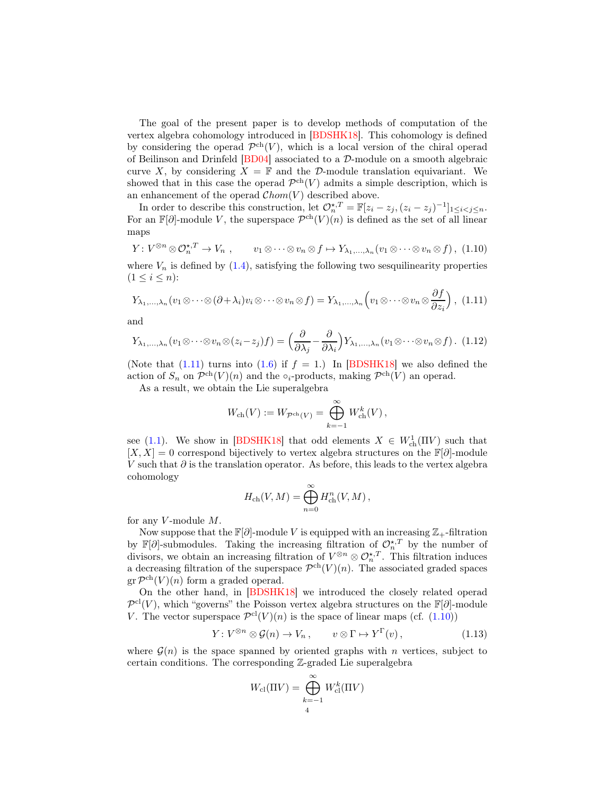The goal of the present paper is to develop methods of computation of the vertex algebra cohomology introduced in [\[BDSHK18\]](#page-54-1). This cohomology is defined by considering the operad  $\mathcal{P}^{ch}(V)$ , which is a local version of the chiral operad of Beilinson and Drinfeld [\[BD04\]](#page-54-11) associated to a D-module on a smooth algebraic curve X, by considering  $X = \mathbb{F}$  and the D-module translation equivariant. We showed that in this case the operad  $\mathcal{P}^{ch}(V)$  admits a simple description, which is an enhancement of the operad  $Chom(V)$  described above.

In order to describe this construction, let  $\mathcal{O}_n^{\star,T} = \mathbb{F}[z_i - z_j, (z_i - z_j)^{-1}]_{1 \leq i < j \leq n}$ . For an  $\mathbb{F}[\partial]$ -module V, the superspace  $\mathcal{P}^{ch}(V)(n)$  is defined as the set of all linear maps

<span id="page-3-1"></span>
$$
Y: V^{\otimes n} \otimes \mathcal{O}_n^{\star, T} \to V_n, \qquad v_1 \otimes \cdots \otimes v_n \otimes f \mapsto Y_{\lambda_1, \ldots, \lambda_n}(v_1 \otimes \cdots \otimes v_n \otimes f), \tag{1.10}
$$

where  $V_n$  is defined by  $(1.4)$ , satisfying the following two sesquilinearity properties  $(1 \le i \le n)$ :

<span id="page-3-0"></span>
$$
Y_{\lambda_1,\ldots,\lambda_n}(v_1\otimes\cdots\otimes(\partial+\lambda_i)v_i\otimes\cdots\otimes v_n\otimes f)=Y_{\lambda_1,\ldots,\lambda_n}\left(v_1\otimes\cdots\otimes v_n\otimes\frac{\partial f}{\partial z_i}\right), (1.11)
$$

and

$$
Y_{\lambda_1,\dots,\lambda_n}(v_1\otimes\cdots\otimes v_n\otimes(z_i-z_j)f) = \left(\frac{\partial}{\partial\lambda_j}-\frac{\partial}{\partial\lambda_i}\right)Y_{\lambda_1,\dots,\lambda_n}(v_1\otimes\cdots\otimes v_n\otimes f). \tag{1.12}
$$

(Note that [\(1.11\)](#page-3-0) turns into [\(1.6\)](#page-2-1) if  $f = 1$ .) In [\[BDSHK18\]](#page-54-1) we also defined the action of  $S_n$  on  $\mathcal{P}^{ch}(V)(n)$  and the ∘<sub>i</sub>-products, making  $\mathcal{P}^{ch}(V)$  an operad.

As a result, we obtain the Lie superalgebra

$$
W_{\text{ch}}(V) := W_{\mathcal{P}^{\text{ch}}(V)} = \bigoplus_{k=-1}^{\infty} W_{\text{ch}}^{k}(V),
$$

see [\(1.1\)](#page-0-1). We show in [\[BDSHK18\]](#page-54-1) that odd elements  $X \in W^1_{\text{ch}}(\Pi V)$  such that  $[X, X] = 0$  correspond bijectively to vertex algebra structures on the  $\mathbb{F}[\partial]$ -module V such that  $\partial$  is the translation operator. As before, this leads to the vertex algebra cohomology

$$
H_{\text{ch}}(V, M) = \bigoplus_{n=0}^{\infty} H_{\text{ch}}^n(V, M) ,
$$

for any  $V$ -module  $M$ .

Now suppose that the  $\mathbb{F}[\partial]$ -module V is equipped with an increasing  $\mathbb{Z}_+$ -filtration by  $\mathbb{F}[\partial]$ -submodules. Taking the increasing filtration of  $\mathcal{O}_n^{\star,T}$  by the number of divisors, we obtain an increasing filtration of  $V^{\otimes n} \otimes \mathcal{O}_n^{\star,T}$ . This filtration induces a decreasing filtration of the superspace  $\mathcal{P}^{ch}(V)(n)$ . The associated graded spaces  $gr \mathcal{P}^{ch}(V)(n)$  form a graded operad.

On the other hand, in [\[BDSHK18\]](#page-54-1) we introduced the closely related operad  $\mathcal{P}^{cl}(V)$ , which "governs" the Poisson vertex algebra structures on the  $\mathbb{F}[\partial]$ -module V. The vector superspace  $\mathcal{P}^{\text{cl}}(V)(n)$  is the space of linear maps (cf. [\(1.10\)](#page-3-1))

$$
Y: V^{\otimes n} \otimes \mathcal{G}(n) \to V_n, \qquad v \otimes \Gamma \mapsto Y^{\Gamma}(v), \qquad (1.13)
$$

where  $\mathcal{G}(n)$  is the space spanned by oriented graphs with n vertices, subject to certain conditions. The corresponding Z-graded Lie superalgebra

$$
W_{\text{cl}}(\Pi V) = \bigoplus_{k=-1}^{\infty} W_{\text{cl}}^k(\Pi V)
$$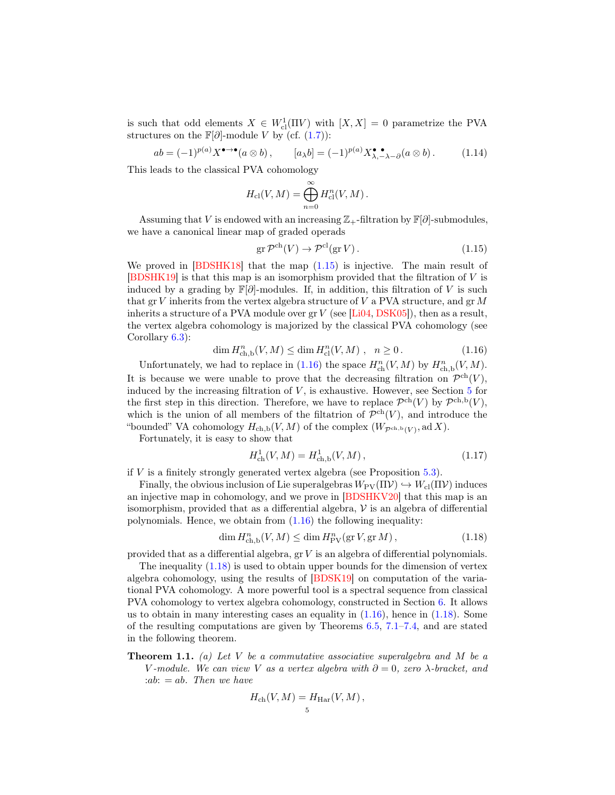is such that odd elements  $X \in W^1_{\text{cl}}(\Pi V)$  with  $[X, X] = 0$  parametrize the PVA structures on the  $\mathbb{F}[\partial]$ -module V by (cf. [\(1.7\)](#page-2-0)):

$$
ab = (-1)^{p(a)} X^{\bullet \to \bullet}(a \otimes b), \qquad [a_{\lambda}b] = (-1)^{p(a)} X^{\bullet \bullet}_{\lambda, -\lambda - \partial}(a \otimes b). \tag{1.14}
$$

This leads to the classical PVA cohomology

$$
H_{\text{cl}}(V, M) = \bigoplus_{n=0}^{\infty} H_{\text{cl}}^n(V, M) .
$$

Assuming that V is endowed with an increasing  $\mathbb{Z}_+$ -filtration by  $\mathbb{F}[\partial]$ -submodules, we have a canonical linear map of graded operads

<span id="page-4-0"></span>
$$
\operatorname{gr} \mathcal{P}^{\mathrm{ch}}(V) \to \mathcal{P}^{\mathrm{cl}}(\operatorname{gr} V). \tag{1.15}
$$

We proved in  $[BDSHK18]$  that the map  $(1.15)$  is injective. The main result of [\[BDSHK19\]](#page-54-2) is that this map is an isomorphism provided that the filtration of V is induced by a grading by  $\mathbb{F}[\partial]$ -modules. If, in addition, this filtration of V is such that gr V inherits from the vertex algebra structure of V a PVA structure, and gr  $M$ inherits a structure of a PVA module over  $gr V$  (see [\[Li04,](#page-55-2) [DSK05\]](#page-54-12)), then as a result, the vertex algebra cohomology is majorized by the classical PVA cohomology (see Corollary [6.3\)](#page-35-0):

<span id="page-4-1"></span>
$$
\dim H^{n}_{\mathrm{ch},\mathrm{b}}(V,M) \le \dim H^{n}_{\mathrm{cl}}(V,M) , \quad n \ge 0.
$$
 (1.16)

Unfortunately, we had to replace in [\(1.16\)](#page-4-1) the space  $H_{\text{ch}}^n(V, M)$  by  $H_{\text{ch},b}^n(V, M)$ . It is because we were unable to prove that the decreasing filtration on  $\mathcal{P}^{ch}(V)$ , induced by the increasing filtration of  $V$ , is exhaustive. However, see Section  $5$  for the first step in this direction. Therefore, we have to replace  $\mathcal{P}^{ch}(V)$  by  $\mathcal{P}^{ch,b}(V)$ , which is the union of all members of the filtatrion of  $\mathcal{P}^{ch}(V)$ , and introduce the "bounded" VA cohomology  $H_{ch,b}(V, M)$  of the complex  $(W_{\mathcal{P}^{ch,b}(V)}, \mathrm{ad}\,X)$ .

Fortunately, it is easy to show that

$$
H_{\rm ch}^1(V, M) = H_{\rm ch,b}^1(V, M) \,, \tag{1.17}
$$

if  $V$  is a finitely strongly generated vertex algebra (see Proposition 5.3).

Finally, the obvious inclusion of Lie superalgebras  $W_{\text{PV}}(\Pi \mathcal{V}) \hookrightarrow W_{\text{cl}}(\Pi \mathcal{V})$  induces an injective map in cohomology, and we prove in [\[BDSHKV20\]](#page-54-5) that this map is an isomorphism, provided that as a differential algebra,  $\nu$  is an algebra of differential polynomials. Hence, we obtain from  $(1.16)$  the following inequality:

<span id="page-4-2"></span>
$$
\dim H^n_{\mathrm{ch},\mathrm{b}}(V,M) \le \dim H^n_{\mathrm{PV}}(\mathrm{gr}\,V,\mathrm{gr}\,M)\,,\tag{1.18}
$$

provided that as a differential algebra,  $gr V$  is an algebra of differential polynomials.

The inequality [\(1.18\)](#page-4-2) is used to obtain upper bounds for the dimension of vertex algebra cohomology, using the results of [\[BDSK19\]](#page-54-3) on computation of the variational PVA cohomology. A more powerful tool is a spectral sequence from classical PVA cohomology to vertex algebra cohomology, constructed in Section [6.](#page-34-0) It allows us to obtain in many interesting cases an equality in  $(1.16)$ , hence in  $(1.18)$ . Some of the resulting computations are given by Theorems [6.5,](#page-36-0) [7.1](#page-43-1)[–7.4,](#page-45-0) and are stated in the following theorem.

**Theorem 1.1.** (a) Let V be a commutative associative superalgebra and M be a V-module. We can view V as a vertex algebra with  $\partial = 0$ , zero  $\lambda$ -bracket, and :ab:  $=$  ab. Then we have

$$
H_{\rm ch}(V, M) = H_{\rm Har}(V, M) ,
$$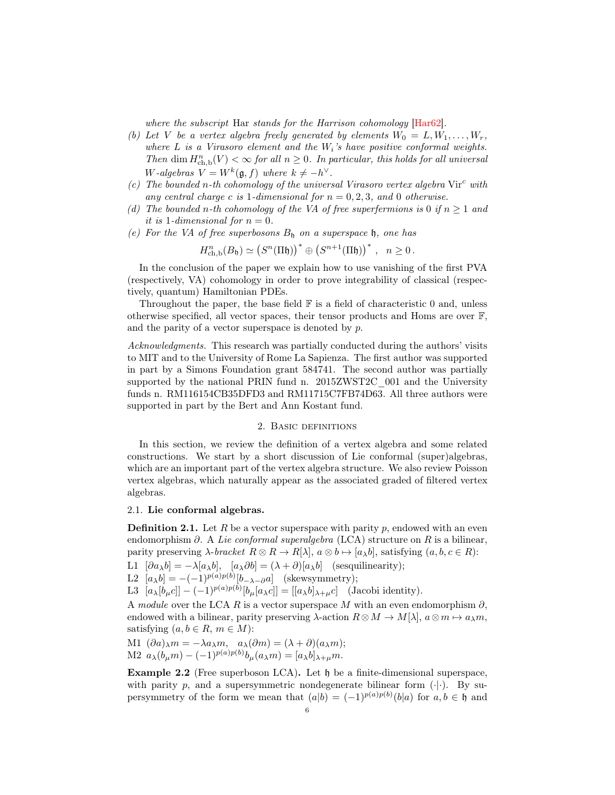where the subscript Har stands for the Harrison cohomology [\[Har62\]](#page-55-3).

- (b) Let V be a vertex algebra freely generated by elements  $W_0 = L, W_1, \ldots, W_r$ , where  $L$  is a Virasoro element and the  $W_i$ 's have positive conformal weights. Then dim  $H^n_{\text{ch},\text{b}}(V) < \infty$  for all  $n \geq 0$ . In particular, this holds for all universal W-algebras  $V = W^k(\mathfrak{g}, f)$  where  $k \neq -h^{\vee}$ .
- (c) The bounded n-th cohomology of the universal Virasoro vertex algebra  $Vir^c$  with any central charge c is 1-dimensional for  $n = 0, 2, 3$ , and 0 otherwise.
- (d) The bounded n-th cohomology of the VA of free superfermions is 0 if  $n \geq 1$  and it is 1-dimensional for  $n = 0$ .
- (e) For the VA of free superbosons  $B<sub>h</sub>$  on a superspace h, one has

$$
H^n_{\mathrm{ch,b}}(B_{\mathfrak{h}}) \simeq \left(S^n(\Pi \mathfrak{h})\right)^* \oplus \left(S^{n+1}(\Pi \mathfrak{h})\right)^*, \quad n \ge 0.
$$

In the conclusion of the paper we explain how to use vanishing of the first PVA (respectively, VA) cohomology in order to prove integrability of classical (respectively, quantum) Hamiltonian PDEs.

Throughout the paper, the base field  $\mathbb F$  is a field of characteristic 0 and, unless otherwise specified, all vector spaces, their tensor products and Homs are over  $\mathbb{F}$ , and the parity of a vector superspace is denoted by p.

Acknowledgments. This research was partially conducted during the authors' visits to MIT and to the University of Rome La Sapienza. The first author was supported in part by a Simons Foundation grant 584741. The second author was partially supported by the national PRIN fund n. 2015ZWST2C\_001 and the University funds n. RM116154CB35DFD3 and RM11715C7FB74D63. All three authors were supported in part by the Bert and Ann Kostant fund.

## 2. Basic definitions

<span id="page-5-0"></span>In this section, we review the definition of a vertex algebra and some related constructions. We start by a short discussion of Lie conformal (super)algebras, which are an important part of the vertex algebra structure. We also review Poisson vertex algebras, which naturally appear as the associated graded of filtered vertex algebras.

#### <span id="page-5-2"></span>2.1. Lie conformal algebras.

<span id="page-5-1"></span>**Definition 2.1.** Let R be a vector superspace with parity p, endowed with an even endomorphism  $\partial$ . A Lie conformal superalgebra (LCA) structure on R is a bilinear, parity preserving  $\lambda$ -bracket  $R \otimes R \to R[\lambda], a \otimes b \mapsto [a_{\lambda}b],$  satisfying  $(a, b, c \in R)$ :

L1  $[\partial a_{\lambda}b] = -\lambda [a_{\lambda}b], [a_{\lambda}\partial b] = (\lambda + \partial)[a_{\lambda}b]$  (sesquilinearity);

L2  $[a_{\lambda}b] = -(-1)^{p(a)p(b)}[b_{-\lambda-\partial}a]$  (skewsymmetry);

L3  $[a_\lambda[b_\mu c]] - (-1)^{p(a)p(b)}[b_\mu[a_\lambda c]] = [[a_\lambda b]_{\lambda+\mu}c]$  (Jacobi identity).

A module over the LCA R is a vector superspace M with an even endomorphism  $\partial$ , endowed with a bilinear, parity preserving  $\lambda$ -action  $R \otimes M \to M[\lambda], a \otimes m \mapsto a_{\lambda}m$ , satisfying  $(a, b \in R, m \in M)$ :

M1 
$$
(\partial a)_{\lambda} m = -\lambda a_{\lambda} m
$$
,  $a_{\lambda} (\partial m) = (\lambda + \partial) (a_{\lambda} m)$ ;  
M2  $a_{\lambda} (b_{\mu} m) - (-1)^{p(a)p(b)} b_{\mu} (a_{\lambda} m) = [a_{\lambda} b]_{\lambda + \mu} m$ .

<span id="page-5-3"></span>Example 2.2 (Free superboson LCA). Let  $\mathfrak h$  be a finite-dimensional superspace, with parity p, and a supersymmetric nondegenerate bilinear form  $(\cdot|\cdot)$ . By supersymmetry of the form we mean that  $(a|b) = (-1)^{p(a)p(b)}(b|a)$  for  $a, b \in \mathfrak{h}$  and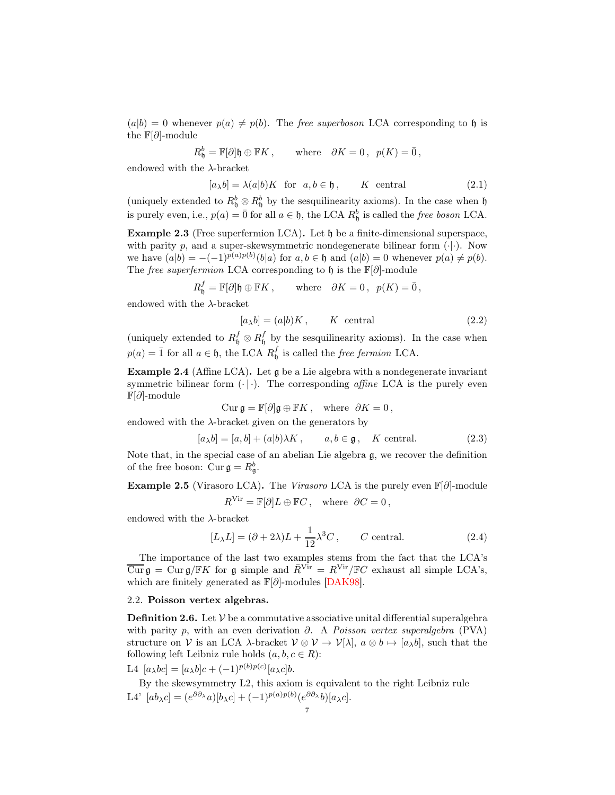$(a|b) = 0$  whenever  $p(a) \neq p(b)$ . The *free superboson* LCA corresponding to h is the  $\mathbb{F}[\partial]$ -module

$$
R_{{\mathfrak h}}^b = {\mathbb F}[\partial]{\mathfrak h} \oplus {\mathbb F} K\,, \qquad {\rm where} \quad \partial K = 0\,, \;\; p(K) = \bar 0\,,
$$

endowed with the  $\lambda$ -bracket

<span id="page-6-5"></span>
$$
[a_{\lambda}b] = \lambda(a|b)K \text{ for } a, b \in \mathfrak{h}, \qquad K \text{ central}
$$
 (2.1)

(uniquely extended to  $R_5^b \otimes R_5^b$  by the sesquilinearity axioms). In the case when h is purely even, i.e.,  $p(a) = \overline{0}$  for all  $a \in \mathfrak{h}$ , the LCA  $R_{\mathfrak{h}}^b$  is called the *free boson* LCA.

<span id="page-6-3"></span>Example 2.3 (Free superfermion LCA). Let h be a finite-dimensional superspace, with parity p, and a super-skewsymmetric nondegenerate bilinear form  $(\cdot|\cdot)$ . Now we have  $(a|b) = -(-1)^{p(a)p(b)}(b|a)$  for  $a, b \in \mathfrak{h}$  and  $(a|b) = 0$  whenever  $p(a) \neq p(b)$ . The free superfermion LCA corresponding to  $\mathfrak{h}$  is the  $\mathbb{F}[\partial]$ -module

$$
R_{\mathfrak{h}}^{f} = \mathbb{F}[\partial] \mathfrak{h} \oplus \mathbb{F}K, \quad \text{where} \quad \partial K = 0, \ \ p(K) = \bar{0},
$$

endowed with the  $\lambda$ -bracket

<span id="page-6-4"></span>
$$
[a_{\lambda}b] = (a|b)K, \qquad K \text{ central}
$$
 (2.2)

(uniquely extended to  $R_5^f \otimes R_5^f$  by the sesquilinearity axioms). In the case when  $p(a) = \overline{1}$  for all  $a \in \mathfrak{h}$ , the LCA  $R_0^f$  is called the *free fermion* LCA.

<span id="page-6-6"></span>Example 2.4 (Affine LCA). Let g be a Lie algebra with a nondegenerate invariant symmetric bilinear form  $(\cdot | \cdot)$ . The corresponding *affine* LCA is the purely even F[∂]-module

$$
\operatorname{Cur} \mathfrak{g} = \mathbb{F}[\partial] \mathfrak{g} \oplus \mathbb{F}K \,, \quad \text{where} \ \partial K = 0 \,,
$$

endowed with the  $\lambda$ -bracket given on the generators by

<span id="page-6-7"></span>
$$
[a_{\lambda}b] = [a, b] + (a|b)\lambda K, \qquad a, b \in \mathfrak{g}, \quad K \text{ central.} \tag{2.3}
$$

Note that, in the special case of an abelian Lie algebra  $\mathfrak{g}$ , we recover the definition of the free boson:  $Cur\mathfrak{g}=R_{\mathfrak{g}}^{b}$ .

<span id="page-6-2"></span>Example 2.5 (Virasoro LCA). The Virasoro LCA is the purely even  $\mathbb{F}[\partial]$ -module  $R^{\text{Vir}} = \mathbb{F}[\partial]L \oplus \mathbb{F}C$ , where  $\partial C = 0$ ,

endowed with the  $\lambda$ -bracket

$$
[L_{\lambda}L] = (\partial + 2\lambda)L + \frac{1}{12}\lambda^3 C, \qquad C \text{ central.} \tag{2.4}
$$

The importance of the last two examples stems from the fact that the LCA's  $\overline{\mathrm{Cur}}\,\mathfrak{g} = \mathrm{Cur}\,\mathfrak{g}/\mathbb{F}K$  for  $\mathfrak{g}$  simple and  $\overline{R}^{\mathrm{Vir}} = R^{\mathrm{Vir}}/\mathbb{F}C$  exhaust all simple LCA's, which are finitely generated as  $\mathbb{F}[\partial]$ -modules [\[DAK98\]](#page-54-13).

#### <span id="page-6-1"></span>2.2. Poisson vertex algebras.

<span id="page-6-0"></span>**Definition 2.6.** Let  $V$  be a commutative associative unital differential superalgebra with parity p, with an even derivation  $\partial$ . A Poisson vertex superalgebra (PVA) structure on V is an LCA  $\lambda$ -bracket  $V \otimes V \to V[\lambda], a \otimes b \mapsto [a_{\lambda}b],$  such that the following left Leibniz rule holds  $(a, b, c \in R)$ :

L4  $[a_{\lambda}bc] = [a_{\lambda}b]c + (-1)^{p(b)p(c)}[a_{\lambda}c]b.$ 

By the skewsymmetry L2, this axiom is equivalent to the right Leibniz rule L4'  $[ab_{\lambda}c] = (e^{\partial \partial_{\lambda}}a)[b_{\lambda}c] + (-1)^{p(a)p(b)}(e^{\partial \partial_{\lambda}}b)[a_{\lambda}c].$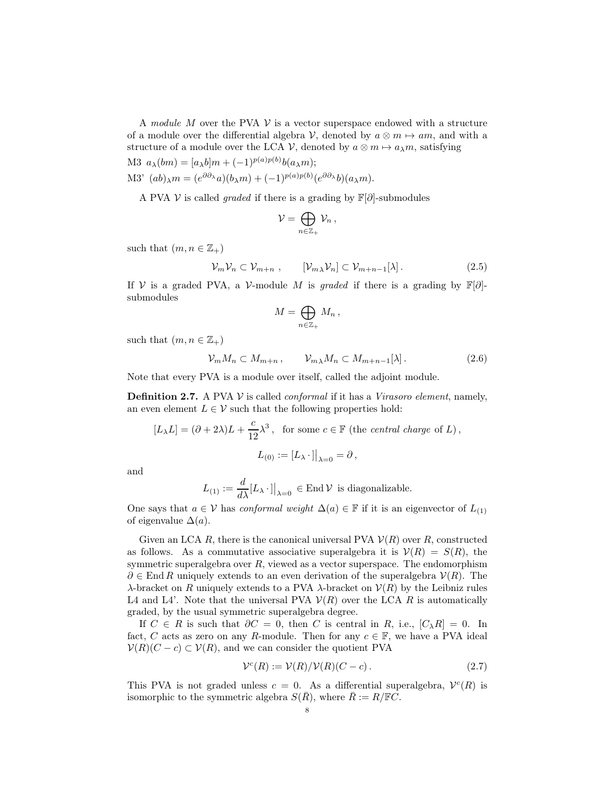A module M over the PVA  $\mathcal V$  is a vector superspace endowed with a structure of a module over the differential algebra V, denoted by  $a \otimes m \mapsto am$ , and with a structure of a module over the LCA V, denoted by  $a \otimes m \mapsto a_{\lambda}m$ , satisfying

$$
\text{M3 } a_{\lambda}(bm) = [a_{\lambda}b]m + (-1)^{p(a)p(b)}b(a_{\lambda}m);
$$

M3'  $(ab)_{\lambda}m = (e^{\partial \partial_{\lambda}}a)(b_{\lambda}m) + (-1)^{p(a)p(b)}(e^{\partial \partial_{\lambda}}b)(a_{\lambda}m).$ 

A PVA V is called *graded* if there is a grading by  $\mathbb{F}[\partial]$ -submodules

$$
\mathcal{V}=\bigoplus_{n\in\mathbb{Z}_+}\mathcal{V}_n\,,
$$

such that  $(m, n \in \mathbb{Z}_+)$ 

$$
\mathcal{V}_m \mathcal{V}_n \subset \mathcal{V}_{m+n} \;, \qquad [\mathcal{V}_m \lambda \mathcal{V}_n] \subset \mathcal{V}_{m+n-1}[\lambda] \,.
$$

If V is a graded PVA, a V-module M is graded if there is a grading by  $\mathbb{F}[\partial]$ submodules

$$
M=\bigoplus_{n\in\mathbb{Z}_+}M_n\,,
$$

such that  $(m, n \in \mathbb{Z}_+)$ 

$$
\mathcal{V}_m M_n \subset M_{m+n}, \qquad \mathcal{V}_{m,\lambda} M_n \subset M_{m+n-1}[\lambda]. \tag{2.6}
$$

Note that every PVA is a module over itself, called the adjoint module.

<span id="page-7-0"></span>**Definition 2.7.** A PVA  $V$  is called *conformal* if it has a *Virasoro element*, namely, an even element  $L \in \mathcal{V}$  such that the following properties hold:

$$
[L_{\lambda}L]=(\partial+2\lambda)L+\frac{c}{12}\lambda^3\,,\ \text{ for some }c\in\mathbb{F}\text{ (the central charge of }L)\,,
$$
 
$$
L_{(0)}:=\left[L_{\lambda}\,\cdot\,\right]\big|_{\lambda=0}=\partial\,,
$$

and

$$
L_{(1)} := \frac{d}{d\lambda} [L_{\lambda} \cdot ||_{\lambda=0} \in \text{End } \mathcal{V} \text{ is diagonalizable.}
$$

One says that  $a \in V$  has *conformal weight*  $\Delta(a) \in \mathbb{F}$  if it is an eigenvector of  $L_{(1)}$ of eigenvalue  $\Delta(a)$ .

Given an LCA R, there is the canonical universal PVA  $\mathcal{V}(R)$  over R, constructed as follows. As a commutative associative superalgebra it is  $V(R) = S(R)$ , the symmetric superalgebra over R, viewed as a vector superspace. The endomorphism  $\partial \in \text{End } R$  uniquely extends to an even derivation of the superalgebra  $\mathcal{V}(R)$ . The λ-bracket on R uniquely extends to a PVA λ-bracket on V(R) by the Leibniz rules L4 and L4'. Note that the universal PVA  $\mathcal{V}(R)$  over the LCA R is automatically graded, by the usual symmetric superalgebra degree.

If  $C \in R$  is such that  $\partial C = 0$ , then C is central in R, i.e.,  $[C_{\lambda}R] = 0$ . In fact, C acts as zero on any R-module. Then for any  $c \in \mathbb{F}$ , we have a PVA ideal  $V(R)(C - c) \subset V(R)$ , and we can consider the quotient PVA

<span id="page-7-1"></span>
$$
\mathcal{V}^c(R) := \mathcal{V}(R)/\mathcal{V}(R)(C - c). \tag{2.7}
$$

This PVA is not graded unless  $c = 0$ . As a differential superalgebra,  $V^{c}(R)$  is isomorphic to the symmetric algebra  $S(\overline{R})$ , where  $\overline{R} := R/\mathbb{F}C$ .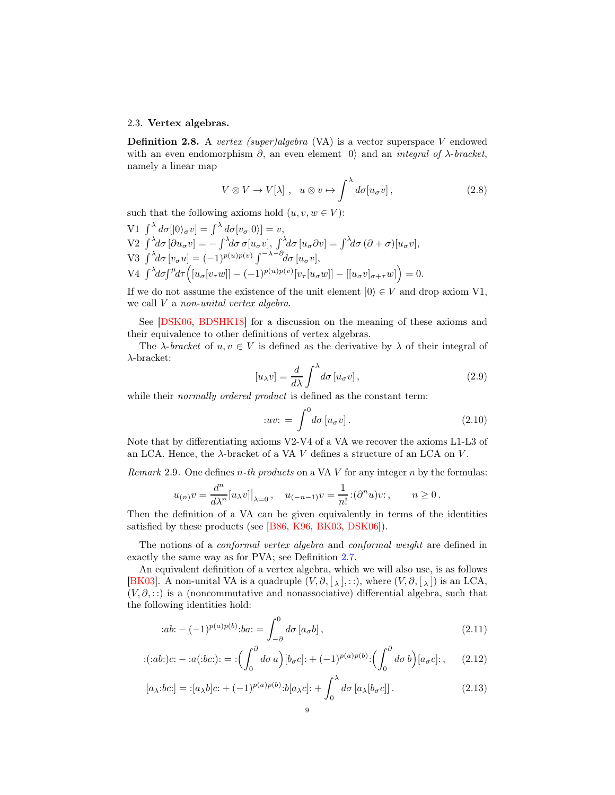### <span id="page-8-2"></span>2.3. Vertex algebras.

**Definition 2.8.** A vertex (super)algebra (VA) is a vector superspace V endowed with an even endomorphism  $\partial$ , an even element  $|0\rangle$  and an *integral of*  $\lambda$ -bracket, namely a linear map

<span id="page-8-4"></span>
$$
V \otimes V \to V[\lambda], \quad u \otimes v \mapsto \int^{\lambda} d\sigma [u_{\sigma}v], \tag{2.8}
$$

such that the following axioms hold  $(u, v, w \in V)$ :

V1 
$$
\int^{\lambda} d\sigma [|0\rangle_{\sigma} v] = \int^{\lambda} d\sigma [v_{\sigma} |0\rangle] = v
$$
,  
\nV2  $\int^{\lambda} d\sigma [\partial u_{\sigma} v] = -\int^{\lambda} d\sigma \sigma [u_{\sigma} v], \int^{\lambda} d\sigma [u_{\sigma} \partial v] = \int^{\lambda} d\sigma (\partial + \sigma) [u_{\sigma} v],$   
\nV3  $\int^{\lambda} d\sigma [v_{\sigma} u] = (-1)^{p(u)p(v)} \int^{-\lambda - \partial} d\sigma [u_{\sigma} v],$   
\nV4  $\int^{\lambda} d\sigma \int^{\mu} d\tau \Big( [u_{\sigma} [v_{\tau} w]] - (-1)^{p(u)p(v)} [v_{\tau} [u_{\sigma} w]] - [[u_{\sigma} v]_{\sigma + \tau} w] \Big) = 0.$ 

If we do not assume the existence of the unit element  $|0\rangle \in V$  and drop axiom V1, we call V a non-unital vertex algebra.

See [\[DSK06,](#page-54-14) [BDSHK18\]](#page-54-1) for a discussion on the meaning of these axioms and their equivalence to other definitions of vertex algebras.

The  $\lambda$ -bracket of  $u, v \in V$  is defined as the derivative by  $\lambda$  of their integral of λ-bracket:

$$
[u_{\lambda}v] = \frac{d}{d\lambda} \int^{\lambda} d\sigma \left[ u_{\sigma}v \right],
$$
\n(2.9)

while their *normally ordered product* is defined as the constant term:

<span id="page-8-0"></span>
$$
:uv: = \int_{}^{0} d\sigma \left[ u_{\sigma}v \right]. \tag{2.10}
$$

Note that by differentiating axioms V2-V4 of a VA we recover the axioms L1-L3 of an LCA. Hence, the  $\lambda$ -bracket of a VA V defines a structure of an LCA on V.

<span id="page-8-5"></span>*Remark* 2.9. One defines *n*-th products on a VA V for any integer *n* by the formulas:

$$
u_{(n)}v = \frac{d^n}{d\lambda^n}[u_{\lambda}v]|_{\lambda=0}, \quad u_{(-n-1)}v = \frac{1}{n!}:(\partial^n u)v: , \qquad n \ge 0.
$$

Then the definition of a VA can be given equivalently in terms of the identities satisfied by these products (see [\[B86,](#page-54-6) [K96,](#page-55-4) [BK03,](#page-54-7) [DSK06\]](#page-54-14)).

The notions of a *conformal vertex algebra* and *conformal weight* are defined in exactly the same way as for PVA; see Definition [2.7.](#page-7-0)

An equivalent definition of a vertex algebra, which we will also use, is as follows [\[BK03\]](#page-54-7). A non-unital VA is a quadruple  $(V, \partial, [\lambda], \ldots)$ , where  $(V, \partial, [\lambda])$  is an LCA,  $(V, \partial, \ldots)$  is a (noncommutative and nonassociative) differential algebra, such that the following identities hold:

<span id="page-8-3"></span><span id="page-8-1"></span>
$$
:ab: -(-1)^{p(a)p(b)}:ba: = \int_{-\partial}^{0} d\sigma \left[a_{\sigma}b\right],
$$
\n(2.11)

$$
:(:ab:)c:-:a(:bc:)':=:\left(\int_0^\partial d\sigma \, a\right)[b_\sigma c]:+(-1)^{p(a)p(b)}:\left(\int_0^\partial d\sigma \, b\right)[a_\sigma c]:\right),\tag{2.12}
$$

$$
[a_{\lambda}:bc:]=:[a_{\lambda}b]c:+(-1)^{p(a)p(b)}:b[a_{\lambda}c]:+\int_0^{\lambda}d\sigma\left[a_{\lambda}[b_{\sigma}c]\right].
$$
\n(2.13)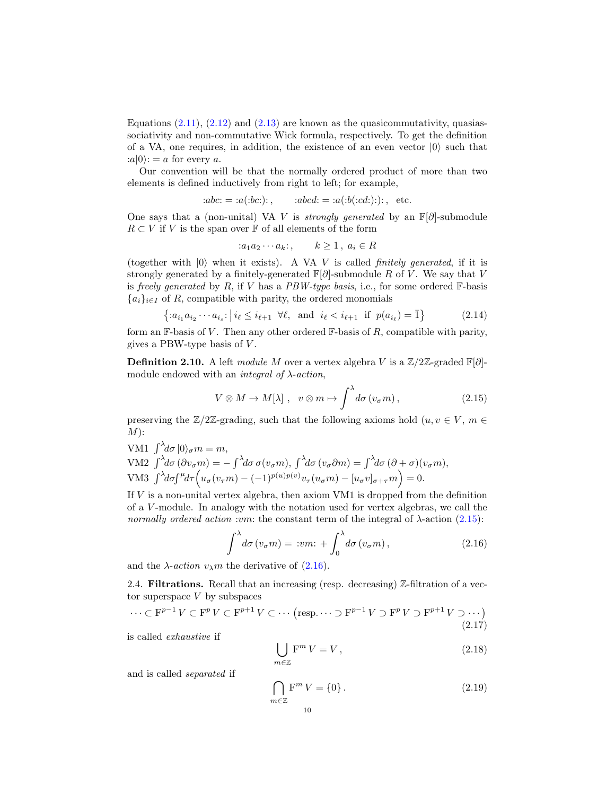Equations  $(2.11)$ ,  $(2.12)$  and  $(2.13)$  are known as the quasicommutativity, quasiassociativity and non-commutative Wick formula, respectively. To get the definition of a VA, one requires, in addition, the existence of an even vector  $|0\rangle$  such that  $:a|0\rangle: = a$  for every a.

Our convention will be that the normally ordered product of more than two elements is defined inductively from right to left; for example,

$$
:abc := a(:bc:)
$$
;  $:abcd := a(:b(:cd:))$ ; etc.

One says that a (non-unital) VA V is *strongly generated* by an  $\mathbb{F}[\partial]$ -submodule  $R \subset V$  if V is the span over  $\mathbb F$  of all elements of the form

$$
:a_1a_2\cdots a_k:,\qquad k\geq 1\,,\ a_i\in R
$$

(together with  $|0\rangle$  when it exists). A VA V is called *finitely generated*, if it is strongly generated by a finitely-generated  $\mathbb{F}[\partial]$ -submodule R of V. We say that V is freely generated by  $R$ , if  $V$  has a  $PBW-type$  basis, i.e., for some ordered  $\mathbb{F}$ -basis  ${a_i}_{i\in I}$  of R, compatible with parity, the ordered monomials

$$
\{ : a_{i_1} a_{i_2} \cdots a_{i_s} : | i_\ell \le i_{\ell+1} \ \forall \ell, \text{ and } i_\ell < i_{\ell+1} \text{ if } p(a_{i_\ell}) = \bar{1} \}
$$
 (2.14)

form an F-basis of V. Then any other ordered F-basis of  $R$ , compatible with parity, gives a PBW-type basis of  $V$ .

**Definition 2.10.** A left module M over a vertex algebra V is a  $\mathbb{Z}/2\mathbb{Z}$ -graded  $\mathbb{F}[\partial]$ module endowed with an *integral of*  $\lambda$ -*action*,

<span id="page-9-0"></span>
$$
V \otimes M \to M[\lambda], \quad v \otimes m \mapsto \int^{\lambda} d\sigma \left(v_{\sigma} m\right), \tag{2.15}
$$

preserving the  $\mathbb{Z}/2\mathbb{Z}$ -grading, such that the following axioms hold  $(u, v \in V, m \in$  $M)$ :

VM1  $\int_{0}^{\lambda} d\sigma |0\rangle_{\sigma} m = m$ , VM2  $\int^{\lambda} d\sigma (\partial v_{\sigma} m) = - \int^{\lambda} d\sigma \sigma (v_{\sigma} m), \int^{\lambda} d\sigma (v_{\sigma} \partial m) = \int^{\lambda} d\sigma (\partial + \sigma) (v_{\sigma} m),$ VM3  $\int^{\lambda} d\sigma \int^{\mu} d\tau \left( u_{\sigma}(v_{\tau}m) - (-1)^{p(u)p(v)} v_{\tau}(u_{\sigma}m) - [u_{\sigma}v]_{\sigma+\tau}m \right) = 0.$ 

If  $V$  is a non-unital vertex algebra, then axiom VM1 is dropped from the definition of a V -module. In analogy with the notation used for vertex algebras, we call the normally ordered action :vm: the constant term of the integral of  $\lambda$ -action [\(2.15\)](#page-9-0):

<span id="page-9-1"></span>
$$
\int^{\lambda} d\sigma \left( v_{\sigma} m \right) = : v m: + \int_0^{\lambda} d\sigma \left( v_{\sigma} m \right), \tag{2.16}
$$

and the  $\lambda$ -*action*  $v_{\lambda}$ *m* the derivative of [\(2.16\)](#page-9-1).

2.4. **Filtrations.** Recall that an increasing (resp. decreasing)  $\mathbb{Z}$ -filtration of a vector superspace  $V$  by subspaces

<span id="page-9-2"></span>
$$
\cdots \subset \mathbf{F}^{p-1}V \subset \mathbf{F}^pV \subset \mathbf{F}^{p+1}V \subset \cdots \text{ (resp. } \cdots \supset \mathbf{F}^{p-1}V \supset \mathbf{F}^pV \supset \mathbf{F}^{p+1}V \supset \cdots \text{)} \tag{2.17}
$$

is called exhaustive if

<span id="page-9-3"></span>
$$
\bigcup_{m\in\mathbb{Z}}\mathbf{F}^m\,V=V\,,\tag{2.18}
$$

and is called separated if

<span id="page-9-4"></span>
$$
\bigcap_{m\in\mathbb{Z}}\mathbf{F}^m V = \{0\}.
$$
\n(2.19)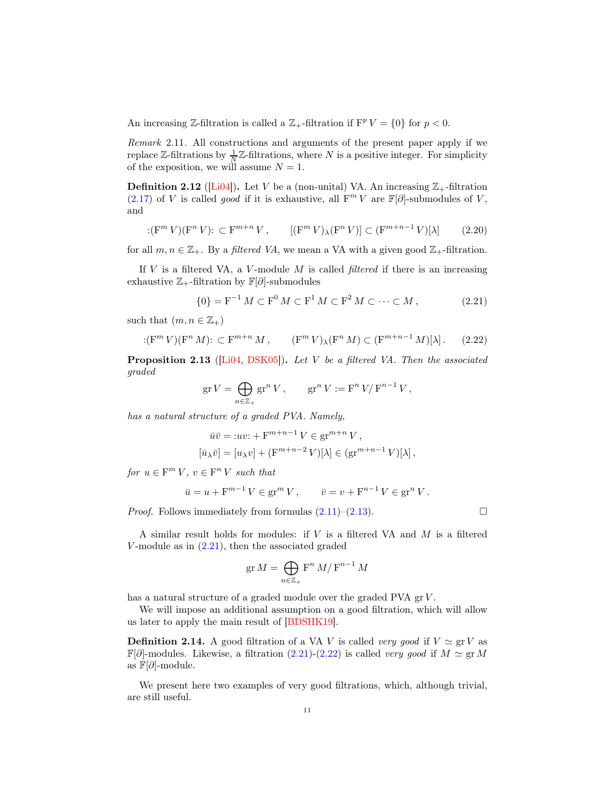An increasing Z-filtration is called a  $\mathbb{Z}_+$ -filtration if  $F^p V = \{0\}$  for  $p < 0$ .

Remark 2.11. All constructions and arguments of the present paper apply if we replace  $\mathbb{Z}$ -filtrations by  $\frac{1}{N}\mathbb{Z}$ -filtrations, where N is a positive integer. For simplicity of the exposition, we will assume  $N = 1$ .

**Definition 2.12** ([\[Li04\]](#page-55-2)). Let V be a (non-unital) VA. An increasing  $\mathbb{Z}_+$ -filtration [\(2.17\)](#page-9-2) of V is called good if it is exhaustive, all  $F^m V$  are  $\mathbb{F}[\partial]$ -submodules of V, and

$$
:(\mathbf{F}^m V)(\mathbf{F}^n V): \subset \mathbf{F}^{m+n} V, \qquad [(\mathbf{F}^m V)_{\lambda} (\mathbf{F}^n V)] \subset (\mathbf{F}^{m+n-1} V)[\lambda] \tag{2.20}
$$

for all  $m, n \in \mathbb{Z}_+$ . By a filtered VA, we mean a VA with a given good  $\mathbb{Z}_+$ -filtration.

If  $V$  is a filtered VA, a  $V$ -module  $M$  is called *filtered* if there is an increasing exhaustive  $\mathbb{Z}_+$ -filtration by  $\mathbb{F}[\partial]$ -submodules

<span id="page-10-0"></span>
$$
\{0\} = \mathbf{F}^{-1} M \subset \mathbf{F}^0 M \subset \mathbf{F}^1 M \subset \mathbf{F}^2 M \subset \cdots \subset M, \tag{2.21}
$$

such that  $(m, n \in \mathbb{Z}_+)$ 

<span id="page-10-1"></span>
$$
:(\mathbf{F}^m V)(\mathbf{F}^n M)\colon \subset \mathbf{F}^{m+n} M ,\qquad (\mathbf{F}^m V)_{\lambda}(\mathbf{F}^n M) \subset (\mathbf{F}^{m+n-1} M)[\lambda] .\tag{2.22}
$$

<span id="page-10-2"></span>**Proposition 2.13** ([\[Li04,](#page-55-2) [DSK05\]](#page-54-12)). Let V be a filtered VA. Then the associated graded

$$
\operatorname{gr} V = \bigoplus_{n \in \mathbb{Z}_+} \operatorname{gr}^n V\,, \qquad \operatorname{gr}^n V := \operatorname{F}^n V / \operatorname{F}^{n-1} V\,,
$$

has a natural structure of a graded PVA. Namely,

$$
\bar{u}\bar{v} =: uv: + \mathbf{F}^{m+n-1} V \in \mathbf{gr}^{m+n} V,
$$
  

$$
[\bar{u}_{\lambda}\bar{v}] = [u_{\lambda}v] + (\mathbf{F}^{m+n-2} V)[\lambda] \in (\mathbf{gr}^{m+n-1} V)[\lambda],
$$

for  $u \in F^m V$ ,  $v \in F^n V$  such that

$$
\bar{u} = u + F^{m-1} V \in \text{gr}^m V, \qquad \bar{v} = v + F^{n-1} V \in \text{gr}^n V.
$$

*Proof.* Follows immediately from formulas  $(2.11)$ – $(2.13)$ .

A similar result holds for modules: if  $V$  is a filtered VA and  $M$  is a filtered  $V$ -module as in  $(2.21)$ , then the associated graded

$$
\operatorname{gr} M = \bigoplus_{n \in \mathbb{Z}_+} \mathbf{F}^n \, M / \, \mathbf{F}^{n-1} \, M
$$

has a natural structure of a graded module over the graded PVA gr V.

We will impose an additional assumption on a good filtration, which will allow us later to apply the main result of [\[BDSHK19\]](#page-54-2).

<span id="page-10-3"></span>**Definition 2.14.** A good filtration of a VA V is called very good if  $V \simeq \text{gr } V$  as  $\mathbb{F}[\partial]$ -modules. Likewise, a filtration [\(2.21\)](#page-10-0)-[\(2.22\)](#page-10-1) is called very good if  $M \simeq \text{gr } M$ as  $\mathbb{F}[\partial]$ -module.

We present here two examples of very good filtrations, which, although trivial, are still useful.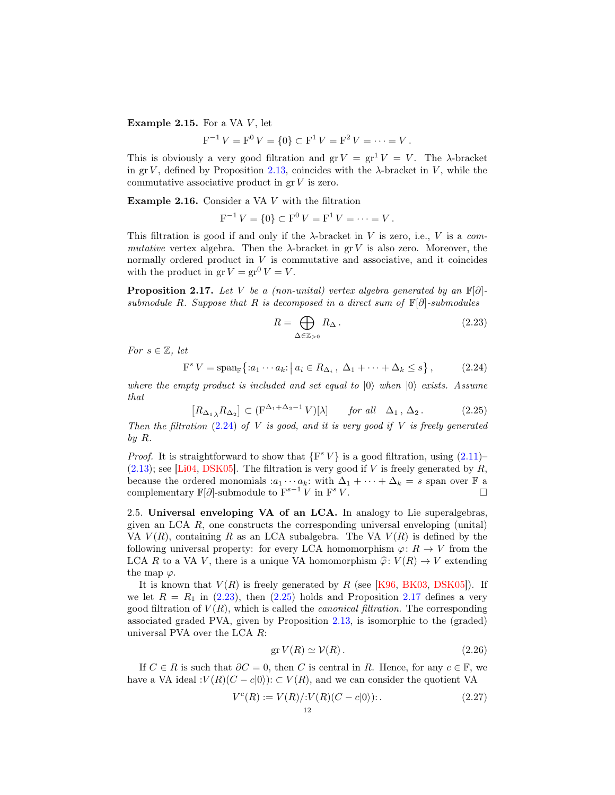<span id="page-11-5"></span>Example 2.15. For a VA  $V$ , let

$$
F^{-1}V = F^{0}V = \{0\} \subset F^{1}V = F^{2}V = \cdots = V.
$$

This is obviously a very good filtration and  $gr V = gr^1 V = V$ . The  $\lambda$ -bracket in gr V, defined by Proposition [2.13,](#page-10-2) coincides with the  $\lambda$ -bracket in V, while the commutative associative product in  $gr V$  is zero.

<span id="page-11-4"></span>Example 2.16. Consider a VA V with the filtration

$$
F^{-1}V = \{0\} \subset F^0V = F^1V = \cdots = V.
$$

This filtration is good if and only if the  $\lambda$ -bracket in V is zero, i.e., V is a commutative vertex algebra. Then the  $\lambda$ -bracket in gr V is also zero. Moreover, the normally ordered product in  $V$  is commutative and associative, and it coincides with the product in  $gr V = gr^0 V = V$ .

<span id="page-11-3"></span>**Proposition 2.17.** Let V be a (non-unital) vertex algebra generated by an  $\mathbb{F}[\partial]$ submodule R. Suppose that R is decomposed in a direct sum of  $\mathbb{F}[\partial]$ -submodules

<span id="page-11-1"></span>
$$
R = \bigoplus_{\Delta \in \mathbb{Z}_{>0}} R_{\Delta} \,. \tag{2.23}
$$

For  $s \in \mathbb{Z}$ , let

<span id="page-11-0"></span>
$$
F^{s} V = \text{span}_{\mathbb{F}} \{ :a_1 \cdots a_k : \left| a_i \in R_{\Delta_i}, \ \Delta_1 + \cdots + \Delta_k \le s \right|, \tag{2.24}
$$

where the empty product is included and set equal to  $|0\rangle$  when  $|0\rangle$  exists. Assume that

<span id="page-11-2"></span>
$$
[R_{\Delta_1} R_{\Delta_2}] \subset (\mathbf{F}^{\Delta_1 + \Delta_2 - 1} V)[\lambda] \quad \text{for all} \quad \Delta_1, \Delta_2. \tag{2.25}
$$

Then the filtration  $(2.24)$  of V is good, and it is very good if V is freely generated by R.

*Proof.* It is straightforward to show that  $\{F^s V\}$  is a good filtration, using  $(2.11)$  $(2.13)$ ; see [\[Li04,](#page-55-2) [DSK05\]](#page-54-12). The filtration is very good if V is freely generated by R, because the ordered monomials  $:a_1 \cdots a_k$ : with  $\Delta_1 + \cdots + \Delta_k = s$  span over  $\mathbb F$  a complementary  $\mathbb{F}[\partial]$ -submodule to  $F^{s-1}V$  in F  $s V.$ 

<span id="page-11-6"></span>2.5. Universal enveloping VA of an LCA. In analogy to Lie superalgebras, given an LCA  $R$ , one constructs the corresponding universal enveloping (unital) VA  $V(R)$ , containing R as an LCA subalgebra. The VA  $V(R)$  is defined by the following universal property: for every LCA homomorphism  $\varphi: R \to V$  from the LCA R to a VA V, there is a unique VA homomorphism  $\hat{\varphi} : V(R) \to V$  extending the map  $\varphi$ .

It is known that  $V(R)$  is freely generated by R (see [\[K96,](#page-55-4) [BK03,](#page-54-7) [DSK05\]](#page-54-12)). If we let  $R = R_1$  in [\(2.23\)](#page-11-1), then [\(2.25\)](#page-11-2) holds and Proposition [2.17](#page-11-3) defines a very good filtration of  $V(R)$ , which is called the *canonical filtration*. The corresponding associated graded PVA, given by Proposition [2.13,](#page-10-2) is isomorphic to the (graded) universal PVA over the LCA R:

$$
\operatorname{gr} V(R) \simeq \mathcal{V}(R). \tag{2.26}
$$

If  $C \in R$  is such that  $\partial C = 0$ , then C is central in R. Hence, for any  $c \in \mathbb{F}$ , we have a VA ideal : $V(R)(C - c|0\rangle)$ :  $\subset V(R)$ , and we can consider the quotient VA

$$
V^{c}(R) := V(R)/:V(R)(C - c|0\rangle):.
$$
\n(2.27)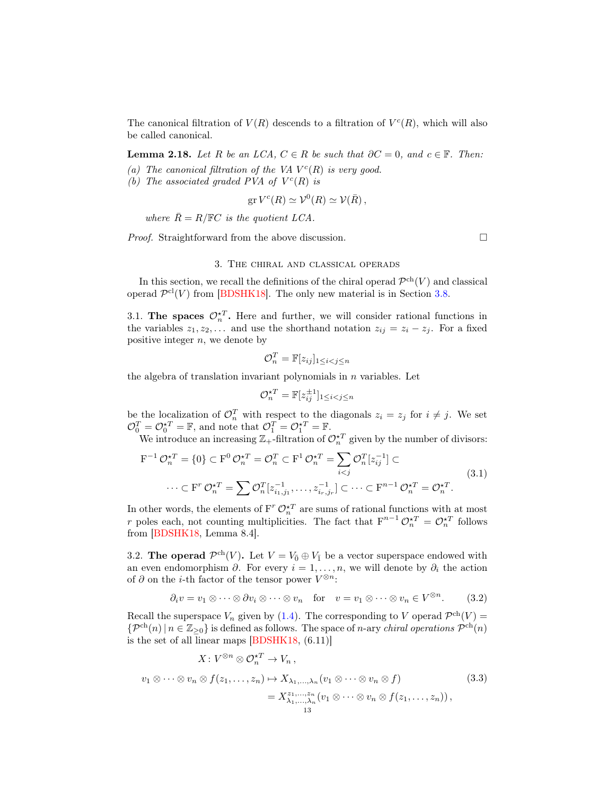The canonical filtration of  $V(R)$  descends to a filtration of  $V^c(R)$ , which will also be called canonical.

<span id="page-12-3"></span>**Lemma 2.18.** Let R be an LCA,  $C \in R$  be such that  $\partial C = 0$ , and  $c \in \mathbb{F}$ . Then:

- (a) The canonical filtration of the VA  $V^c(R)$  is very good.
- (b) The associated graded PVA of  $V^c(R)$  is

$$
\operatorname{gr} V^c(R) \simeq \mathcal{V}^0(R) \simeq \mathcal{V}(\bar{R}),
$$

where  $\bar{R} = R/\mathbb{F}C$  is the quotient LCA.

<span id="page-12-0"></span>*Proof.* Straightforward from the above discussion.  $\square$ 

## 3. The chiral and classical operads

In this section, we recall the definitions of the chiral operad  $\mathcal{P}^{ch}(V)$  and classical operad  $\mathcal{P}^{\text{cl}}(V)$  from [\[BDSHK18\]](#page-54-1). The only new material is in Section [3.8.](#page-17-0)

3.1. The spaces  $\mathcal{O}_n^{\star T}$ . Here and further, we will consider rational functions in the variables  $z_1, z_2, \ldots$  and use the shorthand notation  $z_{ij} = z_i - z_j$ . For a fixed positive integer  $n$ , we denote by

$$
\mathcal{O}_n^T = \mathbb{F}[z_{ij}]_{1 \leq i < j \leq n}
$$

the algebra of translation invariant polynomials in  $n$  variables. Let

$$
\mathcal{O}_n^{\star T} = \mathbb{F}[z_{ij}^{\pm 1}]_{1 \le i < j \le n}
$$

be the localization of  $\mathcal{O}_n^T$  with respect to the diagonals  $z_i = z_j$  for  $i \neq j$ . We set  $\mathcal{O}_0^T = \mathcal{O}_0^{\star T} = \mathbb{F}$ , and note that  $\mathcal{O}_1^T = \mathcal{O}_1^{\star T} = \mathbb{F}$ .

We introduce an increasing  $\mathbb{Z}_+$ -filtration of  $\mathcal{O}_n^{\star T}$  given by the number of divisors:

<span id="page-12-1"></span>
$$
\mathbf{F}^{-1} \mathcal{O}_n^{\star T} = \{0\} \subset \mathbf{F}^0 \mathcal{O}_n^{\star T} = \mathcal{O}_n^T \subset \mathbf{F}^1 \mathcal{O}_n^{\star T} = \sum_{i < j} \mathcal{O}_n^T [z_{ij}^{-1}] \subset
$$
\n
$$
\cdots \subset \mathbf{F}^r \mathcal{O}_n^{\star T} = \sum \mathcal{O}_n^T [z_{i_1, j_1}^{-1}, \dots, z_{i_r, j_r}^{-1}] \subset \cdots \subset \mathbf{F}^{n-1} \mathcal{O}_n^{\star T} = \mathcal{O}_n^{\star T}.
$$
\n
$$
(3.1)
$$

In other words, the elements of  $F^r \mathcal{O}_n^{\star T}$  are sums of rational functions with at most r poles each, not counting multiplicities. The fact that  $F^{n-1} \mathcal{O}_n^{\star T} = \mathcal{O}_n^{\star T}$  follows from [\[BDSHK18,](#page-54-1) Lemma 8.4].

3.2. The operad  $\mathcal{P}^{ch}(V)$ . Let  $V = V_0 \oplus V_1$  be a vector superspace endowed with an even endomorphism  $\partial$ . For every  $i = 1, \ldots, n$ , we will denote by  $\partial_i$  the action of  $\partial$  on the *i*-th factor of the tensor power  $V^{\otimes n}$ :

<span id="page-12-2"></span>
$$
\partial_i v = v_1 \otimes \cdots \otimes \partial v_i \otimes \cdots \otimes v_n \quad \text{for} \quad v = v_1 \otimes \cdots \otimes v_n \in V^{\otimes n}.
$$
 (3.2)

Recall the superspace  $V_n$  given by [\(1.4\)](#page-1-1). The corresponding to V operad  $\mathcal{P}^{ch}(V)$  =  $\{\mathcal{P}^{ch}(n) \mid n \in \mathbb{Z}_{\geq 0}\}\$ is defined as follows. The space of *n*-ary *chiral operations*  $\mathcal{P}^{ch}(n)$ is the set of all linear maps [\[BDSHK18,](#page-54-1) (6.11)]

$$
X: V^{\otimes n} \otimes \mathcal{O}_n^{\star T} \to V_n,
$$
  
\n
$$
v_1 \otimes \cdots \otimes v_n \otimes f(z_1, \ldots, z_n) \mapsto X_{\lambda_1, \ldots, \lambda_n}(v_1 \otimes \cdots \otimes v_n \otimes f)
$$
  
\n
$$
= X_{\lambda_1, \ldots, \lambda_n}^{\lambda_1, \ldots, \lambda_n}(v_1 \otimes \cdots \otimes v_n \otimes f(z_1, \ldots, z_n)),
$$
\n
$$
(3.3)
$$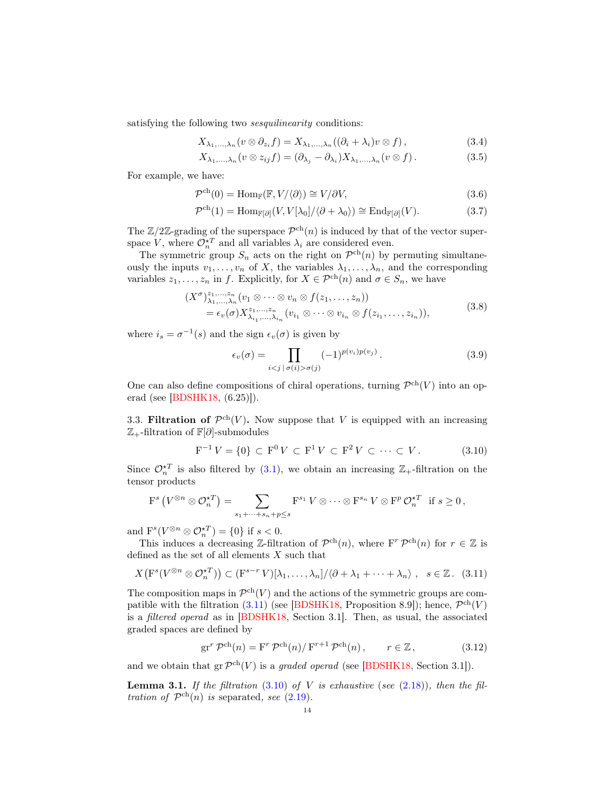satisfying the following two *sesquilinearity* conditions:

$$
X_{\lambda_1,\dots,\lambda_n}(v\otimes \partial_{z_i}f) = X_{\lambda_1,\dots,\lambda_n}((\partial_i+\lambda_i)v\otimes f)\,,\tag{3.4}
$$

<span id="page-13-4"></span><span id="page-13-3"></span>
$$
X_{\lambda_1,\ldots,\lambda_n}(v\otimes z_{ij}f)=(\partial_{\lambda_j}-\partial_{\lambda_i})X_{\lambda_1,\ldots,\lambda_n}(v\otimes f).
$$
 (3.5)

For example, we have:

$$
\mathcal{P}^{\text{ch}}(0) = \text{Hom}_{\mathbb{F}}(\mathbb{F}, V/\langle \partial \rangle) \cong V/\partial V, \tag{3.6}
$$

$$
\mathcal{P}^{\text{ch}}(1) = \text{Hom}_{\mathbb{F}[\partial]}(V, V[\lambda_0]/\langle \partial + \lambda_0 \rangle) \cong \text{End}_{\mathbb{F}[\partial]}(V). \tag{3.7}
$$

The  $\mathbb{Z}/2\mathbb{Z}$ -grading of the superspace  $\mathcal{P}^{ch}(n)$  is induced by that of the vector superspace V, where  $\mathcal{O}_{n}^{\star T}$  and all variables  $\lambda_i$  are considered even.

The symmetric group  $S_n$  acts on the right on  $\mathcal{P}^{ch}(n)$  by permuting simultaneously the inputs  $v_1, \ldots, v_n$  of X, the variables  $\lambda_1, \ldots, \lambda_n$ , and the corresponding variables  $z_1, \ldots, z_n$  in f. Explicitly, for  $X \in \mathcal{P}^{ch}(n)$  and  $\sigma \in S_n$ , we have

$$
(X^{\sigma})^{\alpha_1,\ldots,\alpha_n}_{\lambda_1,\ldots,\lambda_n}(v_1\otimes\cdots\otimes v_n\otimes f(z_1,\ldots,z_n))
$$
  
=  $\epsilon_v(\sigma)X^{\alpha_1,\ldots,\alpha_n}_{\lambda_{i_1},\ldots,\lambda_{i_n}}(v_{i_1}\otimes\cdots\otimes v_{i_n}\otimes f(z_{i_1},\ldots,z_{i_n})),$  (3.8)

where  $i_s = \sigma^{-1}(s)$  and the sign  $\epsilon_v(\sigma)$  is given by

<span id="page-13-2"></span>
$$
\epsilon_v(\sigma) = \prod_{i < j \, | \, \sigma(i) > \sigma(j)} (-1)^{p(v_i)p(v_j)} \,. \tag{3.9}
$$

One can also define compositions of chiral operations, turning  $\mathcal{P}^{ch}(V)$  into an operad (see [\[BDSHK18,](#page-54-1) (6.25)]).

<span id="page-13-5"></span>3.3. Filtration of  $\mathcal{P}^{ch}(V)$ . Now suppose that V is equipped with an increasing  $\mathbb{Z}_+$ -filtration of  $\mathbb{F}[\partial]$ -submodules

<span id="page-13-1"></span>
$$
F^{-1}V = \{0\} \subset F^0V \subset F^1V \subset F^2V \subset \cdots \subset V. \tag{3.10}
$$

Since  $\mathcal{O}_n^{\star T}$  is also filtered by [\(3.1\)](#page-12-1), we obtain an increasing  $\mathbb{Z}_+$ -filtration on the tensor products

$$
\mathcal{F}^s\left(V^{\otimes n}\otimes \mathcal{O}_n^{\star T}\right)=\sum_{s_1+\cdots+s_n+p\leq s}\mathcal{F}^{s_1}V\otimes\cdots\otimes\mathcal{F}^{s_n}V\otimes\mathcal{F}^p\mathcal{O}_n^{\star T} \text{ if } s\geq 0,
$$

and  $\mathbf{F}^s(V^{\otimes n} \otimes \mathcal{O}_n^{\star T}) = \{0\}$  if  $s < 0$ .

This induces a decreasing Z-filtration of  $\mathcal{P}^{ch}(n)$ , where  $F^r \mathcal{P}^{ch}(n)$  for  $r \in \mathbb{Z}$  is defined as the set of all elements X such that

<span id="page-13-0"></span>
$$
X\big(\mathbf{F}^s(V^{\otimes n} \otimes \mathcal{O}_n^{\star T})\big) \subset (\mathbf{F}^{s-r} V)[\lambda_1, \ldots, \lambda_n] / \langle \partial + \lambda_1 + \cdots + \lambda_n \rangle , \quad s \in \mathbb{Z} . \tag{3.11}
$$

The composition maps in  $\mathcal{P}^{ch}(V)$  and the actions of the symmetric groups are compatible with the filtration  $(3.11)$  (see [\[BDSHK18,](#page-54-1) Proposition 8.9]); hence,  $\mathcal{P}^{ch}(V)$ is a filtered operad as in [\[BDSHK18,](#page-54-1) Section 3.1]. Then, as usual, the associated graded spaces are defined by

$$
\operatorname{gr}^r \mathcal{P}^{\mathrm{ch}}(n) = \operatorname{F}^r \mathcal{P}^{\mathrm{ch}}(n) / \operatorname{F}^{r+1} \mathcal{P}^{\mathrm{ch}}(n) , \qquad r \in \mathbb{Z} , \tag{3.12}
$$

and we obtain that  $gr \mathcal{P}^{ch}(V)$  is a graded operad (see [\[BDSHK18,](#page-54-1) Section 3.1]).

<span id="page-13-6"></span>**Lemma 3.1.** If the filtration [\(3.10\)](#page-13-1) of V is exhaustive (see [\(2.18\)](#page-9-3)), then the filtration of  $\mathcal{P}^{ch}(n)$  is separated, see [\(2.19\)](#page-9-4).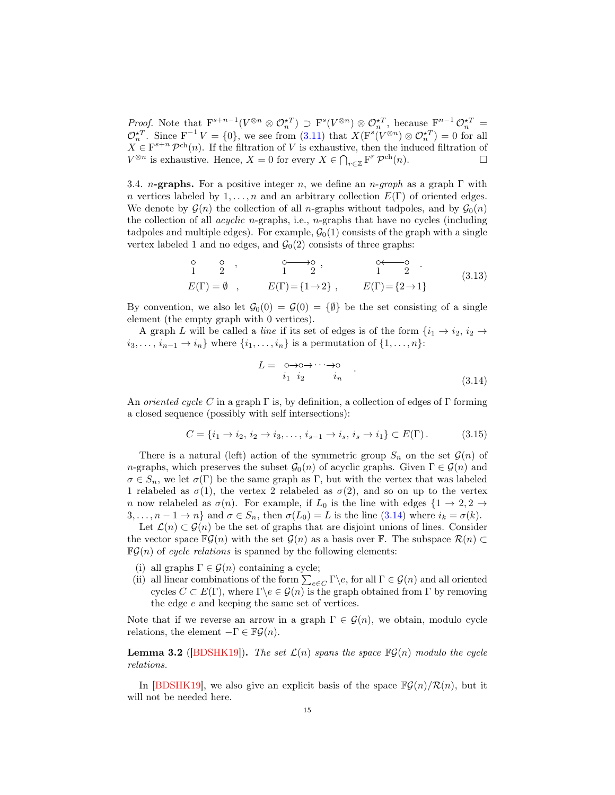*Proof.* Note that  $F^{s+n-1}(V^{\otimes n} \otimes \mathcal{O}_n^{\star T}) \supset F^s(V^{\otimes n}) \otimes \mathcal{O}_n^{\star T}$ , because  $F^{n-1} \mathcal{O}_n^{\star T} =$  $\mathcal{O}_n^{\star T}$ . Since  $F^{-1}V = \{0\}$ , we see from  $(3.11)$  that  $X(F^s(V^{\otimes n}) \otimes \mathcal{O}_n^{\star T}) = 0$  for all  $X \in \mathbb{F}^{s+n} \mathcal{P}^{ch}(n)$ . If the filtration of V is exhaustive, then the induced filtration of  $V^{\otimes n}$  is exhaustive. Hence,  $X = 0$  for every  $X \in \bigcap_{r \in \mathbb{Z}} \mathbf{F}^r \mathcal{P}^{ch}(n)$ .

<span id="page-14-1"></span>3.4. n-graphs. For a positive integer n, we define an n-graph as a graph  $\Gamma$  with n vertices labeled by  $1, \ldots, n$  and an arbitrary collection  $E(\Gamma)$  of oriented edges. We denote by  $\mathcal{G}(n)$  the collection of all n-graphs without tadpoles, and by  $\mathcal{G}_0(n)$ the collection of all *acyclic n*-graphs, i.e.,  $n$ -graphs that have no cycles (including tadpoles and multiple edges). For example,  $\mathcal{G}_0(1)$  consists of the graph with a single vertex labeled 1 and no edges, and  $\mathcal{G}_0(2)$  consists of three graphs:

$$
\begin{array}{cccc}\n0 & 0 & 0 \\
1 & 2 & 1 \\
E(\Gamma) = \emptyset & 0 & 1\n\end{array}, \qquad\n\begin{array}{cccc}\n0 & 0 & 0 & 0 \\
1 & 2 & 1 \\
E(\Gamma) = \{1 \to 2\}, & E(\Gamma) = \{2 \to 1\}\n\end{array} \tag{3.13}
$$

By convention, we also let  $\mathcal{G}_0(0) = \mathcal{G}(0) = \{\emptyset\}$  be the set consisting of a single element (the empty graph with 0 vertices).

A graph L will be called a line if its set of edges is of the form  $\{i_1 \rightarrow i_2, i_2 \rightarrow \}$  $i_3, \ldots, i_{n-1} \rightarrow i_n$  where  $\{i_1, \ldots, i_n\}$  is a permutation of  $\{1, \ldots, n\}$ :

<span id="page-14-0"></span>
$$
L = \underset{i_1 \ i_2}{\circ \rightarrow \circ \rightarrow \cdots \rightarrow \circ} \quad . \tag{3.14}
$$

An oriented cycle C in a graph  $\Gamma$  is, by definition, a collection of edges of  $\Gamma$  forming a closed sequence (possibly with self intersections):

$$
C = \{i_1 \to i_2, i_2 \to i_3, \dots, i_{s-1} \to i_s, i_s \to i_1\} \subset E(\Gamma).
$$
 (3.15)

There is a natural (left) action of the symmetric group  $S_n$  on the set  $\mathcal{G}(n)$  of n-graphs, which preserves the subset  $\mathcal{G}_0(n)$  of acyclic graphs. Given  $\Gamma \in \mathcal{G}(n)$  and  $\sigma \in S_n$ , we let  $\sigma(\Gamma)$  be the same graph as  $\Gamma$ , but with the vertex that was labeled 1 relabeled as  $\sigma(1)$ , the vertex 2 relabeled as  $\sigma(2)$ , and so on up to the vertex n now relabeled as  $\sigma(n)$ . For example, if  $L_0$  is the line with edges  $\{1 \rightarrow 2, 2 \rightarrow \}$  $3, \ldots, n-1 \to n$  and  $\sigma \in S_n$ , then  $\sigma(L_0) = L$  is the line  $(3.14)$  where  $i_k = \sigma(k)$ .

Let  $\mathcal{L}(n) \subset \mathcal{G}(n)$  be the set of graphs that are disjoint unions of lines. Consider the vector space  $\mathbb{F}\mathcal{G}(n)$  with the set  $\mathcal{G}(n)$  as a basis over F. The subspace  $\mathcal{R}(n) \subset$  $\mathbb{F}\mathcal{G}(n)$  of *cycle relations* is spanned by the following elements:

- (i) all graphs  $\Gamma \in \mathcal{G}(n)$  containing a cycle;
- (ii) all linear combinations of the form  $\sum_{e \in C} \Gamma \backslash e$ , for all  $\Gamma \in \mathcal{G}(n)$  and all oriented cycles  $C \subset E(\Gamma)$ , where  $\Gamma \backslash e \in \mathcal{G}(n)$  is the graph obtained from  $\Gamma$  by removing the edge e and keeping the same set of vertices.

Note that if we reverse an arrow in a graph  $\Gamma \in \mathcal{G}(n)$ , we obtain, modulo cycle relations, the element  $-\Gamma \in \mathbb{F}\mathcal{G}(n)$ .

<span id="page-14-2"></span>**Lemma 3.2** ([\[BDSHK19\]](#page-54-2)). The set  $\mathcal{L}(n)$  spans the space  $\mathbb{F}\mathcal{G}(n)$  modulo the cycle relations.

In [\[BDSHK19\]](#page-54-2), we also give an explicit basis of the space  $\mathbb{F}\mathcal{G}(n)/\mathcal{R}(n)$ , but it will not be needed here.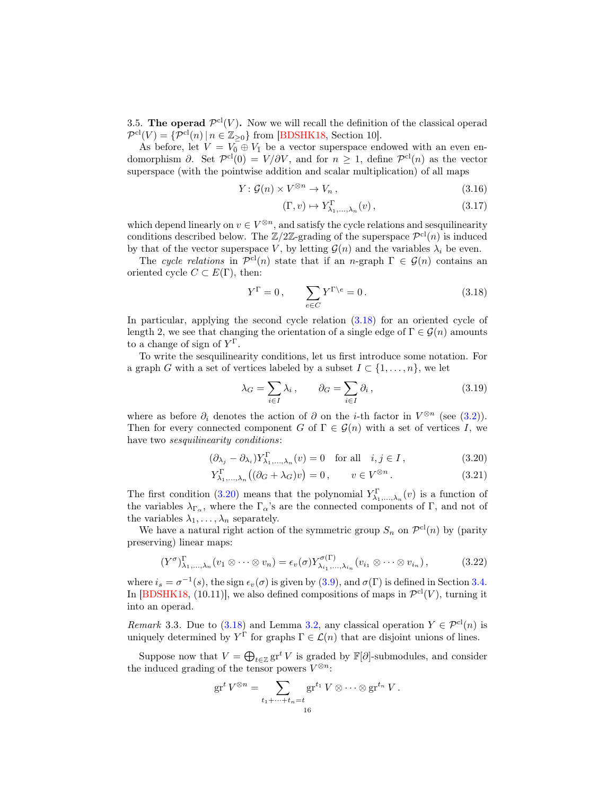3.5. The operad  $\mathcal{P}^{cl}(V)$ . Now we will recall the definition of the classical operad  $\mathcal{P}^{\text{cl}}(V) = \{ \mathcal{P}^{\text{cl}}(n) \mid n \in \mathbb{Z}_{\geq 0} \}$  from [\[BDSHK18,](#page-54-1) Section 10].

As before, let  $V = V_0^{\dagger} \oplus V_1$  be a vector superspace endowed with an even endomorphism  $\partial$ . Set  $\mathcal{P}^{cl}(0) = V/\partial V$ , and for  $n \geq 1$ , define  $\mathcal{P}^{cl}(n)$  as the vector superspace (with the pointwise addition and scalar multiplication) of all maps

$$
Y: \mathcal{G}(n) \times V^{\otimes n} \to V_n, \qquad (3.16)
$$

$$
(\Gamma, v) \mapsto Y^{\Gamma}_{\lambda_1, \dots, \lambda_n}(v) , \qquad (3.17)
$$

which depend linearly on  $v \in V^{\otimes n}$ , and satisfy the cycle relations and sesquilinearity conditions described below. The  $\mathbb{Z}/2\mathbb{Z}$ -grading of the superspace  $\mathcal{P}^{cl}(n)$  is induced by that of the vector superspace V, by letting  $\mathcal{G}(n)$  and the variables  $\lambda_i$  be even.

The cycle relations in  $\mathcal{P}^{cl}(n)$  state that if an n-graph  $\Gamma \in \mathcal{G}(n)$  contains an oriented cycle  $C \subset E(\Gamma)$ , then:

<span id="page-15-0"></span>
$$
Y^{\Gamma} = 0, \qquad \sum_{e \in C} Y^{\Gamma \backslash e} = 0. \tag{3.18}
$$

In particular, applying the second cycle relation [\(3.18\)](#page-15-0) for an oriented cycle of length 2, we see that changing the orientation of a single edge of  $\Gamma \in \mathcal{G}(n)$  amounts to a change of sign of  $Y^{\Gamma}$ .

To write the sesquilinearity conditions, let us first introduce some notation. For a graph G with a set of vertices labeled by a subset  $I \subset \{1, \ldots, n\}$ , we let

<span id="page-15-3"></span><span id="page-15-1"></span>
$$
\lambda_G = \sum_{i \in I} \lambda_i, \qquad \partial_G = \sum_{i \in I} \partial_i, \tag{3.19}
$$

where as before  $\partial_i$  denotes the action of  $\partial$  on the *i*-th factor in  $V^{\otimes n}$  (see [\(3.2\)](#page-12-2)). Then for every connected component G of  $\Gamma \in \mathcal{G}(n)$  with a set of vertices I, we have two *sesquilinearity conditions*:

$$
(\partial_{\lambda_j} - \partial_{\lambda_i}) Y^{\Gamma}_{\lambda_1, \dots, \lambda_n}(v) = 0 \quad \text{for all} \quad i, j \in I,
$$
\n(3.20)

$$
Y_{\lambda_1,\dots,\lambda_n}^{\Gamma} \left( (\partial_G + \lambda_G) v \right) = 0, \qquad v \in V^{\otimes n} \,. \tag{3.21}
$$

The first condition [\(3.20\)](#page-15-1) means that the polynomial  $Y^{\Gamma}_{\lambda_1,\dots,\lambda_n}(v)$  is a function of the variables  $\lambda_{\Gamma_{\alpha}}$ , where the  $\Gamma_{\alpha}$ 's are the connected components of  $\Gamma$ , and not of the variables  $\lambda_1, \ldots, \lambda_n$  separately.

We have a natural right action of the symmetric group  $S_n$  on  $\mathcal{P}^{cl}(n)$  by (parity preserving) linear maps:

$$
(Y^{\sigma})_{\lambda_1,\dots,\lambda_n}^{\Gamma}(v_1 \otimes \dots \otimes v_n) = \epsilon_v(\sigma) Y^{\sigma(\Gamma)}_{\lambda_{i_1},\dots,\lambda_{i_n}}(v_{i_1} \otimes \dots \otimes v_{i_n}), \qquad (3.22)
$$

where  $i_s = \sigma^{-1}(s)$ , the sign  $\epsilon_v(\sigma)$  is given by [\(3.9\)](#page-13-2), and  $\sigma(\Gamma)$  is defined in Section [3.4.](#page-14-1) In  $[BDSHK18, (10.11)],$  we also defined compositions of maps in  $\mathcal{P}^{cl}(V)$ , turning it into an operad.

<span id="page-15-2"></span>*Remark* 3.3. Due to  $(3.18)$  and Lemma [3.2,](#page-14-2) any classical operation  $Y \in \mathcal{P}^{cl}(n)$  is uniquely determined by  $Y^{\Gamma}$  for graphs  $\Gamma \in \mathcal{L}(n)$  that are disjoint unions of lines.

Suppose now that  $V = \bigoplus_{t \in \mathbb{Z}} \mathrm{gr}^t V$  is graded by  $\mathbb{F}[\partial]$ -submodules, and consider the induced grading of the tensor powers  $V^{\otimes n}$ :

$$
\mathrm{gr}^t V^{\otimes n} = \sum_{t_1 + \dots + t_n = t \atop 16} \mathrm{gr}^{t_1} V \otimes \dots \otimes \mathrm{gr}^{t_n} V.
$$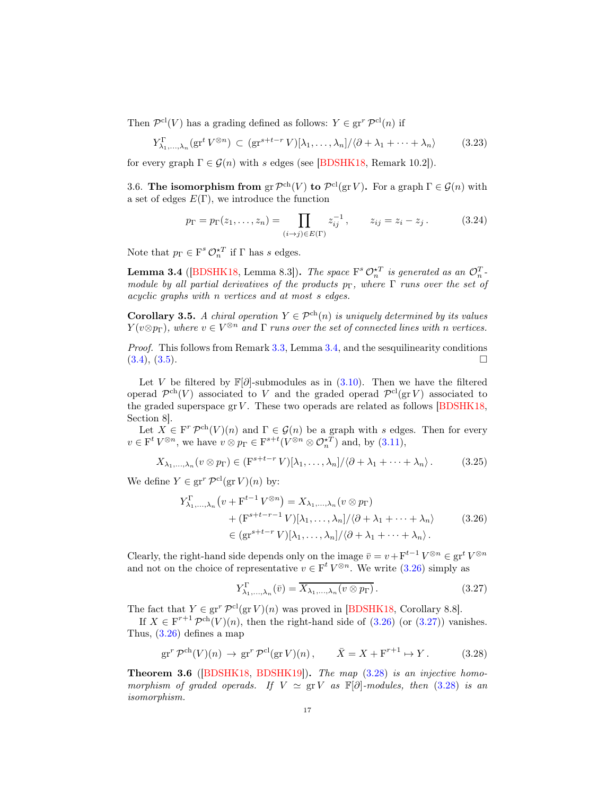Then  $\mathcal{P}^{\text{cl}}(V)$  has a grading defined as follows:  $Y \in \text{gr}^r \mathcal{P}^{\text{cl}}(n)$  if

<span id="page-16-4"></span>
$$
Y_{\lambda_1,\dots,\lambda_n}^{\Gamma}(\operatorname{gr}^t V^{\otimes n}) \subset (\operatorname{gr}^{s+t-r} V)[\lambda_1,\dots,\lambda_n] / \langle \partial + \lambda_1 + \dots + \lambda_n \rangle \tag{3.23}
$$

for every graph  $\Gamma \in \mathcal{G}(n)$  with s edges (see [\[BDSHK18,](#page-54-1) Remark 10.2]).

3.6. The isomorphism from  $gr \mathcal{P}^{ch}(V)$  to  $\mathcal{P}^{cl}(gr V)$ . For a graph  $\Gamma \in \mathcal{G}(n)$  with a set of edges  $E(\Gamma)$ , we introduce the function

$$
p_{\Gamma} = p_{\Gamma}(z_1, \dots, z_n) = \prod_{(i \to j) \in E(\Gamma)} z_{ij}^{-1}, \qquad z_{ij} = z_i - z_j. \tag{3.24}
$$

Note that  $p_{\Gamma} \in F^s \mathcal{O}_n^{\star T}$  if  $\Gamma$  has s edges.

<span id="page-16-0"></span>**Lemma 3.4** ([\[BDSHK18,](#page-54-1) Lemma 8.3]). The space  $F^s \mathcal{O}_n^{\star T}$  is generated as an  $\mathcal{O}_n^T$ . module by all partial derivatives of the products  $p_{\Gamma}$ , where  $\Gamma$  runs over the set of acyclic graphs with n vertices and at most s edges.

<span id="page-16-6"></span>Corollary 3.5. A chiral operation  $Y \in \mathcal{P}^{ch}(n)$  is uniquely determined by its values  $Y(v \otimes p_{\Gamma})$ , where  $v \in V^{\otimes n}$  and  $\Gamma$  runs over the set of connected lines with n vertices.

Proof. This follows from Remark [3.3,](#page-15-2) Lemma [3.4,](#page-16-0) and the sesquilinearity conditions  $(3.4), (3.5).$  $(3.4), (3.5).$  $(3.4), (3.5).$  $(3.4), (3.5).$ 

Let V be filtered by  $\mathbb{F}[\partial]$ -submodules as in [\(3.10\)](#page-13-1). Then we have the filtered operad  $\mathcal{P}^{ch}(V)$  associated to V and the graded operad  $\mathcal{P}^{cl}(gr V)$  associated to the graded superspace  $grV$ . These two operads are related as follows [\[BDSHK18,](#page-54-1) Section 8].

Let  $X \in \mathcal{F}^r \mathcal{P}^{ch}(V)(n)$  and  $\Gamma \in \mathcal{G}(n)$  be a graph with s edges. Then for every  $v \in \mathcal{F}^t V^{\otimes n}$ , we have  $v \otimes p_{\Gamma} \in \mathcal{F}^{s+t}(V^{\otimes n} \otimes \mathcal{O}_{n}^{\star T})$  and, by [\(3.11\)](#page-13-0),

$$
X_{\lambda_1,\dots,\lambda_n}(v\otimes p_\Gamma) \in (\mathcal{F}^{s+t-r} V)[\lambda_1,\dots,\lambda_n]/\langle \partial + \lambda_1 + \dots + \lambda_n \rangle. \tag{3.25}
$$

We define  $Y \in \operatorname{gr}^r \mathcal{P}^{\mathrm{cl}}(\operatorname{gr} V)(n)$  by:

$$
Y_{\lambda_1,\dots,\lambda_n}^{\Gamma}(v + F^{t-1} V^{\otimes n}) = X_{\lambda_1,\dots,\lambda_n}(v \otimes p_{\Gamma})
$$
  
+ 
$$
(\mathbf{F}^{s+t-r-1} V)[\lambda_1,\dots,\lambda_n] / \langle \partial + \lambda_1 + \dots + \lambda_n \rangle
$$
  

$$
\in (\mathbf{gr}^{s+t-r} V)[\lambda_1,\dots,\lambda_n] / \langle \partial + \lambda_1 + \dots + \lambda_n \rangle.
$$
 (3.26)

<span id="page-16-1"></span>Clearly, the right-hand side depends only on the image  $\bar{v} = v + \mathbf{F}^{t-1} V^{\otimes n} \in \mathbf{gr}^t V^{\otimes n}$ and not on the choice of representative  $v \in F^t V^{\otimes n}$ . We write  $(3.26)$  simply as

<span id="page-16-2"></span>
$$
Y_{\lambda_1,\ldots,\lambda_n}^{\Gamma}(\bar{v}) = \overline{X_{\lambda_1,\ldots,\lambda_n}(v \otimes p_{\Gamma})}.
$$
 (3.27)

The fact that  $Y \in \text{gr}^r \mathcal{P}^{cl}(\text{gr } V)(n)$  was proved in [\[BDSHK18,](#page-54-1) Corollary 8.8].

If  $X \in \mathbb{F}^{r+1} \mathcal{P}^{ch}(V)(n)$ , then the right-hand side of  $(3.26)$  (or  $(3.27)$ ) vanishes. Thus, [\(3.26\)](#page-16-1) defines a map

<span id="page-16-3"></span>
$$
\operatorname{gr}^r \mathcal{P}^{\mathrm{ch}}(V)(n) \to \operatorname{gr}^r \mathcal{P}^{\mathrm{cl}}(\operatorname{gr} V)(n), \qquad \bar{X} = X + \mathbf{F}^{r+1} \mapsto Y. \tag{3.28}
$$

<span id="page-16-5"></span>Theorem 3.6 ([\[BDSHK18,](#page-54-1) [BDSHK19\]](#page-54-2)). The map [\(3.28\)](#page-16-3) is an injective homomorphism of graded operads. If  $V \simeq \text{gr } V$  as  $\mathbb{F}[\partial]$ -modules, then [\(3.28\)](#page-16-3) is an isomorphism.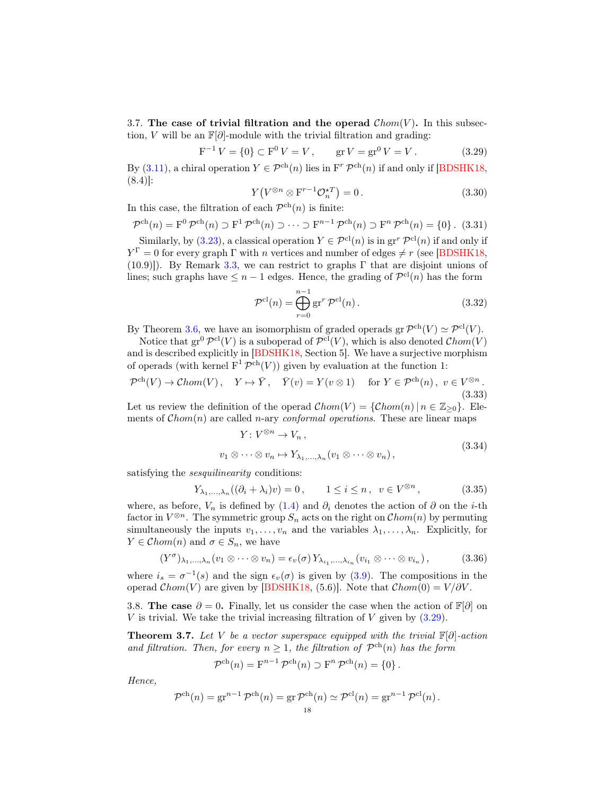<span id="page-17-3"></span>3.7. The case of trivial filtration and the operad  $Chom(V)$ . In this subsection, V will be an  $\mathbb{F}[\partial]$ -module with the trivial filtration and grading:

<span id="page-17-1"></span>
$$
F^{-1}V = \{0\} \subset F^0 V = V, \qquad \text{gr } V = \text{gr}^0 V = V. \tag{3.29}
$$

By [\(3.11\)](#page-13-0), a chiral operation  $Y \in \mathcal{P}^{ch}(n)$  lies in  $F^r \mathcal{P}^{ch}(n)$  if and only if [\[BDSHK18,](#page-54-1) (8.4)]:

$$
Y\left(V^{\otimes n} \otimes \mathbf{F}^{r-1} \mathcal{O}_n^{\star T}\right) = 0. \tag{3.30}
$$

In this case, the filtration of each  $\mathcal{P}^{ch}(n)$  is finite:

<span id="page-17-7"></span>
$$
\mathcal{P}^{\text{ch}}(n) = \mathbf{F}^0 \mathcal{P}^{\text{ch}}(n) \supset \mathbf{F}^1 \mathcal{P}^{\text{ch}}(n) \supset \cdots \supset \mathbf{F}^{n-1} \mathcal{P}^{\text{ch}}(n) \supset \mathbf{F}^n \mathcal{P}^{\text{ch}}(n) = \{0\}. \tag{3.31}
$$

Similarly, by [\(3.23\)](#page-16-4), a classical operation  $Y \in \mathcal{P}^{cl}(n)$  is in  $gr^r \mathcal{P}^{cl}(n)$  if and only if  $Y^{\Gamma} = 0$  for every graph  $\Gamma$  with *n* vertices and number of edges  $\neq r$  (see [\[BDSHK18,](#page-54-1)  $(10.9)$ ]). By Remark [3.3,](#page-15-2) we can restrict to graphs Γ that are disjoint unions of lines; such graphs have  $\leq n-1$  edges. Hence, the grading of  $\mathcal{P}^{\text{cl}}(n)$  has the form

<span id="page-17-5"></span>
$$
\mathcal{P}^{\text{cl}}(n) = \bigoplus_{r=0}^{n-1} \text{gr}^r \, \mathcal{P}^{\text{cl}}(n) \,. \tag{3.32}
$$

By Theorem [3.6,](#page-16-5) we have an isomorphism of graded operads  $gr \mathcal{P}^{ch}(V) \simeq \mathcal{P}^{cl}(V)$ .

Notice that  $gr^0 \mathcal{P}^{cl}(V)$  is a suboperad of  $\mathcal{P}^{cl}(V)$ , which is also denoted  $\mathcal{C}hom(V)$ and is described explicitly in [\[BDSHK18,](#page-54-1) Section 5]. We have a surjective morphism of operads (with kernel  $F^1 \mathcal{P}^{ch}(V)$ ) given by evaluation at the function 1:

<span id="page-17-4"></span>
$$
\mathcal{P}^{\text{ch}}(V) \to \mathcal{C}hom(V), \quad Y \mapsto \bar{Y}, \quad \bar{Y}(v) = Y(v \otimes 1) \quad \text{for } Y \in \mathcal{P}^{\text{ch}}(n), \ v \in V^{\otimes n}.
$$
\n(3.33)

Let us review the definition of the operad  $Chom(V) = \{Chom(n) | n \in \mathbb{Z}_{\geq 0}\}.$  Elements of  $Chom(n)$  are called *n*-ary *conformal operations*. These are linear maps

$$
Y: V^{\otimes n} \to V_n, \nv_1 \otimes \cdots \otimes v_n \mapsto Y_{\lambda_1, \dots, \lambda_n}(v_1 \otimes \cdots \otimes v_n),
$$
\n(3.34)

satisfying the *sesquilinearity* conditions:

<span id="page-17-6"></span>
$$
Y_{\lambda_1,\ldots,\lambda_n}((\partial_i+\lambda_i)v)=0\,,\qquad 1\leq i\leq n\,,\;\;v\in V^{\otimes n}\,,\qquad\qquad(3.35)
$$

where, as before,  $V_n$  is defined by [\(1.4\)](#page-1-1) and  $\partial_i$  denotes the action of  $\partial$  on the *i*-th factor in  $V^{\otimes n}$ . The symmetric group  $S_n$  acts on the right on  $\mathcal{C}hom(n)$  by permuting simultaneously the inputs  $v_1, \ldots, v_n$  and the variables  $\lambda_1, \ldots, \lambda_n$ . Explicitly, for  $Y \in \mathcal{C}hom(n)$  and  $\sigma \in S_n$ , we have

$$
(Y^{\sigma})_{\lambda_1,\dots,\lambda_n}(v_1\otimes\cdots\otimes v_n)=\epsilon_v(\sigma)Y_{\lambda_{i_1},\dots,\lambda_{i_n}}(v_{i_1}\otimes\cdots\otimes v_{i_n}),
$$
 (3.36)

where  $i_s = \sigma^{-1}(s)$  and the sign  $\epsilon_v(\sigma)$  is given by [\(3.9\)](#page-13-2). The compositions in the operad  $Chom(V)$  are given by [\[BDSHK18,](#page-54-1) (5.6)]. Note that  $Chom(0) = V/\partial V$ .

<span id="page-17-0"></span>3.8. The case  $\partial = 0$ . Finally, let us consider the case when the action of  $\mathbb{F}[\partial]$  on V is trivial. We take the trivial increasing filtration of V given by  $(3.29)$ .

<span id="page-17-2"></span>**Theorem 3.7.** Let V be a vector superspace equipped with the trivial  $\mathbb{F}[\partial]$ -action and filtration. Then, for every  $n \geq 1$ , the filtration of  $\mathcal{P}^{ch}(n)$  has the form

$$
\mathcal{P}^{\mathrm{ch}}(n) = \mathrm{F}^{n-1} \mathcal{P}^{\mathrm{ch}}(n) \supset \mathrm{F}^n \mathcal{P}^{\mathrm{ch}}(n) = \{0\}.
$$

Hence,

$$
\mathcal{P}^{\mathrm{ch}}(n) = \mathrm{gr}^{n-1} \mathcal{P}^{\mathrm{ch}}(n) = \mathrm{gr} \mathcal{P}^{\mathrm{ch}}(n) \simeq \mathcal{P}^{\mathrm{cl}}(n) = \mathrm{gr}^{n-1} \mathcal{P}^{\mathrm{cl}}(n) .
$$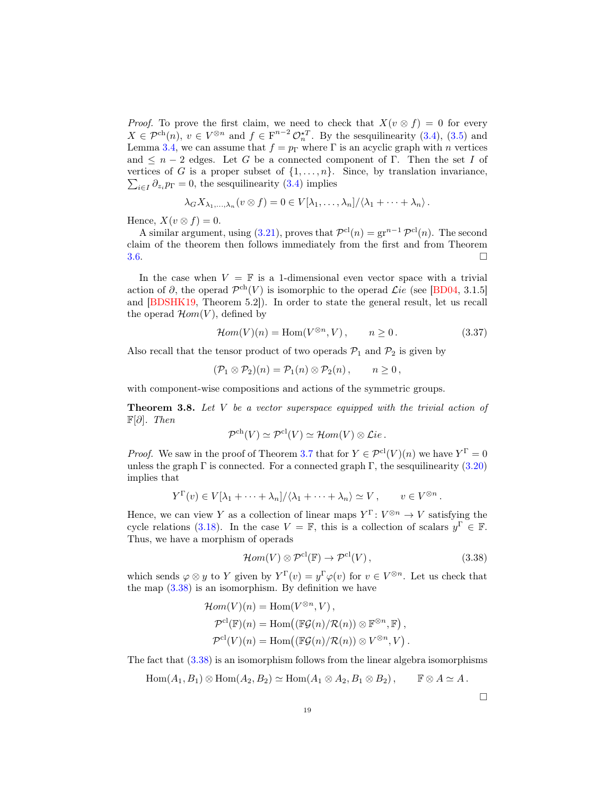*Proof.* To prove the first claim, we need to check that  $X(v \otimes f) = 0$  for every  $X \in \mathcal{P}^{ch}(n)$ ,  $v \in V^{\otimes n}$  and  $f \in \mathbb{F}^{n-2} \mathcal{O}_n^{\star T}$ . By the sesquilinearity [\(3.4\)](#page-13-3), [\(3.5\)](#page-13-4) and Lemma [3.4,](#page-16-0) we can assume that  $f = p_{\Gamma}$  where  $\Gamma$  is an acyclic graph with n vertices and  $\leq n-2$  edges. Let G be a connected component of Γ. Then the set I of vertices of G is a proper subset of  $\{1, \ldots, n\}$ . Since, by translation invariance,  $\sum_{i\in I} \partial_{z_i} p_{\Gamma} = 0$ , the sesquilinearity [\(3.4\)](#page-13-3) implies

$$
\lambda_G X_{\lambda_1,\ldots,\lambda_n}(v\otimes f)=0\in V[\lambda_1,\ldots,\lambda_n]/\langle \lambda_1+\cdots+\lambda_n\rangle.
$$

Hence,  $X(v \otimes f) = 0$ .

A similar argument, using [\(3.21\)](#page-15-3), proves that  $\mathcal{P}^{cl}(n) = \text{gr}^{n-1} \mathcal{P}^{cl}(n)$ . The second claim of the theorem then follows immediately from the first and from Theorem  $3.6.$ 

In the case when  $V = \mathbb{F}$  is a 1-dimensional even vector space with a trivial action of  $\partial$ , the operad  $\mathcal{P}^{ch}(V)$  is isomorphic to the operad Lie (see [\[BD04,](#page-54-11) 3.1.5] and [\[BDSHK19,](#page-54-2) Theorem 5.2]). In order to state the general result, let us recall the operad  $\mathcal{H}om(V)$ , defined by

<span id="page-18-1"></span>
$$
\mathcal{H}om(V)(n) = \text{Hom}(V^{\otimes n}, V), \qquad n \ge 0. \tag{3.37}
$$

Also recall that the tensor product of two operads  $P_1$  and  $P_2$  is given by

$$
(\mathcal{P}_1 \otimes \mathcal{P}_2)(n) = \mathcal{P}_1(n) \otimes \mathcal{P}_2(n), \qquad n \ge 0,
$$

with component-wise compositions and actions of the symmetric groups.

<span id="page-18-2"></span>**Theorem 3.8.** Let  $V$  be a vector superspace equipped with the trivial action of  $\mathbb{F}[\partial]$ . Then

$$
\mathcal{P}^{\mathrm{ch}}(V) \simeq \mathcal{P}^{\mathrm{cl}}(V) \simeq \mathcal{H}om(V) \otimes \mathcal{L}ie.
$$

*Proof.* We saw in the proof of Theorem [3.7](#page-17-2) that for  $Y \in \mathcal{P}^{cl}(V)(n)$  we have  $Y^{\Gamma} = 0$ unless the graph  $\Gamma$  is connected. For a connected graph  $\Gamma$ , the sesquilinearity [\(3.20\)](#page-15-1) implies that

$$
Y^{\Gamma}(v) \in V[\lambda_1 + \dots + \lambda_n]/\langle \lambda_1 + \dots + \lambda_n \rangle \simeq V, \qquad v \in V^{\otimes n}
$$

Hence, we can view Y as a collection of linear maps  $Y^{\Gamma}: V^{\otimes n} \to V$  satisfying the cycle relations [\(3.18\)](#page-15-0). In the case  $V = \mathbb{F}$ , this is a collection of scalars  $y^{\Gamma} \in \mathbb{F}$ . Thus, we have a morphism of operads

<span id="page-18-0"></span>
$$
\mathcal{H}om(V) \otimes \mathcal{P}^{\text{cl}}(\mathbb{F}) \to \mathcal{P}^{\text{cl}}(V) ,\qquad (3.38)
$$

which sends  $\varphi \otimes y$  to Y given by  $Y^{\Gamma}(v) = y^{\Gamma} \varphi(v)$  for  $v \in V^{\otimes n}$ . Let us check that the map  $(3.38)$  is an isomorphism. By definition we have

$$
\mathcal{H}om(V)(n) = \text{Hom}(V^{\otimes n}, V),
$$
  
\n
$$
\mathcal{P}^{\text{cl}}(\mathbb{F})(n) = \text{Hom}((\mathbb{F}\mathcal{G}(n)/\mathcal{R}(n)) \otimes \mathbb{F}^{\otimes n}, \mathbb{F}),
$$
  
\n
$$
\mathcal{P}^{\text{cl}}(V)(n) = \text{Hom}((\mathbb{F}\mathcal{G}(n)/\mathcal{R}(n)) \otimes V^{\otimes n}, V).
$$

The fact that [\(3.38\)](#page-18-0) is an isomorphism follows from the linear algebra isomorphisms

 $\text{Hom}(A_1, B_1) \otimes \text{Hom}(A_2, B_2) \simeq \text{Hom}(A_1 \otimes A_2, B_1 \otimes B_2), \qquad \mathbb{F} \otimes A \simeq A.$ 

 $\Box$ 

.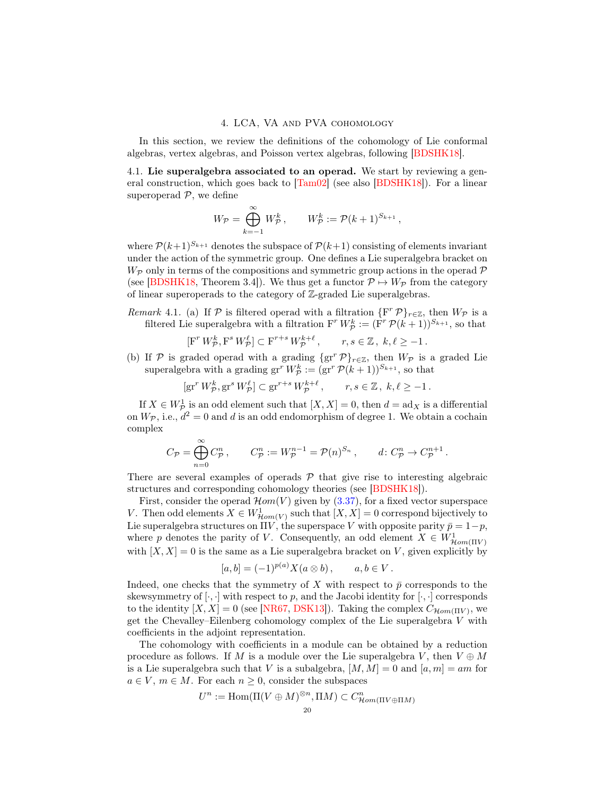## 4. LCA, VA and PVA cohomology

<span id="page-19-0"></span>In this section, we review the definitions of the cohomology of Lie conformal algebras, vertex algebras, and Poisson vertex algebras, following [\[BDSHK18\]](#page-54-1).

<span id="page-19-1"></span>4.1. Lie superalgebra associated to an operad. We start by reviewing a general construction, which goes back to [\[Tam02\]](#page-55-0) (see also [\[BDSHK18\]](#page-54-1)). For a linear superoperad  $P$ , we define

$$
W_{\mathcal{P}} = \bigoplus_{k=-1}^{\infty} W_{\mathcal{P}}^k, \qquad W_{\mathcal{P}}^k := \mathcal{P}(k+1)^{S_{k+1}},
$$

where  $\mathcal{P}(k+1)^{S_{k+1}}$  denotes the subspace of  $\mathcal{P}(k+1)$  consisting of elements invariant under the action of the symmetric group. One defines a Lie superalgebra bracket on  $W_{\mathcal{P}}$  only in terms of the compositions and symmetric group actions in the operad  $\mathcal P$ (see [\[BDSHK18,](#page-54-1) Theorem 3.4]). We thus get a functor  $\mathcal{P} \mapsto W_{\mathcal{P}}$  from the category of linear superoperads to the category of Z-graded Lie superalgebras.

Remark 4.1. (a) If  $P$  is filtered operad with a filtration  $\{F^r P\}_{r \in \mathbb{Z}}$ , then  $W_P$  is a filtered Lie superalgebra with a filtration  $F^r W^k_{\mathcal{P}} := (\tilde{F}^r \mathcal{P}(k+1))^{S_{k+1}}$ , so that

$$
[\mathbf{F}^r W^k_{\mathcal{P}}, \mathbf{F}^s W^{\ell}_{\mathcal{P}}] \subset \mathbf{F}^{r+s} W^{k+\ell}_{\mathcal{P}}, \qquad r, s \in \mathbb{Z}, \ k, \ell \ge -1.
$$

(b) If P is graded operad with a grading  $\{gr^r \mathcal{P}\}_{r\in\mathbb{Z}}$ , then  $W_{\mathcal{P}}$  is a graded Lie superalgebra with a grading  $gr^r W^k_{\mathcal{P}} := (gr^r \mathcal{P}(k+1))^{S_{k+1}}$ , so that

$$
[\operatorname{gr}^r W^k_{\mathcal{P}}, \operatorname{gr}^s W^{\ell}_{\mathcal{P}}] \subset \operatorname{gr}^{r+s} W^{k+\ell}_{\mathcal{P}}, \qquad r, s \in \mathbb{Z}, \ k, \ell \ge -1.
$$

If  $X \in W^1_{\mathcal{P}}$  is an odd element such that  $[X, X] = 0$ , then  $d = \text{ad}_X$  is a differential on  $W_{\mathcal{P}}$ , i.e.,  $d^2 = 0$  and d is an odd endomorphism of degree 1. We obtain a cochain complex

$$
C_{\mathcal{P}} = \bigoplus_{n=0}^{\infty} C_{\mathcal{P}}^n, \qquad C_{\mathcal{P}}^n := W_{\mathcal{P}}^{n-1} = \mathcal{P}(n)^{S_n}, \qquad d \colon C_{\mathcal{P}}^n \to C_{\mathcal{P}}^{n+1}.
$$

There are several examples of operads  $P$  that give rise to interesting algebraic structures and corresponding cohomology theories (see [\[BDSHK18\]](#page-54-1)).

First, consider the operad  $\mathcal{H}om(V)$  given by [\(3.37\)](#page-18-1), for a fixed vector superspace V. Then odd elements  $X \in W^1_{\mathcal{H}om(V)}$  such that  $[X, X] = 0$  correspond bijectively to Lie superalgebra structures on  $\Pi V$ , the superspace V with opposite parity  $\bar{p}=1-p$ , where p denotes the parity of V. Consequently, an odd element  $X \in W^1_{\mathcal{H}om(\Pi V)}$ with  $[X, X] = 0$  is the same as a Lie superalgebra bracket on V, given explicitly by

$$
[a, b] = (-1)^{p(a)} X(a \otimes b), \qquad a, b \in V.
$$

Indeed, one checks that the symmetry of X with respect to  $\bar{p}$  corresponds to the skewsymmetry of  $[\cdot, \cdot]$  with respect to p, and the Jacobi identity for  $[\cdot, \cdot]$  corresponds to the identity  $[X, X] = 0$  (see [\[NR67,](#page-55-5) [DSK13\]](#page-55-1)). Taking the complex  $C_{\mathcal{H}om(\Pi V)}$ , we get the Chevalley–Eilenberg cohomology complex of the Lie superalgebra V with coefficients in the adjoint representation.

The cohomology with coefficients in a module can be obtained by a reduction procedure as follows. If M is a module over the Lie superalgebra V, then  $V \oplus M$ is a Lie superalgebra such that V is a subalgebra,  $[M, M] = 0$  and  $[a, m] = am$  for  $a \in V$ ,  $m \in M$ . For each  $n \geq 0$ , consider the subspaces

$$
U^n := \text{Hom}(\Pi(V \oplus M)^{\otimes n}, \Pi M) \subset C^n_{\mathcal{H}om(\Pi V \oplus \Pi M)}
$$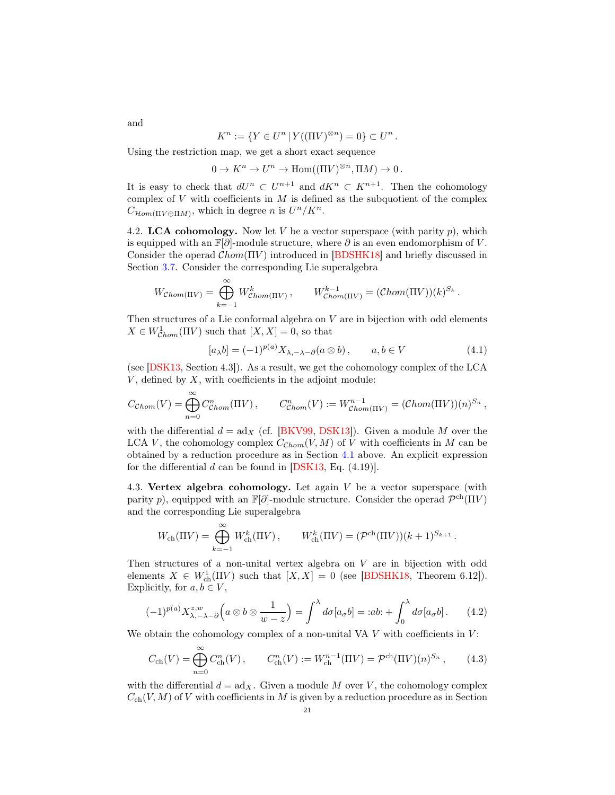$$
K^n := \{ Y \in U^n \, | \, Y((\Pi V)^{\otimes n}) = 0 \} \subset U^n \, .
$$

Using the restriction map, we get a short exact sequence

$$
0 \to K^n \to U^n \to \text{Hom}((\Pi V)^{\otimes n}, \Pi M) \to 0.
$$

It is easy to check that  $dU^n \subset U^{n+1}$  and  $dK^n \subset K^{n+1}$ . Then the cohomology complex of  $V$  with coefficients in  $M$  is defined as the subquotient of the complex  $C_{\mathcal{H}om(\Pi V \oplus \Pi M)}$ , which in degree n is  $U^{n}/K^{n}$ .

<span id="page-20-1"></span>4.2. LCA cohomology. Now let  $V$  be a vector superspace (with parity  $p$ ), which is equipped with an  $\mathbb{F}[\partial]$ -module structure, where  $\partial$  is an even endomorphism of V. Consider the operad  $Chom(\Pi V)$  introduced in [\[BDSHK18\]](#page-54-1) and briefly discussed in Section [3.7.](#page-17-3) Consider the corresponding Lie superalgebra

$$
W_{Chom(\Pi V)} = \bigoplus_{k=-1}^{\infty} W_{Chom(\Pi V)}^k, \qquad W_{Chom(\Pi V)}^{k-1} = (\mathcal{C}hom(\Pi V))(k)^{S_k}.
$$

Then structures of a Lie conformal algebra on  $V$  are in bijection with odd elements  $X \in W^1_{\mathcal{C}hom}(\Pi V)$  such that  $[X, X] = 0$ , so that

<span id="page-20-2"></span>
$$
[a_{\lambda}b] = (-1)^{p(a)} X_{\lambda, -\lambda - \partial}(a \otimes b), \qquad a, b \in V \tag{4.1}
$$

(see [\[DSK13,](#page-55-1) Section 4.3]). As a result, we get the cohomology complex of the LCA  $V$ , defined by  $X$ , with coefficients in the adjoint module:

$$
C_{\mathcal{C}hom}(V) = \bigoplus_{n=0}^{\infty} C_{\mathcal{C}hom}^n(\Pi V), \qquad C_{\mathcal{C}hom}^n(V) := W_{\mathcal{C}hom}^{n-1}(\Pi V) = (\mathcal{C}hom(\Pi V))(n)^{S_n},
$$

with the differential  $d = ad_X$  (cf. [\[BKV99,](#page-54-8) [DSK13\]](#page-55-1)). Given a module M over the LCA V, the cohomology complex  $C_{Chom}(V, M)$  of V with coefficients in M can be obtained by a reduction procedure as in Section [4.1](#page-19-1) above. An explicit expression for the differential  $d$  can be found in [\[DSK13,](#page-55-1) Eq.  $(4.19)$ ].

<span id="page-20-4"></span>4.3. Vertex algebra cohomology. Let again  $V$  be a vector superspace (with parity p), equipped with an  $\mathbb{F}[\partial]$ -module structure. Consider the operad  $\mathcal{P}^{ch}(\Pi V)$ and the corresponding Lie superalgebra

$$
W_{\rm ch}(\Pi V) = \bigoplus_{k=-1}^{\infty} W_{\rm ch}^k(\Pi V), \qquad W_{\rm ch}^k(\Pi V) = (\mathcal{P}^{\rm ch}(\Pi V))(k+1)^{S_{k+1}}.
$$

Then structures of a non-unital vertex algebra on V are in bijection with odd elements  $X \in W^1_{\text{ch}}(\Pi V)$  such that  $[X, X] = 0$  (see [\[BDSHK18,](#page-54-1) Theorem 6.12]). Explicitly, for  $a, b \in V$ ,

<span id="page-20-0"></span>
$$
(-1)^{p(a)} X_{\lambda, -\lambda - \partial}^{z, w} \left( a \otimes b \otimes \frac{1}{w - z} \right) = \int^{\lambda} d\sigma [a_{\sigma} b] = :ab: + \int_0^{\lambda} d\sigma [a_{\sigma} b] \,. \tag{4.2}
$$

We obtain the cohomology complex of a non-unital VA  $V$  with coefficients in  $V$ :

<span id="page-20-3"></span>
$$
C_{\rm ch}(V) = \bigoplus_{n=0}^{\infty} C_{\rm ch}^n(V) \,, \qquad C_{\rm ch}^n(V) := W_{\rm ch}^{n-1}(\Pi V) = \mathcal{P}^{\rm ch}(\Pi V)(n)^{S_n} \,, \tag{4.3}
$$

with the differential  $d = \text{ad}_X$ . Given a module M over V, the cohomology complex  $C_{\text{ch}}(V, M)$  of V with coefficients in M is given by a reduction procedure as in Section

and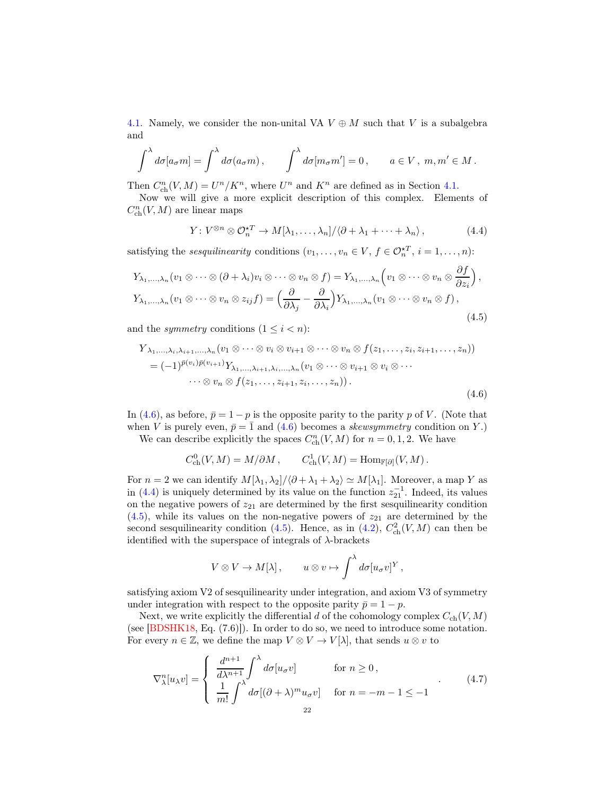[4.1.](#page-19-1) Namely, we consider the non-unital VA  $V \oplus M$  such that V is a subalgebra and

$$
\int^{\lambda} d\sigma [a_{\sigma} m] = \int^{\lambda} d\sigma (a_{\sigma} m) , \qquad \int^{\lambda} d\sigma [m_{\sigma} m'] = 0 , \qquad a \in V, \ m, m' \in M .
$$

Then  $C_{\text{ch}}^n(V, M) = U^n / K^n$ , where  $U^n$  and  $K^n$  are defined as in Section [4.1.](#page-19-1)

Now we will give a more explicit description of this complex. Elements of  $C^n_{\text{ch}}(V,M)$  are linear maps

<span id="page-21-1"></span>
$$
Y: V^{\otimes n} \otimes \mathcal{O}_n^{\star T} \to M[\lambda_1, \dots, \lambda_n] / \langle \partial + \lambda_1 + \dots + \lambda_n \rangle, \tag{4.4}
$$

satisfying the *sesquilinearity* conditions  $(v_1, \ldots, v_n \in V, f \in \mathcal{O}_n^{\star T}, i = 1, \ldots, n)$ :

<span id="page-21-2"></span>
$$
Y_{\lambda_1,\dots,\lambda_n}(v_1 \otimes \dots \otimes (\partial + \lambda_i)v_i \otimes \dots \otimes v_n \otimes f) = Y_{\lambda_1,\dots,\lambda_n}\left(v_1 \otimes \dots \otimes v_n \otimes \frac{\partial f}{\partial z_i}\right),
$$
  
\n
$$
Y_{\lambda_1,\dots,\lambda_n}(v_1 \otimes \dots \otimes v_n \otimes z_{ij}f) = \left(\frac{\partial}{\partial \lambda_j} - \frac{\partial}{\partial \lambda_i}\right)Y_{\lambda_1,\dots,\lambda_n}(v_1 \otimes \dots \otimes v_n \otimes f),
$$
  
\n(4.5)

and the *symmetry* conditions  $(1 \leq i < n)$ :

<span id="page-21-0"></span>
$$
Y_{\lambda_1,\dots,\lambda_i,\lambda_{i+1},\dots,\lambda_n}(v_1 \otimes \dots \otimes v_i \otimes v_{i+1} \otimes \dots \otimes v_n \otimes f(z_1,\dots,z_i,z_{i+1},\dots,z_n))
$$
  
=  $(-1)^{\bar{p}(v_i)\bar{p}(v_{i+1})}Y_{\lambda_1,\dots,\lambda_{i+1},\lambda_i,\dots,\lambda_n}(v_1 \otimes \dots \otimes v_{i+1} \otimes v_i \otimes \dots$   
 $\dots \otimes v_n \otimes f(z_1,\dots,z_{i+1},z_i,\dots,z_n)).$  (4.6)

In [\(4.6\)](#page-21-0), as before,  $\bar{p} = 1 - p$  is the opposite parity to the parity p of V. (Note that when V is purely even,  $\bar{p}=\bar{1}$  and [\(4.6\)](#page-21-0) becomes a *skewsymmetry* condition on Y.

We can describe explicitly the spaces  $C_{\text{ch}}^n(V, M)$  for  $n = 0, 1, 2$ . We have

$$
C^0_{\text{ch}}(V, M) = M/\partial M, \qquad C^1_{\text{ch}}(V, M) = \text{Hom}_{\mathbb{F}[\partial]}(V, M) .
$$

For  $n = 2$  we can identify  $M[\lambda_1, \lambda_2]/\langle \partial + \lambda_1 + \lambda_2 \rangle \simeq M[\lambda_1]$ . Moreover, a map Y as in [\(4.4\)](#page-21-1) is uniquely determined by its value on the function  $z_{21}^{-1}$ . Indeed, its values on the negative powers of  $z_{21}$  are determined by the first sesquilinearity condition  $(4.5)$ , while its values on the non-negative powers of  $z_{21}$  are determined by the second sesquilinearity condition [\(4.5\)](#page-21-2). Hence, as in [\(4.2\)](#page-20-0),  $C_{ch}^2(V, M)$  can then be identified with the superspace of integrals of  $\lambda$ -brackets

$$
V \otimes V \to M[\lambda], \qquad u \otimes v \mapsto \int^{\lambda} d\sigma [u_{\sigma}v]^{Y},
$$

satisfying axiom V2 of sesquilinearity under integration, and axiom V3 of symmetry under integration with respect to the opposite parity  $\bar{p} = 1 - p$ .

Next, we write explicitly the differential d of the cohomology complex  $C_{ch}(V, M)$ (see [\[BDSHK18,](#page-54-1) Eq. (7.6)]). In order to do so, we need to introduce some notation. For every  $n \in \mathbb{Z}$ , we define the map  $V \otimes V \to V[\lambda]$ , that sends  $u \otimes v$  to

<span id="page-21-3"></span>
$$
\nabla_{\lambda}^{n}[u_{\lambda}v] = \begin{cases}\n\frac{d^{n+1}}{d\lambda^{n+1}} \int^{\lambda} d\sigma[u_{\sigma}v] & \text{for } n \ge 0, \\
\frac{1}{m!} \int^{\lambda} d\sigma[(\partial + \lambda)^{m}u_{\sigma}v] & \text{for } n = -m - 1 \le -1\n\end{cases}
$$
\n(4.7)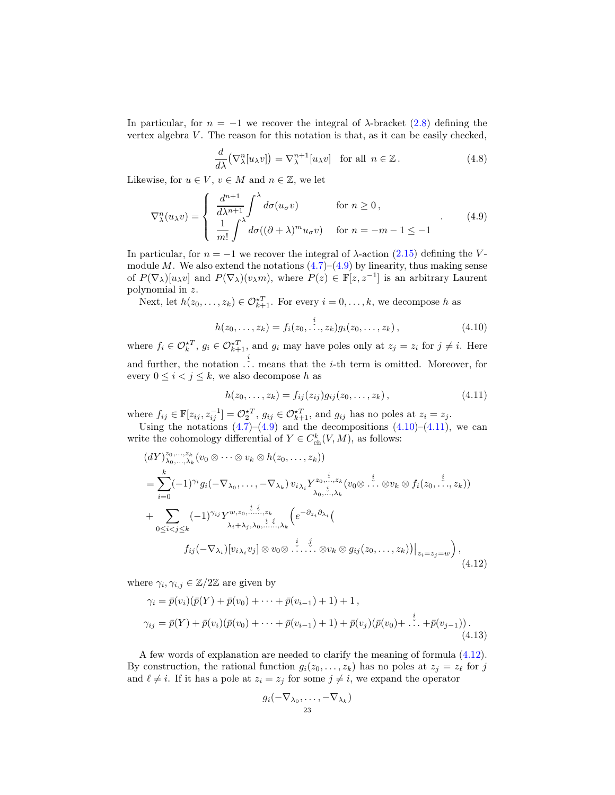In particular, for  $n = -1$  we recover the integral of  $\lambda$ -bracket [\(2.8\)](#page-8-4) defining the vertex algebra  $V$ . The reason for this notation is that, as it can be easily checked,

$$
\frac{d}{d\lambda} \left( \nabla_{\lambda}^{n} [u_{\lambda} v] \right) = \nabla_{\lambda}^{n+1} [u_{\lambda} v] \quad \text{for all } n \in \mathbb{Z} \,.
$$
 (4.8)

Likewise, for  $u \in V$ ,  $v \in M$  and  $n \in \mathbb{Z}$ , we let

<span id="page-22-0"></span>
$$
\nabla_{\lambda}^{n}(u_{\lambda}v) = \begin{cases} \frac{d^{n+1}}{d\lambda^{n+1}} \int^{\lambda} d\sigma(u_{\sigma}v) & \text{for } n \ge 0, \\ \frac{1}{m!} \int^{\lambda} d\sigma((\partial + \lambda)^{m} u_{\sigma}v) & \text{for } n = -m - 1 \le -1 \end{cases}
$$
(4.9)

In particular, for  $n = -1$  we recover the integral of  $\lambda$ -action [\(2.15\)](#page-9-0) defining the Vmodule M. We also extend the notations  $(4.7)$ – $(4.9)$  by linearity, thus making sense of  $P(\nabla_\lambda)[u_\lambda v]$  and  $P(\nabla_\lambda)(v_\lambda m)$ , where  $P(z) \in \mathbb{F}[z, z^{-1}]$  is an arbitrary Laurent polynomial in z.

Next, let  $h(z_0,...,z_k) \in \mathcal{O}_{k+1}^{*T}$ . For every  $i = 0,...,k$ , we decompose h as

<span id="page-22-1"></span>
$$
h(z_0, \ldots, z_k) = f_i(z_0, \ldots, z_k) g_i(z_0, \ldots, z_k), \qquad (4.10)
$$

where  $f_i \in \mathcal{O}_k^{*T}$ ,  $g_i \in \mathcal{O}_{k+1}^{*T}$ , and  $g_i$  may have poles only at  $z_j = z_i$  for  $j \neq i$ . Here and further, the notation  $\ldots$  means that the *i*-th term is omitted. Moreover, for every  $0 \le i < j \le k$ , we also decompose h as

<span id="page-22-2"></span>
$$
h(z_0, ..., z_k) = f_{ij}(z_{ij})g_{ij}(z_0, ..., z_k),
$$
\n(4.11)

where  $f_{ij} \in \mathbb{F}[z_{ij}, z_{ij}^{-1}] = \mathcal{O}_2^{\star T}, g_{ij} \in \mathcal{O}_{k+1}^{\star T}$ , and  $g_{ij}$  has no poles at  $z_i = z_j$ .

Using the notations  $(4.7)$ – $(4.9)$  and the decompositions  $(4.10)$ – $(4.11)$ , we can write the cohomology differential of  $Y \in C_{\text{ch}}^{k}(V, M)$ , as follows:

<span id="page-22-3"></span>
$$
(dY)_{\lambda_0,\dots,\lambda_k}^{z_0,\dots,z_k}(v_0\otimes\cdots\otimes v_k\otimes h(z_0,\dots,z_k))
$$
  
\n
$$
=\sum_{i=0}^k (-1)^{\gamma_i}g_i(-\nabla_{\lambda_0},\dots,-\nabla_{\lambda_k})v_{i\lambda_i}Y_{\lambda_0,\dots,\lambda_k}^{z_0,\dots,z_k}(v_0\otimes\cdots\otimes v_k\otimes f_i(z_0,\dots,z_k))
$$
  
\n
$$
+\sum_{0\leq i  
\n
$$
f_{ij}(-\nabla_{\lambda_i})[v_{i\lambda_i}v_j]\otimes v_0\otimes\cdots\otimes v_k\otimes g_{ij}(z_0,\dots,z_k)]\Big|_{z_i=z_j=w}\Big),
$$
  
\n(4.12)
$$

where  $\gamma_i, \gamma_{i,j} \in \mathbb{Z}/2\mathbb{Z}$  are given by

<span id="page-22-4"></span>
$$
\gamma_i = \bar{p}(v_i)(\bar{p}(Y) + \bar{p}(v_0) + \dots + \bar{p}(v_{i-1}) + 1) + 1,
$$
  
\n
$$
\gamma_{ij} = \bar{p}(Y) + \bar{p}(v_i)(\bar{p}(v_0) + \dots + \bar{p}(v_{i-1}) + 1) + \bar{p}(v_j)(\bar{p}(v_0) + \dots + \bar{p}(v_{j-1})).
$$
\n(4.13)

A few words of explanation are needed to clarify the meaning of formula [\(4.12\)](#page-22-3). By construction, the rational function  $g_i(z_0, \ldots, z_k)$  has no poles at  $z_j = z_\ell$  for j and  $\ell \neq i$ . If it has a pole at  $z_i = z_j$  for some  $j \neq i$ , we expand the operator

$$
g_i(-\nabla_{\lambda_0},\ldots,-\nabla_{\lambda_k})
$$
<sub>23</sub>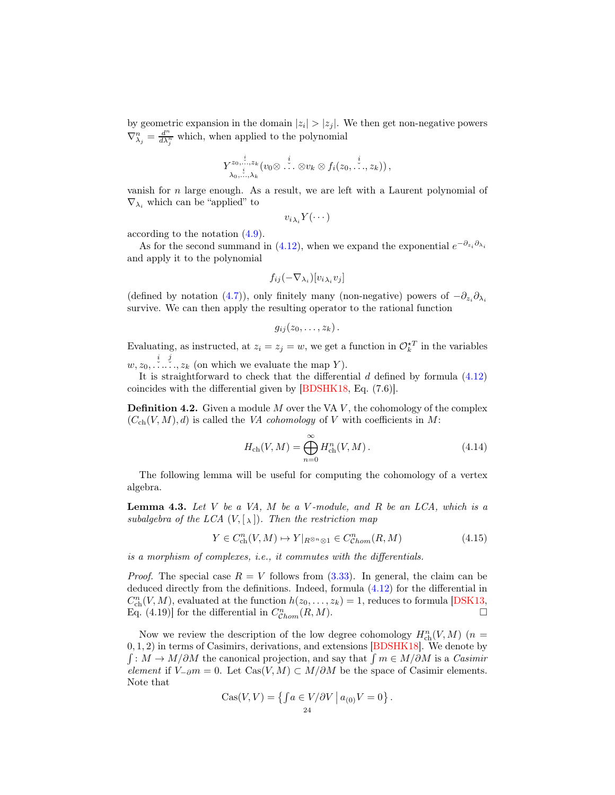by geometric expansion in the domain  $|z_i| > |z_j|$ . We then get non-negative powers  $\nabla_{\lambda_j}^n = \frac{d^n}{d\lambda_j^n}$  which, when applied to the polynomial

$$
Y^{z_0,\stackrel{i}{\ldots},z_k}_{\lambda_0,\stackrel{i}{\ldots},\lambda_k}(v_0\otimes\stackrel{i}{\ldots}\otimes v_k\otimes f_i(z_0,\stackrel{i}{\ldots},z_k))\,,
$$

vanish for  $n$  large enough. As a result, we are left with a Laurent polynomial of  $\nabla_{\lambda_i}$  which can be "applied" to

 $v_{i\lambda_i}Y(\cdots)$ 

according to the notation [\(4.9\)](#page-22-0).

As for the second summand in [\(4.12\)](#page-22-3), when we expand the exponential  $e^{-\partial_{z_i}\partial_{\lambda_i}}$ and apply it to the polynomial

$$
f_{ij}(-\nabla_{\lambda_i})[v_{i\,\lambda_i}v_j]
$$

(defined by notation [\(4.7\)](#page-21-3)), only finitely many (non-negative) powers of  $-\partial_{z_i}\partial_{\lambda_i}$ survive. We can then apply the resulting operator to the rational function

$$
g_{ij}(z_0,\ldots,z_k)\,.
$$

Evaluating, as instructed, at  $z_i = z_j = w$ , we get a function in  $\mathcal{O}_{k}^{\star T}$  in the variables  $w, z_0, \ldots, z_k$  (on which we evaluate the map Y).

It is straightforward to check that the differential  $d$  defined by formula  $(4.12)$ coincides with the differential given by [\[BDSHK18,](#page-54-1) Eq. (7.6)].

**Definition 4.2.** Given a module  $M$  over the VA  $V$ , the cohomology of the complex  $(C_{ch}(V, M), d)$  is called the VA cohomology of V with coefficients in M:

$$
H_{\rm ch}(V, M) = \bigoplus_{n=0}^{\infty} H_{\rm ch}^{n}(V, M). \tag{4.14}
$$

The following lemma will be useful for computing the cohomology of a vertex algebra.

<span id="page-23-0"></span>**Lemma 4.3.** Let  $V$  be a VA,  $M$  be a  $V$ -module, and  $R$  be an  $LCA$ , which is a subalgebra of the LCA  $(V, [\lambda])$ . Then the restriction map

<span id="page-23-1"></span>
$$
Y \in C^n_{\text{ch}}(V, M) \mapsto Y|_{R^{\otimes n} \otimes 1} \in C^n_{\text{Chom}}(R, M) \tag{4.15}
$$

is a morphism of complexes, i.e., it commutes with the differentials.

*Proof.* The special case  $R = V$  follows from [\(3.33\)](#page-17-4). In general, the claim can be deduced directly from the definitions. Indeed, formula [\(4.12\)](#page-22-3) for the differential in  $C_{\text{ch}}^{n}(V, M)$ , evaluated at the function  $h(z_0, \ldots, z_k) = 1$ , reduces to formula [\[DSK13,](#page-55-1) Eq. (4.19)] for the differential in  $C_{Chom}^n(R, M)$ .

Now we review the description of the low degree cohomology  $H_{\text{ch}}^n(V, M)$  ( $n =$ 0, 1, 2) in terms of Casimirs, derivations, and extensions [\[BDSHK18\]](#page-54-1). We denote by  $\int \colon M \to M/\partial M$  the canonical projection, and say that  $\int m \in M/\partial M$  is a Casimir element if  $V_{-∂}m = 0$ . Let Cas(V, M) ⊂ M/ $∂M$  be the space of Casimir elements. Note that

$$
Cas(V,V) = \left\{ \int a \in V/\partial V \mid a_{(0)}V = 0 \right\}.
$$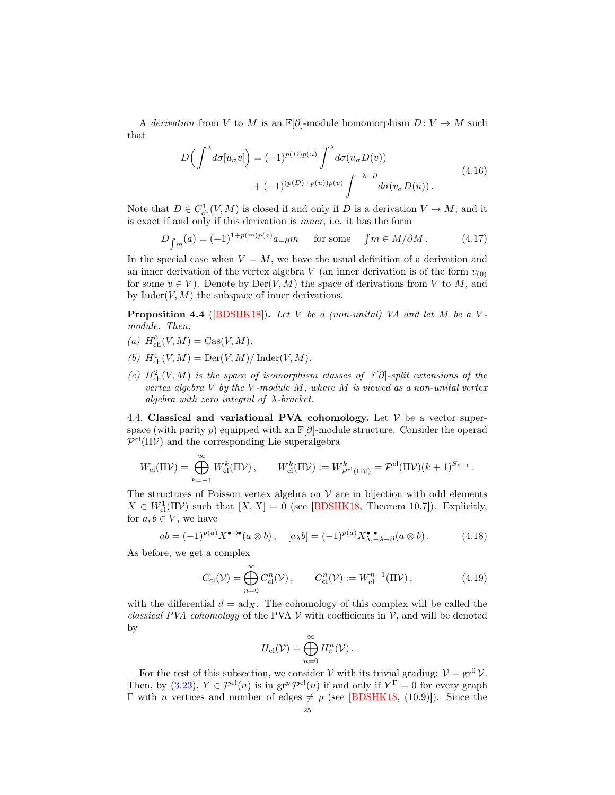A derivation from V to M is an  $\mathbb{F}[\partial]$ -module homomorphism  $D: V \to M$  such that

$$
D\left(\int^{\lambda} d\sigma[u_{\sigma}v]\right) = (-1)^{p(D)p(u)} \int^{\lambda} d\sigma(u_{\sigma}D(v)) + (-1)^{(p(D)+p(u))p(v)} \int^{-\lambda-\partial} d\sigma(v_{\sigma}D(u)).
$$
\n(4.16)

Note that  $D \in C^1_{\text{ch}}(V, M)$  is closed if and only if D is a derivation  $V \to M$ , and it is exact if and only if this derivation is inner, i.e. it has the form

$$
D_{\int m}(a) = (-1)^{1+p(m)p(a)} a_{-\partial} m \quad \text{for some} \quad \int m \in M/\partial M. \tag{4.17}
$$

In the special case when  $V = M$ , we have the usual definition of a derivation and an inner derivation of the vertex algebra V (an inner derivation is of the form  $v_{(0)}$ ) for some  $v \in V$ ). Denote by  $Der(V, M)$  the space of derivations from V to M, and by  $\text{Inder}(V, M)$  the subspace of inner derivations.

**Proposition 4.4** ([\[BDSHK18\]](#page-54-1)). Let V be a (non-unital) VA and let M be a Vmodule. Then:

- (a)  $H_{\text{ch}}^{0}(V, M) = \text{Cas}(V, M).$
- (b)  $H^1_{\text{ch}}(V, M) = \text{Der}(V, M) / \text{Inder}(V, M)$ .
- (c)  $H_{\text{ch}}^2(V, M)$  is the space of isomorphism classes of  $\mathbb{F}[\partial]$ -split extensions of the vertex algebra  $V$  by the  $V$ -module  $M$ , where  $M$  is viewed as a non-unital vertex algebra with zero integral of  $\lambda$ -bracket.

<span id="page-24-0"></span>4.4. Classical and variational PVA cohomology. Let  $V$  be a vector superspace (with parity p) equipped with an  $\mathbb{F}[\partial]$ -module structure. Consider the operad  $\mathcal{P}^{\text{cl}}(\Pi \mathcal{V})$  and the corresponding Lie superalgebra

$$
W_{\mathrm{cl}}(\Pi \mathcal{V}) = \bigoplus_{k=-1}^{\infty} W_{\mathrm{cl}}^k(\Pi \mathcal{V}), \qquad W_{\mathrm{cl}}^k(\Pi \mathcal{V}) := W_{\mathcal{P}^{\mathrm{cl}}(\Pi \mathcal{V})}^k = \mathcal{P}^{\mathrm{cl}}(\Pi \mathcal{V})(k+1)^{S_{k+1}}.
$$

The structures of Poisson vertex algebra on  $V$  are in bijection with odd elements  $X \in W^1_{\text{cl}}(\Pi \mathcal{V})$  such that  $[X, X] = 0$  (see [\[BDSHK18,](#page-54-1) Theorem 10.7]). Explicitly, for  $a, b \in V$ , we have

<span id="page-24-2"></span>
$$
ab = (-1)^{p(a)} X^{\bullet \to \bullet}(a \otimes b), \quad [a_{\lambda}b] = (-1)^{p(a)} X^{\bullet \bullet}_{\lambda, -\lambda - \partial}(a \otimes b). \tag{4.18}
$$

As before, we get a complex

<span id="page-24-1"></span>
$$
C_{\rm cl}(\mathcal{V}) = \bigoplus_{n=0}^{\infty} C_{\rm cl}^n(\mathcal{V}), \qquad C_{\rm cl}^n(\mathcal{V}) := W_{\rm cl}^{n-1}(\Pi \mathcal{V}), \qquad (4.19)
$$

with the differential  $d = ad_X$ . The cohomology of this complex will be called the classical PVA cohomology of the PVA  $\mathcal V$  with coefficients in  $\mathcal V$ , and will be denoted by

$$
H_{\text{cl}}(\mathcal{V}) = \bigoplus_{n=0}^{\infty} H_{\text{cl}}^n(\mathcal{V})\,.
$$

For the rest of this subsection, we consider  $V$  with its trivial grading:  $V = gr^0 V$ . Then, by  $(3.23)$ ,  $Y \in \mathcal{P}^{cl}(n)$  is in  $gr^p \mathcal{P}^{cl}(n)$  if and only if  $Y^{\Gamma} = 0$  for every graph Γ with *n* vertices and number of edges  $\neq p$  (see [\[BDSHK18,](#page-54-1) (10.9)]). Since the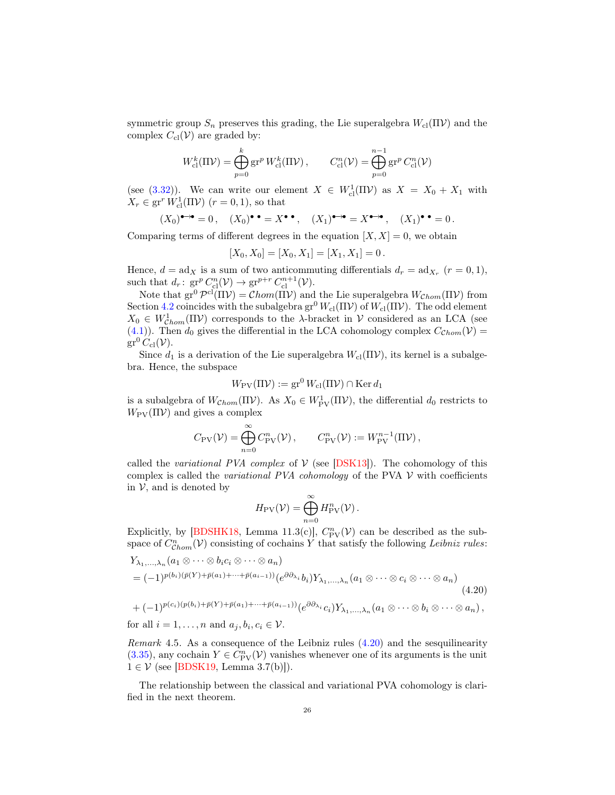symmetric group  $S_n$  preserves this grading, the Lie superalgebra  $W_{\text{cl}}(\Pi \mathcal{V})$  and the complex  $C_{\text{cl}}(\mathcal{V})$  are graded by:

$$
W_{\text{cl}}^k(\Pi \mathcal{V}) = \bigoplus_{p=0}^k \text{gr}^p W_{\text{cl}}^k(\Pi \mathcal{V}), \qquad C_{\text{cl}}^n(\mathcal{V}) = \bigoplus_{p=0}^{n-1} \text{gr}^p C_{\text{cl}}^n(\mathcal{V})
$$

(see [\(3.32\)](#page-17-5)). We can write our element  $X \in W_{\text{cl}}^1(\Pi \mathcal{V})$  as  $X = X_0 + X_1$  with  $X_r \in \operatorname{gr}^r W^1_{\text{cl}}(\Pi \mathcal{V})$   $(r = 0, 1)$ , so that

$$
(X_0)^{\bullet \rightarrow \bullet} = 0
$$
,  $(X_0)^{\bullet \bullet} = X^{\bullet \bullet}$ ,  $(X_1)^{\bullet \rightarrow \bullet} = X^{\bullet \rightarrow \bullet}$ ,  $(X_1)^{\bullet \bullet} = 0$ .

Comparing terms of different degrees in the equation  $[X, X] = 0$ , we obtain

$$
[X_0, X_0] = [X_0, X_1] = [X_1, X_1] = 0.
$$

Hence,  $d = \text{ad}_X$  is a sum of two anticommuting differentials  $d_r = \text{ad}_{X_r}$   $(r = 0, 1)$ , such that  $d_r: \operatorname{gr}^p C_{\text{cl}}^n(\mathcal{V}) \to \operatorname{gr}^{p+r} C_{\text{cl}}^{n+1}(\mathcal{V}).$ 

Note that  $gr^0 \mathcal{P}^{cl}(\Pi \mathcal{V}) = \mathcal{C}hom(\Pi \mathcal{V})$  and the Lie superalgebra  $W_{\mathcal{C}hom}(\Pi \mathcal{V})$  from Section [4.2](#page-20-1) coincides with the subalgebra  $gr^0 W_{cl}(\Pi V)$  of  $W_{cl}(\Pi V)$ . The odd element  $X_0 \in W^1_{\mathcal{C}hom}(\Pi \mathcal{V})$  corresponds to the  $\lambda$ -bracket in  $\mathcal{V}$  considered as an LCA (see [\(4.1\)](#page-20-2)). Then  $d_0$  gives the differential in the LCA cohomology complex  $C_{Chom}(V)$  =  $gr^0C_{\text{cl}}(\mathcal{V}).$ 

Since  $d_1$  is a derivation of the Lie superalgebra  $W_{\text{cl}}(\Pi \mathcal{V})$ , its kernel is a subalgebra. Hence, the subspace

$$
W_{\rm PV}(\Pi \mathcal{V}) := \mathrm{gr}^0 W_{\rm cl}(\Pi \mathcal{V}) \cap \mathrm{Ker} \, d_1
$$

is a subalgebra of  $W_{Chom}(\Pi V)$ . As  $X_0 \in W^1_{PV}(\Pi V)$ , the differential  $d_0$  restricts to  $W_{\rm PV}(\Pi V)$  and gives a complex

$$
C_{\rm PV}(\mathcal{V}) = \bigoplus_{n=0}^{\infty} C_{\rm PV}^n(\mathcal{V}), \qquad C_{\rm PV}^n(\mathcal{V}) := W_{\rm PV}^{n-1}(\Pi \mathcal{V}),
$$

called the variational PVA complex of  $V$  (see [\[DSK13\]](#page-55-1)). The cohomology of this complex is called the *variational PVA cohomology* of the PVA  $V$  with coefficients in  $V$ , and is denoted by

<span id="page-25-0"></span>
$$
H_{\rm PV}(\mathcal{V}) = \bigoplus_{n=0}^\infty H_{\rm PV}^n(\mathcal{V}).
$$

Explicitly, by [\[BDSHK18,](#page-54-1) Lemma 11.3(c)],  $C_{\text{PV}}^n(\mathcal{V})$  can be described as the subspace of  $C^n_{Chom}(\mathcal{V})$  consisting of cochains Y that satisfy the following Leibniz rules:

$$
Y_{\lambda_1,\dots,\lambda_n}(a_1 \otimes \dots \otimes b_i c_i \otimes \dots \otimes a_n)
$$
  
=  $(-1)^{p(b_i)(\bar{p}(Y) + \bar{p}(a_1) + \dots + \bar{p}(a_{i-1}))} (e^{\partial \partial_{\lambda_i}} b_i) Y_{\lambda_1,\dots,\lambda_n}(a_1 \otimes \dots \otimes c_i \otimes \dots \otimes a_n)$   
+  $(-1)^{p(c_i)(p(b_i) + \bar{p}(Y) + \bar{p}(a_1) + \dots + \bar{p}(a_{i-1}))} (e^{\partial \partial_{\lambda_i}} c_i) Y_{\lambda_1,\dots,\lambda_n}(a_1 \otimes \dots \otimes b_i \otimes \dots \otimes a_n),$   
for all  $i = 1,\dots,n$  and  $a_j, b_i, c_i \in \mathcal{V}$ .

<span id="page-25-1"></span>Remark 4.5. As a consequence of the Leibniz rules [\(4.20\)](#page-25-0) and the sesquilinearity [\(3.35\)](#page-17-6), any cochain  $Y \in C_{\text{PV}}^n(V)$  vanishes whenever one of its arguments is the unit  $1 \in \mathcal{V}$  (see [\[BDSK19,](#page-54-3) Lemma 3.7(b)]).

The relationship between the classical and variational PVA cohomology is clarified in the next theorem.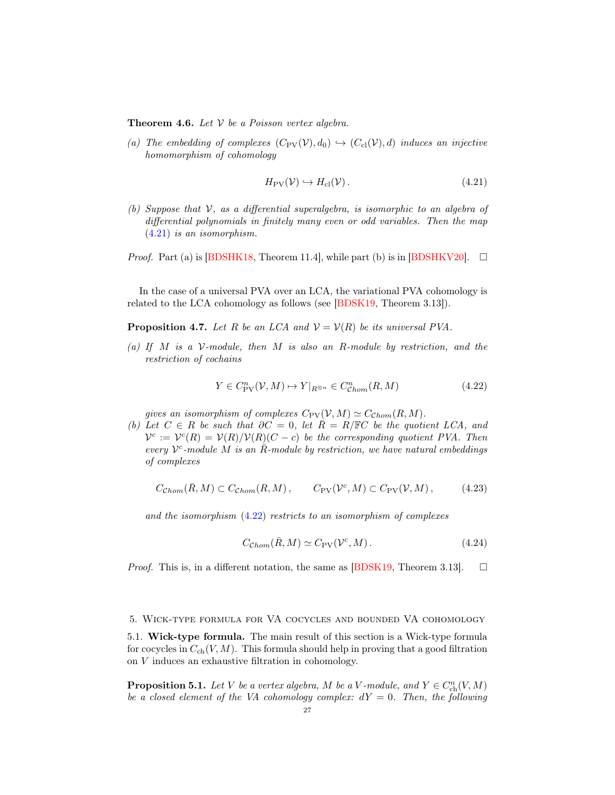<span id="page-26-3"></span>**Theorem 4.6.** Let  $V$  be a Poisson vertex algebra.

(a) The embedding of complexes  $(C_{PV}(\mathcal{V}), d_0) \hookrightarrow (C_{cl}(\mathcal{V}), d)$  induces an injective homomorphism of cohomology

<span id="page-26-1"></span>
$$
H_{\rm PV}(\mathcal{V}) \hookrightarrow H_{\rm cl}(\mathcal{V}).\tag{4.21}
$$

(b) Suppose that  $V$ , as a differential superalgebra, is isomorphic to an algebra of differential polynomials in finitely many even or odd variables. Then the map [\(4.21\)](#page-26-1) is an isomorphism.

*Proof.* Part (a) is [\[BDSHK18,](#page-54-1) Theorem 11.4], while part (b) is in [\[BDSHKV20\]](#page-54-5).  $\Box$ 

In the case of a universal PVA over an LCA, the variational PVA cohomology is related to the LCA cohomology as follows (see [\[BDSK19,](#page-54-3) Theorem 3.13]).

<span id="page-26-4"></span>**Proposition 4.7.** Let R be an LCA and  $V = V(R)$  be its universal PVA.

(a) If M is a  $V$ -module, then M is also an R-module by restriction, and the restriction of cochains

<span id="page-26-2"></span>
$$
Y \in C_{\text{PV}}^n(\mathcal{V}, M) \mapsto Y|_{R^{\otimes n}} \in C_{\text{Chom}}^n(R, M) \tag{4.22}
$$

gives an isomorphism of complexes  $C_{\text{PV}}(\mathcal{V}, M) \simeq C_{\text{Chom}}(R, M)$ .

(b) Let  $C \in R$  be such that  $\partial C = 0$ , let  $\overline{R} = R/\mathbb{F}C$  be the quotient LCA, and  $V^c := V^c(R) = V(R)/V(R)(C - c)$  be the corresponding quotient PVA. Then every  $V^c$ -module M is an  $\overline{R}$ -module by restriction, we have natural embeddings of complexes

$$
C_{\mathcal{C}hom}(\bar{R}, M) \subset C_{\mathcal{C}hom}(R, M), \qquad C_{\text{PV}}(\mathcal{V}^c, M) \subset C_{\text{PV}}(\mathcal{V}, M), \tag{4.23}
$$

and the isomorphism [\(4.22\)](#page-26-2) restricts to an isomorphism of complexes

$$
C_{\mathcal{C}hom}(\bar{R}, M) \simeq C_{\text{PV}}(\mathcal{V}^c, M). \tag{4.24}
$$

*Proof.* This is, in a different notation, the same as [\[BDSK19,](#page-54-3) Theorem 3.13].  $\square$ 

#### <span id="page-26-0"></span>5. Wick-type formula for VA cocycles and bounded VA cohomology

5.1. Wick-type formula. The main result of this section is a Wick-type formula for cocycles in  $C_{ch}(V, M)$ . This formula should help in proving that a good filtration on V induces an exhaustive filtration in cohomology.

**Proposition 5.1.** Let V be a vertex algebra, M be a V-module, and  $Y \in C_{\text{ch}}^n(V, M)$ be a closed element of the VA cohomology complex:  $dY = 0$ . Then, the following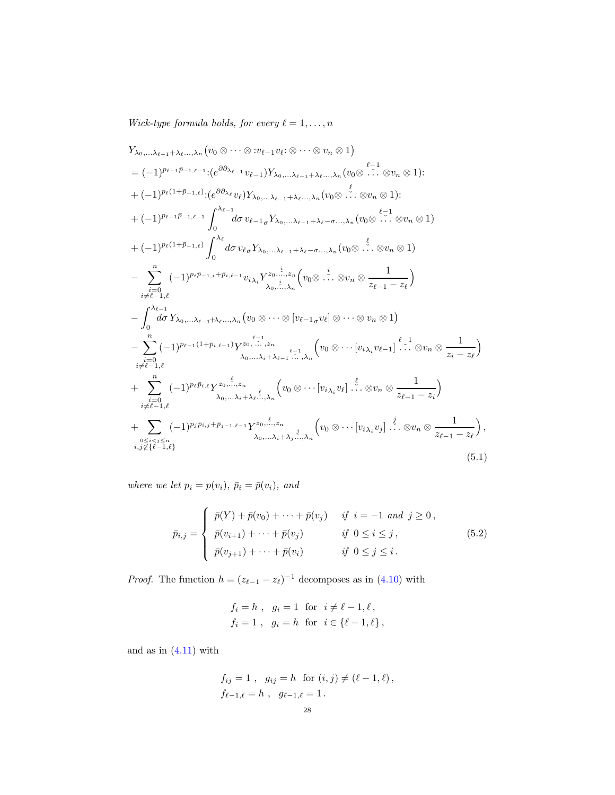Wick-type formula holds, for every  $\ell = 1, \ldots, n$ 

<span id="page-27-0"></span>
$$
Y_{\lambda_{0},\ldots,\lambda_{\ell-1}+\lambda_{\ell} \ldots,\lambda_{n}}(v_{0} \otimes \cdots \otimes v_{\ell-1}v_{\ell}; \otimes \cdots \otimes v_{n} \otimes 1)
$$
\n
$$
= (-1)^{p_{\ell-1}\bar{p}_{-1,\ell-1}} \cdot (e^{\partial \partial_{\lambda_{\ell-1}}}v_{\ell-1})Y_{\lambda_{0},\ldots,\lambda_{\ell-1}+\lambda_{\ell} \ldots,\lambda_{n}}(v_{0} \otimes \cdots \otimes v_{n} \otimes 1):
$$
\n
$$
+ (-1)^{p_{\ell}(1+\bar{p}_{-1,\ell})} \cdot (e^{\partial \partial_{\lambda_{\ell}}}v_{\ell})Y_{\lambda_{0},\ldots,\lambda_{\ell-1}+\lambda_{\ell} \ldots,\lambda_{n}}(v_{0} \otimes \cdots \otimes v_{n} \otimes 1):
$$
\n
$$
+ (-1)^{p_{\ell-1}\bar{p}_{-1,\ell-1}} \int_{0}^{\lambda_{\ell-1}} d\sigma v_{\ell-1}Y_{\lambda_{0},\ldots,\lambda_{\ell-1}+\lambda_{\ell}-\sigma\ldots,\lambda_{n}}(v_{0} \otimes \cdots \otimes v_{n} \otimes 1)
$$
\n
$$
+ (-1)^{p_{\ell}(1+\bar{p}_{-1,\ell})} \int_{0}^{\lambda_{\ell}} d\sigma v_{\ell}Y_{\lambda_{0},\ldots,\lambda_{\ell-1}+\lambda_{\ell}-\sigma\ldots,\lambda_{n}}(v_{0} \otimes \cdots \otimes v_{n} \otimes 1)
$$
\n
$$
- \sum_{\substack{i=\ell-1,\ell}}^{n} (-1)^{p_{i}\bar{p}_{-1,i}+\bar{p}_{i,\ell-1}} v_{i\lambda_{i}}Y_{\lambda_{0},\ldots,\lambda_{n}}^{z_{0},\ldots,z_{n}}(v_{0} \otimes \cdots \otimes v_{n} \otimes 1)
$$
\n
$$
- \sum_{\substack{i=\ell-1,\ell}}^{n} (-1)^{p_{\ell-1}(1+\bar{p}_{i,\ell-1})} Y_{\lambda_{0},\ldots,\lambda_{n}}^{z_{0},\ldots,z_{n}}(v_{0} \otimes \cdots \otimes v_{n} \otimes 1)
$$
\n
$$
- \sum_{\substack{i=\ell-1
$$

where we let  $p_i = p(v_i)$ ,  $\bar{p}_i = \bar{p}(v_i)$ , and

$$
\bar{p}_{i,j} = \begin{cases}\n\bar{p}(Y) + \bar{p}(v_0) + \cdots + \bar{p}(v_j) & \text{if } i = -1 \text{ and } j \ge 0, \\
\bar{p}(v_{i+1}) + \cdots + \bar{p}(v_j) & \text{if } 0 \le i \le j, \\
\bar{p}(v_{j+1}) + \cdots + \bar{p}(v_i) & \text{if } 0 \le j \le i.\n\end{cases}
$$
\n(5.2)

*Proof.* The function  $h = (z_{\ell-1} - z_{\ell})^{-1}$  decomposes as in [\(4.10\)](#page-22-1) with

$$
f_i = h
$$
,  $g_i = 1$  for  $i \neq \ell - 1, \ell$ ,  
\n $f_i = 1$ ,  $g_i = h$  for  $i \in \{\ell - 1, \ell\}$ ,

and as in  $(4.11)$  with

$$
f_{ij} = 1
$$
,  $g_{ij} = h$  for  $(i, j) \neq (\ell - 1, \ell)$ ,  
 $f_{\ell-1,\ell} = h$ ,  $g_{\ell-1,\ell} = 1$ .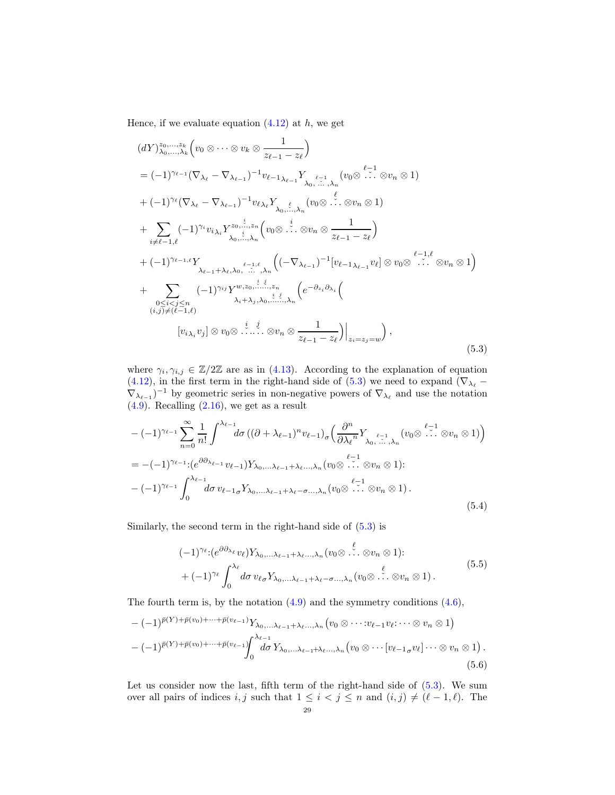Hence, if we evaluate equation  $(4.12)$  at h, we get

<span id="page-28-0"></span>
$$
(dY)_{\lambda_0,\ldots,\lambda_k}^{z_0,\ldots,z_k} (v_0 \otimes \cdots \otimes v_k \otimes \frac{1}{z_{\ell-1} - z_{\ell}})
$$
\n
$$
= (-1)^{\gamma_{\ell-1}} (\nabla_{\lambda_{\ell}} - \nabla_{\lambda_{\ell-1}})^{-1} v_{\ell-1} \lambda_{\ell-1} Y_{\lambda_0, \ldots, \lambda_n} (v_0 \otimes \cdots \otimes v_n \otimes 1)
$$
\n
$$
+ (-1)^{\gamma_{\ell}} (\nabla_{\lambda_{\ell}} - \nabla_{\lambda_{\ell-1}})^{-1} v_{\ell} \lambda_{\ell} Y_{\lambda_0, \ldots, \lambda_n} (v_0 \otimes \cdots \otimes v_n \otimes 1)
$$
\n
$$
+ \sum_{i \neq \ell-1, \ell} (-1)^{\gamma_i} v_{i} \lambda_i Y_{\lambda_0, \ldots, \lambda_n}^{z_0, \ldots, z_n} (v_0 \otimes \cdots \otimes v_n \otimes \frac{1}{z_{\ell-1} - z_{\ell}})
$$
\n
$$
+ (-1)^{\gamma_{\ell-1,\ell}} Y_{\lambda_{\ell-1} + \lambda_{\ell, \lambda_0, \ldots, \lambda_n}} ((-\nabla_{\lambda_{\ell-1}})^{-1} [v_{\ell-1} \lambda_{\ell-1} v_{\ell}] \otimes v_0 \otimes \cdots \otimes v_n \otimes 1)
$$
\n
$$
+ \sum_{\substack{0 \le i < j \le n \\ 0 \le i < j \le n}} (-1)^{\gamma_{ij}} Y_{\lambda_0, \ldots, \lambda_n}^{w, z_0, \ldots, z_n} (e^{-\partial_{z_i} \partial_{\lambda_i}} (e^{-\partial_{z_i} \partial_{\lambda_i}} (e^{-\partial_{z_i} \partial_{\lambda_i}}))
$$
\n
$$
[v_{i} \lambda_i v_j] \otimes v_0 \otimes \cdots \otimes v_n \otimes \frac{1}{z_{\ell-1} - z_{\ell}}]_{z_i = z_j = w}, \qquad (5.3)
$$

where  $\gamma_i, \gamma_{i,j} \in \mathbb{Z}/2\mathbb{Z}$  are as in [\(4.13\)](#page-22-4). According to the explanation of equation [\(4.12\)](#page-22-3), in the first term in the right-hand side of [\(5.3\)](#page-28-0) we need to expand ( $\nabla_{\lambda_{\ell}}$  –  $\nabla_{\lambda_{\ell-1}}$ <sup>-1</sup> by geometric series in non-negative powers of  $\nabla_{\lambda_{\ell}}$  and use the notation  $(4.9)$ . Recalling  $(2.16)$ , we get as a result

$$
-(-1)^{\gamma_{\ell-1}} \sum_{n=0}^{\infty} \frac{1}{n!} \int_{-\infty}^{\lambda_{\ell-1}} d\sigma \left( (\partial + \lambda_{\ell-1})^n v_{\ell-1} \right)_{\sigma} \left( \frac{\partial^n}{\partial \lambda_{\ell}^n} Y_{\lambda_0, \dots, \lambda_n} \left( v_0 \otimes \dots \otimes v_n \otimes 1 \right) \right)
$$
  
= -(-1)^{\gamma\_{\ell-1}} \cdot (e^{\partial \partial\_{\lambda\_{\ell-1}}} v\_{\ell-1}) Y\_{\lambda\_0, \dots, \lambda\_{\ell-1} + \lambda\_{\ell}, \dots, \lambda\_n} \left( v\_0 \otimes \dots \otimes v\_n \otimes 1 \right):  
-(-1)^{\gamma\_{\ell-1}} \int\_0^{\lambda\_{\ell-1}} d\sigma \, v\_{\ell-1} \sigma Y\_{\lambda\_0, \dots, \lambda\_{\ell-1} + \lambda\_{\ell} - \sigma, \dots, \lambda\_n} \left( v\_0 \otimes \dots \otimes v\_n \otimes 1 \right). (5.4)

Similarly, the second term in the right-hand side of [\(5.3\)](#page-28-0) is

$$
(-1)^{\gamma_{\ell}}: (e^{\partial \partial_{\lambda_{\ell}}} v_{\ell}) Y_{\lambda_0, \dots, \lambda_{\ell-1} + \lambda_{\ell} \dots, \lambda_n} (v_0 \otimes \dots \otimes v_n \otimes 1): + (-1)^{\gamma_{\ell}} \int_0^{\lambda_{\ell}} d\sigma \, v_{\ell \sigma} Y_{\lambda_0, \dots, \lambda_{\ell-1} + \lambda_{\ell} - \sigma \dots, \lambda_n} (v_0 \otimes \dots \otimes v_n \otimes 1).
$$
\n
$$
(5.5)
$$

 $\overline{a}$ 

The fourth term is, by the notation  $(4.9)$  and the symmetry conditions  $(4.6)$ ,

$$
-(-1)^{\bar{p}(Y)+\bar{p}(v_0)+\cdots+\bar{p}(v_{\ell-1})}Y_{\lambda_0,\ldots,\lambda_{\ell-1}+\lambda_{\ell}\ldots,\lambda_n}(v_0\otimes\cdots:v_{\ell-1}v_{\ell};\cdots\otimes v_n\otimes 1)
$$
  

$$
-(-1)^{\bar{p}(Y)+\bar{p}(v_0)+\cdots+\bar{p}(v_{\ell-1})}\int_0^{\lambda_{\ell-1}}d\sigma Y_{\lambda_0,\ldots,\lambda_{\ell-1}+\lambda_{\ell}\ldots,\lambda_n}(v_0\otimes\cdots[v_{\ell-1,\sigma}v_{\ell}]\cdots\otimes v_n\otimes 1).
$$
  
(5.6)

Let us consider now the last, fifth term of the right-hand side of  $(5.3)$ . We sum over all pairs of indices i, j such that  $1 \leq i \leq j \leq n$  and  $(i, j) \neq (\ell - 1, \ell)$ . The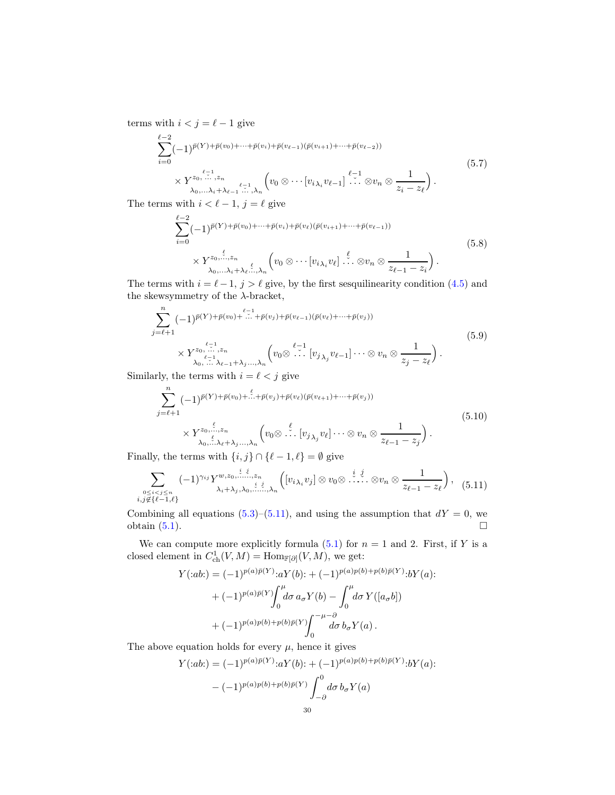terms with  $i < j = \ell - 1$  give

$$
\sum_{i=0}^{\ell-2} (-1)^{\bar{p}(Y)+\bar{p}(v_0)+\cdots+\bar{p}(v_i)+\bar{p}(v_{\ell-1})(\bar{p}(v_{i+1})+\cdots+\bar{p}(v_{\ell-2}))}
$$
\n
$$
\times Y^{z_0,\cdots,z_n}_{\lambda_0,\ldots\lambda_i+\lambda_{\ell-1}\cdots,\lambda_n} \left(v_0\otimes\cdots[v_{i\lambda_i}v_{\ell-1}]\cdots\otimes v_n\otimes\frac{1}{z_i-z_\ell}\right).
$$
\n
$$
(5.7)
$$

The terms with  $i < \ell - 1$ ,  $j = \ell$  give

$$
\sum_{i=0}^{\ell-2} (-1)^{\bar{p}(Y)+\bar{p}(v_0)+\cdots+\bar{p}(v_i)+\bar{p}(v_\ell)(\bar{p}(v_{i+1})+\cdots+\bar{p}(v_{\ell-1}))}
$$
\n
$$
\times Y^{z_0,\dots,z_n}_{\lambda_0,\dots,\lambda_i+\lambda_\ell,\dots,\lambda_n} \left(v_0\otimes\cdots[v_{i\lambda_i}v_\ell]\cdots\otimes v_n\otimes\frac{1}{z_{\ell-1}-z_i}\right).
$$
\n
$$
(5.8)
$$

The terms with  $i = \ell - 1$ ,  $j > \ell$  give, by the first sesquilinearity condition [\(4.5\)](#page-21-2) and the skewsymmetry of the  $\lambda$ -bracket,

$$
\sum_{j=\ell+1}^{n} (-1)^{\bar{p}(Y)+\bar{p}(v_0)+\dots+\bar{p}(v_j)+\bar{p}(v_{\ell-1})(\bar{p}(v_{\ell})+\dots+\bar{p}(v_j))}
$$
\n
$$
\times Y^{z_0,\dots,z_n}_{\lambda_0,\dots,\lambda_{\ell-1}+\lambda_j\dots,\lambda_n} \left(v_0\otimes \dots \left[v_{j_{\lambda_j}}v_{\ell-1}\right]\dots\otimes v_n\otimes \frac{1}{z_j-z_\ell}\right).
$$
\n
$$
(5.9)
$$

Similarly, the terms with  $i = \ell < j$  give

$$
\sum_{j=\ell+1}^{n} (-1)^{\bar{p}(Y)+\bar{p}(v_0)+\dots+\bar{p}(v_j)+\bar{p}(v_\ell)(\bar{p}(v_{\ell+1})+\dots+\bar{p}(v_j))}
$$
\n
$$
\times Y_{\lambda_0,\dots,\lambda_\ell+\lambda_j\dots,\lambda_n}^{\zeta_0,\xi,\zeta_n} \left(v_0 \otimes \dots \left[v_{j_{\lambda_j}}v_{\ell}\right]\dots \otimes v_n \otimes \frac{1}{z_{\ell-1}-z_j}\right).
$$
\n
$$
(5.10)
$$

Finally, the terms with  $\{i, j\} \cap {\ell - 1, \ell} = \emptyset$  give

<span id="page-29-0"></span>
$$
\sum_{\substack{0 \leq i < j \leq n \\ i, j \notin \{\ell-1,\ell\}}} (-1)^{\gamma_{ij}} Y^{w, z_0, \dots, z_n}_{\lambda_i + \lambda_j, \lambda_0, \dots, \lambda_n} \left( [v_{i\lambda_i} v_j] \otimes v_0 \otimes \dots \otimes v_n \otimes \frac{1}{z_{\ell-1} - z_{\ell}} \right), \quad (5.11)
$$

Combining all equations [\(5.3\)](#page-28-0)–[\(5.11\)](#page-29-0), and using the assumption that  $dY = 0$ , we obtain  $(5.1)$ .

We can compute more explicitly formula [\(5.1\)](#page-27-0) for  $n = 1$  and 2. First, if Y is a closed element in  $C^1_{\text{ch}}(V, M) = \text{Hom}_{\mathbb{F}[\partial]}(V, M)$ , we get:

$$
Y(:ab.) = (-1)^{p(a)\bar{p}(Y)}:aY(b): + (-1)^{p(a)p(b)+p(b)\bar{p}(Y)}:bY(a): + (-1)^{p(a)\bar{p}(Y)}\int_{0}^{\mu}d\sigma a_{\sigma}Y(b) - \int_{0}^{\mu}d\sigma Y([a_{\sigma}b]) + (-1)^{p(a)p(b)+p(b)\bar{p}(Y)}\int_{0}^{-\mu-\partial}d\sigma b_{\sigma}Y(a).
$$

The above equation holds for every  $\mu$ , hence it gives

$$
Y(:ab:) = (-1)^{p(a)\bar{p}(Y)}:aY(b): + (-1)^{p(a)p(b)+p(b)\bar{p}(Y)}:bY(a): - (-1)^{p(a)p(b)+p(b)\bar{p}(Y)} \int_{-\partial}^{0} d\sigma \, b_{\sigma} Y(a)
$$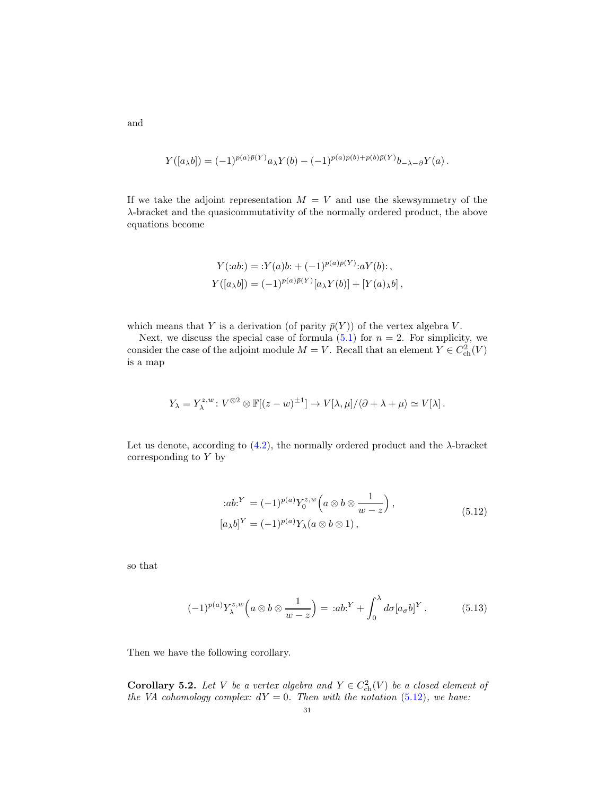$$
Y([a_{\lambda}b]) = (-1)^{p(a)\bar{p}(Y)}a_{\lambda}Y(b) - (-1)^{p(a)p(b)+p(b)\bar{p}(Y)}b_{-\lambda-\partial}Y(a).
$$

If we take the adjoint representation  $M = V$  and use the skewsymmetry of the λ-bracket and the quasicommutativity of the normally ordered product, the above equations become

$$
Y(:ab) = :Y(a)b: + (-1)^{p(a)\bar{p}(Y)}:aY(b):,
$$
  

$$
Y([a_{\lambda}b]) = (-1)^{p(a)\bar{p}(Y)}[a_{\lambda}Y(b)] + [Y(a)_{\lambda}b],
$$

which means that Y is a derivation (of parity  $\bar{p}(Y)$ ) of the vertex algebra V.

Next, we discuss the special case of formula  $(5.1)$  for  $n = 2$ . For simplicity, we consider the case of the adjoint module  $M = V$ . Recall that an element  $Y \in C^2_{\text{ch}}(V)$ is a map

$$
Y_{\lambda} = Y_{\lambda}^{z,w} \colon V^{\otimes 2} \otimes \mathbb{F}[(z-w)^{\pm 1}] \to V[\lambda, \mu]/\langle \partial + \lambda + \mu \rangle \simeq V[\lambda] \, .
$$

Let us denote, according to  $(4.2)$ , the normally ordered product and the  $\lambda$ -bracket corresponding to Y by

$$
:ab^{Y} = (-1)^{p(a)}Y_0^{z,w} \left(a \otimes b \otimes \frac{1}{w-z}\right),
$$
  
\n
$$
[a_{\lambda}b]^{Y} = (-1)^{p(a)}Y_{\lambda}(a \otimes b \otimes 1),
$$
\n
$$
(5.12)
$$

<span id="page-30-0"></span>so that

$$
(-1)^{p(a)} Y_{\lambda}^{z,w}\left(a\otimes b\otimes \frac{1}{w-z}\right) = :ab^Y + \int_0^{\lambda} d\sigma [a_{\sigma}b]^Y.
$$
 (5.13)

Then we have the following corollary.

<span id="page-30-1"></span>**Corollary 5.2.** Let V be a vertex algebra and  $Y \in C^2_{ch}(V)$  be a closed element of the VA cohomology complex:  $dY = 0$ . Then with the notation [\(5.12\)](#page-30-0), we have:

and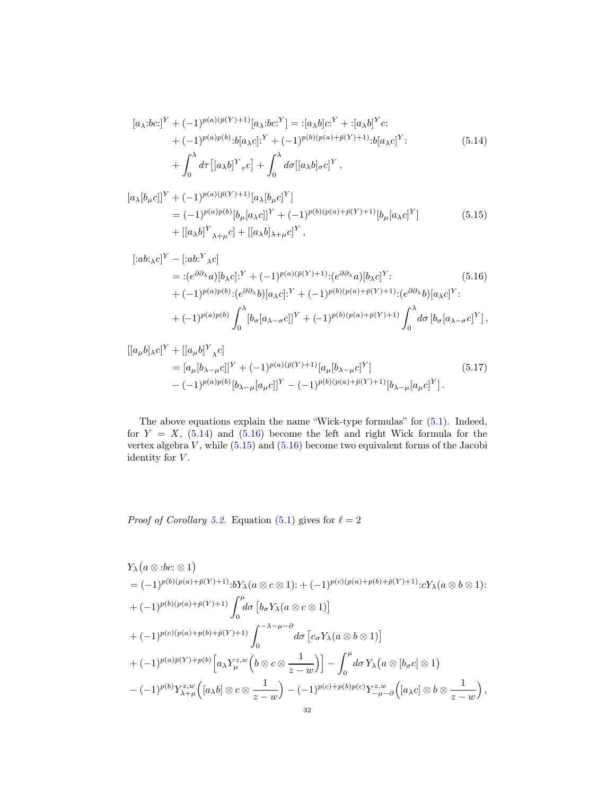<span id="page-31-0"></span>
$$
[a_{\lambda}:bc!]^{Y} + (-1)^{p(a)(\bar{p}(Y)+1)}[a_{\lambda}:bc]^{Y}] = : [a_{\lambda}b]c^{Y} + :[a_{\lambda}b]^{Y}c: + (-1)^{p(a)p(b)}:b[a_{\lambda}c]^{Y} + (-1)^{p(b)(p(a)+\bar{p}(Y)+1)}:b[a_{\lambda}c]^{Y}; + \int_{0}^{\lambda} d\tau \left[ [a_{\lambda}b]^{Y}{}_{\tau}c \right] + \int_{0}^{\lambda} d\sigma \left[ [a_{\lambda}b]_{\sigma}c \right]^{Y},
$$
\n
$$
(5.14)
$$

$$
[a_{\lambda}[b_{\mu}c]]^{Y} + (-1)^{p(a)(\bar{p}(Y)+1)}[a_{\lambda}[b_{\mu}c]^{Y}]
$$
  
=  $(-1)^{p(a)p(b)}[b_{\mu}[a_{\lambda}c]]^{Y} + (-1)^{p(b)(p(a)+\bar{p}(Y)+1)}[b_{\mu}[a_{\lambda}c]^{Y}]$  (5.15)  
+  $[[a_{\lambda}b]^{Y}{}_{\lambda+\mu}c] + [[a_{\lambda}b]_{\lambda+\mu}c]^{Y}$ ,

<span id="page-31-2"></span><span id="page-31-1"></span>
$$
[:ab:\chi c]^Y - [:ab^Y \chi c]
$$
  
= : $(e^{\partial \partial_{\lambda}} a)[b_{\lambda}c]:^Y + (-1)^{p(a)(\bar{p}(Y)+1)}:(e^{\partial \partial_{\lambda}} a)[b_{\lambda}c]^Y$ :  
+  $(-1)^{p(a)p(b)}:(e^{\partial \partial_{\lambda}} b)[a_{\lambda}c]:^Y + (-1)^{p(b)(p(a)+\bar{p}(Y)+1)}:(e^{\partial \partial_{\lambda}} b)[a_{\lambda}c]^Y$ :  
+  $(-1)^{p(a)p(b)} \int_0^{\lambda} [b_{\sigma}[a_{\lambda-\sigma}c]]^Y + (-1)^{p(b)(p(a)+\bar{p}(Y)+1)} \int_0^{\lambda} d\sigma [b_{\sigma}[a_{\lambda-\sigma}c]^Y],$ 

<span id="page-31-3"></span>
$$
\begin{split} [[a_{\mu}b]_{\lambda}c]^{Y} + [[a_{\mu}b]^{Y}_{\lambda}c] \\ &= [a_{\mu}[b_{\lambda-\mu}c]]^{Y} + (-1)^{p(a)(\bar{p}(Y)+1)}[a_{\mu}[b_{\lambda-\mu}c]^{Y}] \\ &- (-1)^{p(a)p(b)}[b_{\lambda-\mu}[a_{\mu}c]]^{Y} - (-1)^{p(b)(p(a)+\bar{p}(Y)+1)}[b_{\lambda-\mu}[a_{\mu}c]^{Y}]. \end{split} \tag{5.17}
$$

The above equations explain the name "Wick-type formulas" for [\(5.1\)](#page-27-0). Indeed, for  $Y = X$ , [\(5.14\)](#page-31-0) and [\(5.16\)](#page-31-1) become the left and right Wick formula for the vertex algebra  $V$ , while  $(5.15)$  and  $(5.16)$  become two equivalent forms of the Jacobi identity for  $V$ .

*Proof of Corollary [5.2.](#page-30-1)* Equation [\(5.1\)](#page-27-0) gives for  $\ell = 2$ 

$$
Y_{\lambda}(a \otimes :bc: \otimes 1)
$$
  
=  $(-1)^{p(b)(p(a)+\bar{p}(Y)+1)}:bY_{\lambda}(a \otimes c \otimes 1): + (-1)^{p(c)(p(a)+p(b)+\bar{p}(Y)+1)}:cY_{\lambda}(a \otimes b \otimes 1):$   
+  $(-1)^{p(b)(p(a)+\bar{p}(Y)+1)}\int_{0}^{\mu}d\sigma \left[b_{\sigma}Y_{\lambda}(a \otimes c \otimes 1)\right]$   
+  $(-1)^{p(c)(p(a)+p(b)+\bar{p}(Y)+1)}\int_{0}^{-\lambda-\mu-\partial}d\sigma \left[c_{\sigma}Y_{\lambda}(a \otimes b \otimes 1)\right]$   
+  $(-1)^{p(a)\bar{p}(Y)+p(b)}\left[a_{\lambda}Y_{\mu}^{z,w}\left(b \otimes c \otimes \frac{1}{z-w}\right)\right]-\int_{0}^{\mu}d\sigma Y_{\lambda}(a \otimes [b_{\sigma}c] \otimes 1)$   
-  $(-1)^{p(b)}Y_{\lambda+\mu}^{z,w}\left([a_{\lambda}b] \otimes c \otimes \frac{1}{z-w}\right)-(-1)^{p(c)+p(b)p(c)}Y_{-\mu-\partial}^{z,w}\left([a_{\lambda}c] \otimes b \otimes \frac{1}{z-w}\right),$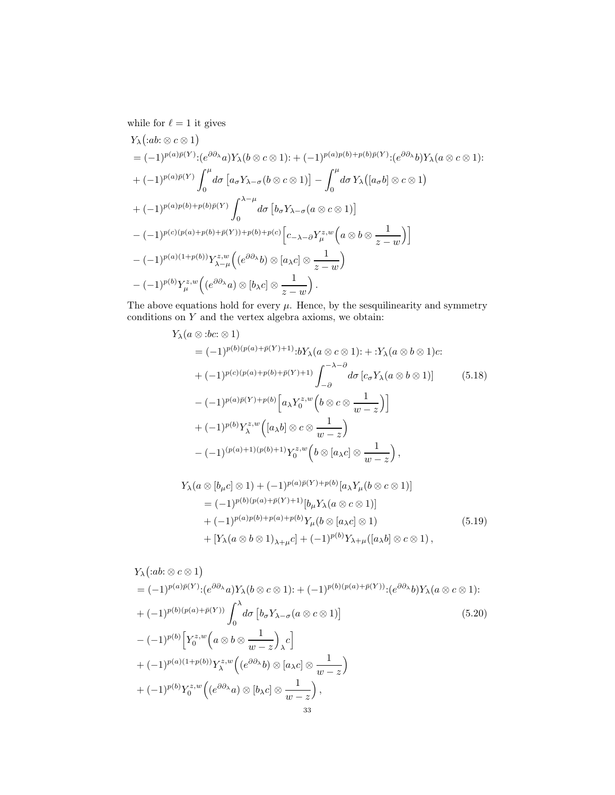while for  $\ell=1$  it gives

$$
Y_{\lambda}(:ab:\otimes c\otimes 1)
$$
\n
$$
= (-1)^{p(a)\bar{p}(Y)}:(e^{\partial \partial_{\lambda}}a)Y_{\lambda}(b\otimes c\otimes 1):+(-1)^{p(a)p(b)+p(b)\bar{p}(Y)}:(e^{\partial \partial_{\lambda}}b)Y_{\lambda}(a\otimes c\otimes 1):
$$
\n
$$
+(-1)^{p(a)\bar{p}(Y)}\int_{0}^{\mu}d\sigma \left[a_{\sigma}Y_{\lambda-\sigma}(b\otimes c\otimes 1)\right]-\int_{0}^{\mu}d\sigma Y_{\lambda}([a_{\sigma}b]\otimes c\otimes 1)
$$
\n
$$
+(-1)^{p(a)p(b)+p(b)\bar{p}(Y)}\int_{0}^{\lambda-\mu}d\sigma \left[b_{\sigma}Y_{\lambda-\sigma}(a\otimes c\otimes 1)\right]
$$
\n
$$
-(-1)^{p(c)(p(a)+p(b)+\bar{p}(Y))+p(b)+p(c)}\left[c_{-\lambda-\partial}Y_{\mu}^{z,w}\left(a\otimes b\otimes \frac{1}{z-w}\right)\right]
$$
\n
$$
-(-1)^{p(a)(1+p(b))}Y_{\lambda-\mu}^{z,w}\left((e^{\partial \partial_{\lambda}}b)\otimes [a_{\lambda}c]\otimes \frac{1}{z-w}\right)
$$
\n
$$
-(-1)^{p(b)}Y_{\mu}^{z,w}\left((e^{\partial \partial_{\lambda}}a)\otimes [b_{\lambda}c]\otimes \frac{1}{z-w}\right).
$$

The above equations hold for every  $\mu.$  Hence, by the sesquilinearity and symmetry conditions on  $Y$  and the vertex algebra axioms, we obtain:

<span id="page-32-0"></span>
$$
Y_{\lambda}(a \otimes :bc: \otimes 1)
$$
  
\n
$$
= (-1)^{p(b)(p(a)+\bar{p}(Y)+1)}:bY_{\lambda}(a \otimes c \otimes 1): + :Y_{\lambda}(a \otimes b \otimes 1)c:
$$
  
\n
$$
+ (-1)^{p(c)(p(a)+p(b)+\bar{p}(Y)+1)} \int_{-\partial}^{-\lambda-\partial} d\sigma [c_{\sigma}Y_{\lambda}(a \otimes b \otimes 1)] \qquad (5.18)
$$
  
\n
$$
- (-1)^{p(a)\bar{p}(Y)+p(b)} \Big[a_{\lambda}Y_{0}^{z,w}\Big(b \otimes c \otimes \frac{1}{w-z}\Big)\Big]
$$
  
\n
$$
+ (-1)^{p(b)}Y_{\lambda}^{z,w}\Big([a_{\lambda}b] \otimes c \otimes \frac{1}{w-z}\Big)
$$
  
\n
$$
- (-1)^{(p(a)+1)(p(b)+1)}Y_{0}^{z,w}\Big(b \otimes [a_{\lambda}c] \otimes \frac{1}{w-z}\Big),
$$

$$
Y_{\lambda}(a \otimes [b_{\mu}c] \otimes 1) + (-1)^{p(a)\bar{p}(Y) + p(b)} [a_{\lambda}Y_{\mu}(b \otimes c \otimes 1)]
$$
  
\n
$$
= (-1)^{p(b)(p(a) + \bar{p}(Y) + 1)} [b_{\mu}Y_{\lambda}(a \otimes c \otimes 1)]
$$
  
\n
$$
+ (-1)^{p(a)p(b) + p(a) + p(b)} Y_{\mu}(b \otimes [a_{\lambda}c] \otimes 1)
$$
  
\n
$$
+ [Y_{\lambda}(a \otimes b \otimes 1)_{\lambda + \mu}c] + (-1)^{p(b)} Y_{\lambda + \mu}([a_{\lambda}b] \otimes c \otimes 1),
$$
  
\n(5.19)

$$
Y_{\lambda} ( :ab: \otimes c \otimes 1)
$$
  
=  $(-1)^{p(a)\bar{p}(Y)} : (e^{\partial \partial_{\lambda}} a) Y_{\lambda} (b \otimes c \otimes 1) : + (-1)^{p(b)(p(a) + \bar{p}(Y))} : (e^{\partial \partial_{\lambda}} b) Y_{\lambda} (a \otimes c \otimes 1) :$   
+  $(-1)^{p(b)(p(a) + \bar{p}(Y))} \int_{0}^{\lambda} d\sigma \left[ b_{\sigma} Y_{\lambda - \sigma} (a \otimes c \otimes 1) \right]$   
 $- (-1)^{p(b)} \left[ Y_{0}^{z,w} \left( a \otimes b \otimes \frac{1}{w - z} \right)_{\lambda} c \right]$   
+  $(-1)^{p(a)(1 + p(b))} Y_{\lambda}^{z,w} \left( (e^{\partial \partial_{\lambda}} b) \otimes [a_{\lambda} c] \otimes \frac{1}{w - z} \right)$   
+  $(-1)^{p(b)} Y_{0}^{z,w} \left( (e^{\partial \partial_{\lambda}} a) \otimes [b_{\lambda} c] \otimes \frac{1}{w - z} \right),$   
33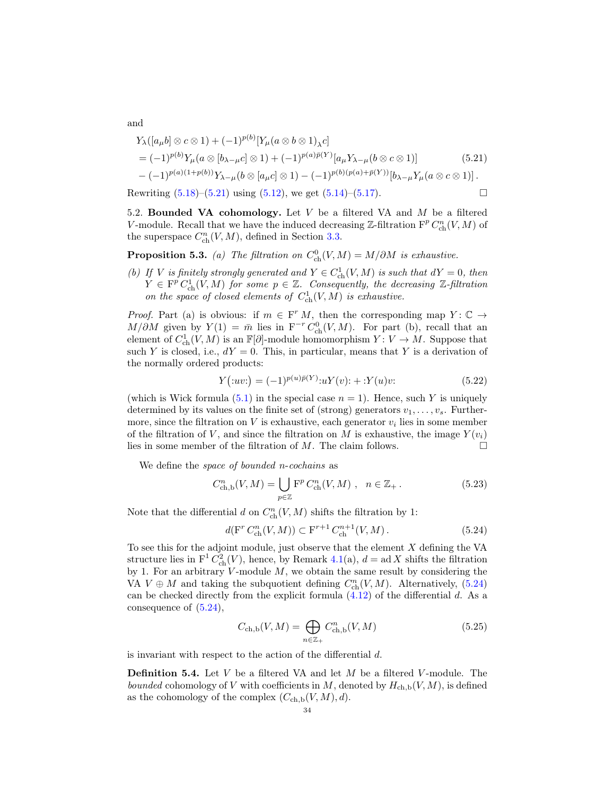<span id="page-33-0"></span>
$$
Y_{\lambda}([a_{\mu}b] \otimes c \otimes 1) + (-1)^{p(b)}[Y_{\mu}(a \otimes b \otimes 1)_{\lambda}c]
$$
  
=  $(-1)^{p(b)}Y_{\mu}(a \otimes [b_{\lambda-\mu}c] \otimes 1) + (-1)^{p(a)\bar{p}(Y)}[a_{\mu}Y_{\lambda-\mu}(b \otimes c \otimes 1)]$  (5.21)  
 $-(-1)^{p(a)(1+p(b))}Y_{\lambda-\mu}(b \otimes [a_{\mu}c] \otimes 1) - (-1)^{p(b)(p(a)+\bar{p}(Y))}[b_{\lambda-\mu}Y_{\mu}(a \otimes c \otimes 1)].$ 

<span id="page-33-2"></span>Rewriting  $(5.18)$ – $(5.21)$  using  $(5.12)$ , we get  $(5.14)$ – $(5.17)$ .

5.2. Bounded VA cohomology. Let  $V$  be a filtered VA and  $M$  be a filtered V-module. Recall that we have the induced decreasing  $\mathbb{Z}\text{-filtration } F^p C_{\text{ch}}^n(V, M)$  of the superspace  $C_{ch}^n(V, M)$ , defined in Section [3.3.](#page-13-5)

**Proposition 5.3.** (a) The filtration on  $C_{ch}^{0}(V, M) = M/\partial M$  is exhaustive.

(b) If V is finitely strongly generated and  $Y \in C^1_{\text{ch}}(V, M)$  is such that  $dY = 0$ , then  $Y \in \mathbb{F}^p C^1_{\text{ch}}(V, M)$  for some  $p \in \mathbb{Z}$ . Consequently, the decreasing  $\mathbb{Z}\text{-}filtration$ on the space of closed elements of  $C_{ch}^1(V, M)$  is exhaustive.

*Proof.* Part (a) is obvious: if  $m \in F^r M$ , then the corresponding map  $Y: \mathbb{C} \to$  $M/\partial M$  given by  $Y(1) = \bar{m}$  lies in  $F^{-r} C_{ch}^{0}(V, M)$ . For part (b), recall that an element of  $C^1_{\text{ch}}(V, M)$  is an  $\mathbb{F}[\partial]$ -module homomorphism  $Y: V \to M$ . Suppose that such Y is closed, i.e.,  $dY = 0$ . This, in particular, means that Y is a derivation of the normally ordered products:

$$
Y(\text{:uv:}) = (-1)^{p(u)\bar{p}(Y)} \text{:u} Y(v) \text{:} + \text{:Y}(u)v \tag{5.22}
$$

(which is Wick formula  $(5.1)$  in the special case  $n = 1$ ). Hence, such Y is uniquely determined by its values on the finite set of (strong) generators  $v_1, \ldots, v_s$ . Furthermore, since the filtration on  $V$  is exhaustive, each generator  $v_i$  lies in some member of the filtration of V, and since the filtration on M is exhaustive, the image  $Y(v_i)$ lies in some member of the filtration of  $M$ . The claim follows.  $\Box$ 

We define the *space of bounded n-cochains* as

$$
C_{\text{ch},\text{b}}^n(V,M) = \bigcup_{p \in \mathbb{Z}} \mathcal{F}^p C_{\text{ch}}^n(V,M) \ , \ n \in \mathbb{Z}_+ \ . \tag{5.23}
$$

Note that the differential  $d$  on  $C_{\text{ch}}^n(V, M)$  shifts the filtration by 1:

<span id="page-33-1"></span>
$$
d(\mathbf{F}^r C_{\text{ch}}^n(V, M)) \subset \mathbf{F}^{r+1} C_{\text{ch}}^{n+1}(V, M). \tag{5.24}
$$

To see this for the adjoint module, just observe that the element  $X$  defining the VA structure lies in  $F^1 C_{ch}^2(V)$ , hence, by Remark 4.1(a),  $d = ad X$  shifts the filtration by 1. For an arbitrary  $V$ -module  $M$ , we obtain the same result by considering the VA  $V \oplus M$  and taking the subquotient defining  $C_{\text{ch}}^n(V, M)$ . Alternatively, [\(5.24\)](#page-33-1) can be checked directly from the explicit formula [\(4.12\)](#page-22-3) of the differential d. As a consequence of [\(5.24\)](#page-33-1),

$$
C_{\text{ch},\text{b}}(V,M) = \bigoplus_{n \in \mathbb{Z}_+} C^n_{\text{ch},\text{b}}(V,M)
$$
\n(5.25)

is invariant with respect to the action of the differential d.

**Definition 5.4.** Let  $V$  be a filtered VA and let  $M$  be a filtered  $V$ -module. The bounded cohomology of V with coefficients in M, denoted by  $H_{\mathrm{ch,b}}(V, M)$ , is defined as the cohomology of the complex  $(C_{ch,b}(V, M), d)$ .

and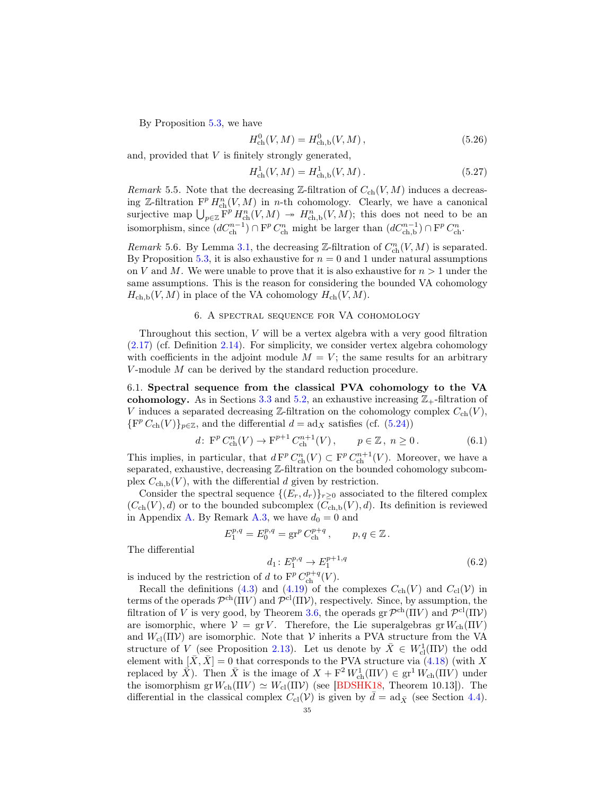By Proposition 5.3, we have

$$
H_{\text{ch}}^{0}(V, M) = H_{\text{ch}, \text{b}}^{0}(V, M), \qquad (5.26)
$$

and, provided that V is finitely strongly generated,

$$
H_{\text{ch}}^1(V, M) = H_{\text{ch},\text{b}}^1(V, M). \tag{5.27}
$$

Remark 5.5. Note that the decreasing Z-filtration of  $C_{ch}(V, M)$  induces a decreasing Z-filtration  $\mathbb{F}^p H_{\text{ch}}^n(V, M)$  in n-th cohomology. Clearly, we have a canonical surjective map  $\bigcup_{p\in\mathbb{Z}}\overline{F}^p H_{\text{ch}}^n(V,M) \rightarrow H_{\text{ch},b}^n(V,M)$ ; this does not need to be an isomorphism, since  $(dC_{ch}^{n-1}) \cap F^p C_{ch}^n$  might be larger than  $(dC_{ch,b}^{n-1}) \cap F^p C_{ch}^n$ .

Remark 5.6. By Lemma [3.1,](#page-13-6) the decreasing  $\mathbb{Z}\text{-filtration}$  of  $C_{\text{ch}}^n(V, M)$  is separated. By Proposition 5.3, it is also exhaustive for  $n = 0$  and 1 under natural assumptions on V and M. We were unable to prove that it is also exhaustive for  $n > 1$  under the same assumptions. This is the reason for considering the bounded VA cohomology  $H_{\text{ch},\text{b}}(V, M)$  in place of the VA cohomology  $H_{\text{ch}}(V, M)$ .

## 6. A spectral sequence for VA cohomology

<span id="page-34-0"></span>Throughout this section, V will be a vertex algebra with a very good filtration [\(2.17\)](#page-9-2) (cf. Definition [2.14\)](#page-10-3). For simplicity, we consider vertex algebra cohomology with coefficients in the adjoint module  $M = V$ ; the same results for an arbitrary  $V$ -module  $M$  can be derived by the standard reduction procedure.

6.1. Spectral sequence from the classical PVA cohomology to the VA cohomology. As in Sections [3.3](#page-13-5) and [5.2,](#page-33-2) an exhaustive increasing  $\mathbb{Z}_+$ -filtration of V induces a separated decreasing Z-filtration on the cohomology complex  $C_{ch}(V)$ ,  $\{F^p C_{ch}(V)\}_{p\in\mathbb{Z}}$ , and the differential  $d = ad_X$  satisfies (cf. [\(5.24\)](#page-33-1))

$$
d\colon \, \mathcal{F}^p C_{\text{ch}}^n(V) \to \mathcal{F}^{p+1} C_{\text{ch}}^{n+1}(V) \,, \qquad p \in \mathbb{Z} \,, \ n \ge 0 \,. \tag{6.1}
$$

This implies, in particular, that  $dF^p C_{ch}^n(V) \subset F^p C_{ch}^{n+1}(V)$ . Moreover, we have a separated, exhaustive, decreasing Z-filtration on the bounded cohomology subcomplex  $C_{ch,b}(V)$ , with the differential d given by restriction.

Consider the spectral sequence  $\{(E_r, d_r)\}_{r\geq 0}$  associated to the filtered complex  $(C_{ch}(V), d)$  or to the bounded subcomplex  $(C_{ch,b}(V), d)$ . Its definition is reviewed in Appendix [A.](#page-50-0) By Remark [A.3,](#page-51-0) we have  $d_0 = 0$  and

$$
E_1^{p,q} = E_0^{p,q} = \operatorname{gr}^p C_{\text{ch}}^{p+q}, \qquad p, q \in \mathbb{Z}.
$$

The differential

$$
d_1: E_1^{p,q} \to E_1^{p+1,q}
$$
\n
$$
d_1 \text{ to } F^p C_1^{p+q}(V)
$$
\n(6.2)

is induced by the restriction of d to  $\mathbf{F}^p C_{\text{ch}}^{p+q}(V)$ .

Recall the definitions [\(4.3\)](#page-20-3) and [\(4.19\)](#page-24-1) of the complexes  $C_{ch}(V)$  and  $C_{cl}(V)$  in terms of the operads  $\mathcal{P}^{ch}(\Pi V)$  and  $\mathcal{P}^{cl}(\Pi V)$ , respectively. Since, by assumption, the filtration of V is very good, by Theorem [3.6,](#page-16-5) the operads  $gr \mathcal{P}^{ch}(\Pi V)$  and  $\mathcal{P}^{cl}(\Pi V)$ are isomorphic, where  $V = gr V$ . Therefore, the Lie superalgebras gr  $W_{ch}(\Pi V)$ and  $W_{\text{cl}}(\Pi \mathcal{V})$  are isomorphic. Note that  $\mathcal{V}$  inherits a PVA structure from the VA structure of  $V$  (see Proposition [2.13\)](#page-10-2). Let us denote by  $\bar{X} \in W^1_{\text{cl}}(\Pi \mathcal{V})$  the odd element with  $[\bar{X}, \bar{X}] = 0$  that corresponds to the PVA structure via [\(4.18\)](#page-24-2) (with X replaced by  $\overline{X}$ ). Then  $\overline{X}$  is the image of  $X + F^2 W_{ch}^1(\Pi V) \in \text{gr}^1 W_{ch}(\Pi V)$  under the isomorphism gr  $W_{ch}(\Pi V) \simeq W_{cl}(\Pi V)$  (see [\[BDSHK18,](#page-54-1) Theorem 10.13]). The differential in the classical complex  $C_{\text{cl}}(\mathcal{V})$  is given by  $d = \text{ad}_{\bar{X}}$  (see Section [4.4\)](#page-24-0).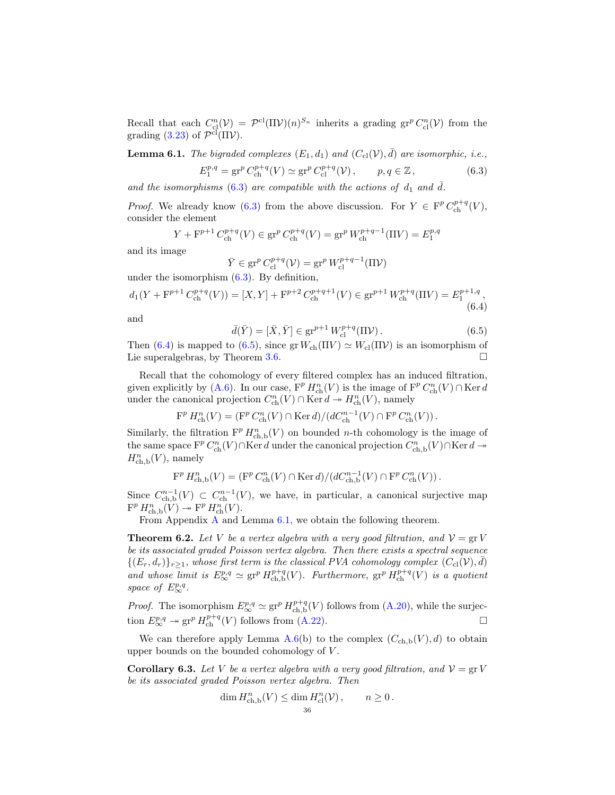Recall that each  $C_{\text{cl}}^n(\mathcal{V}) = \mathcal{P}^{\text{cl}}(\Pi \mathcal{V})(n)^{S_n}$  inherits a grading  $\text{gr}^p C_{\text{cl}}^n(\mathcal{V})$  from the grading [\(3.23\)](#page-16-4) of  $\mathcal{P}^{\text{cl}}(\Pi \mathcal{V})$ .

<span id="page-35-4"></span>**Lemma 6.1.** The bigraded complexes  $(E_1, d_1)$  and  $(C_{\text{cl}}(\mathcal{V}), \overline{d})$  are isomorphic, i.e.,

<span id="page-35-1"></span>
$$
E_1^{p,q} = \operatorname{gr}^p C_{\text{ch}}^{p+q}(V) \simeq \operatorname{gr}^p C_{\text{cl}}^{p+q}(V), \qquad p, q \in \mathbb{Z}, \tag{6.3}
$$

and the isomorphisms [\(6.3\)](#page-35-1) are compatible with the actions of  $d_1$  and  $\overline{d}$ .

*Proof.* We already know [\(6.3\)](#page-35-1) from the above discussion. For  $Y \in \mathcal{F}^p C_{\text{ch}}^{p+q}(V)$ , consider the element

$$
Y + \mathbf{F}^{p+1} C_{\text{ch}}^{p+q}(V) \in \operatorname{gr}^p C_{\text{ch}}^{p+q}(V) = \operatorname{gr}^p W_{\text{ch}}^{p+q-1}(\Pi V) = E_1^{p,q}
$$

and its image

$$
\bar{Y} \in \operatorname{gr}^p C^{p+q}_{\text{cl}}(\mathcal{V}) = \operatorname{gr}^p W^{p+q-1}_{\text{cl}}(\Pi \mathcal{V})
$$

under the isomorphism  $(6.3)$ . By definition,

<span id="page-35-2"></span>
$$
d_1(Y + F^{p+1} C_{\text{ch}}^{p+q}(V)) = [X, Y] + F^{p+2} C_{\text{ch}}^{p+q+1}(V) \in \text{gr}^{p+1} W_{\text{ch}}^{p+q}(\Pi V) = E_1^{p+1,q},
$$
\n(6.4)

and

<span id="page-35-3"></span>
$$
\bar{d}(\bar{Y}) = [\bar{X}, \bar{Y}] \in \text{gr}^{p+1} W_{\text{cl}}^{p+q}(\Pi \mathcal{V}). \tag{6.5}
$$

Then [\(6.4\)](#page-35-2) is mapped to [\(6.5\)](#page-35-3), since  $gr W_{ch}(\Pi V) \simeq W_{cl}(\Pi V)$  is an isomorphism of Lie superalgebras, by Theorem [3.6.](#page-16-5)

Recall that the cohomology of every filtered complex has an induced filtration, given explicitly by [\(A.6\)](#page-50-1). In our case,  $F^p H_{ch}^n(V)$  is the image of  $F^p C_{ch}^n(V) \cap \text{Ker } d$ under the canonical projection  $C_{\text{ch}}^n(V) \cap \text{Ker } d \to H_{\text{ch}}^n(V)$ , namely

$$
\mathcal{F}^p H^n_{\text{ch}}(V) = (\mathcal{F}^p C^n_{\text{ch}}(V) \cap \text{Ker} d)/(dC^{n-1}_{\text{ch}}(V) \cap \mathcal{F}^p C^n_{\text{ch}}(V)).
$$

Similarly, the filtration  $\mathbf{F}^p H_{\text{ch},b}^n(V)$  on bounded *n*-th cohomology is the image of the same space  $\mathbf{F}^p C_{\text{ch}}^n(V) \cap \text{Ker } d$  under the canonical projection  $C_{\text{ch},\text{b}}^n(V) \cap \text{Ker } d \to$  $H^n_{\mathrm{ch},\mathrm{b}}(V)$ , namely

$$
\mathcal{F}^p\,H^n_{\mathrm{ch},\mathbf{b}}(V)=(\mathcal{F}^p\,C^n_{\mathrm{ch}}(V)\cap\mathop{\mathrm{Ker}}\nolimits d)/(dC^{n-1}_{\mathrm{ch},\mathbf{b}}(V)\cap\mathcal{F}^p\,C^n_{\mathrm{ch}}(V))\,.
$$

Since  $C_{\text{ch},b}^{n-1}(V) \subset C_{\text{ch}}^{n-1}(V)$ , we have, in particular, a canonical surjective map  $\mathcal{F}^p H^n_{\mathrm{ch},\mathrm{b}}(V) \twoheadrightarrow \mathcal{F}^p H^n_{\mathrm{ch}}(V).$ 

From Appendix [A](#page-50-0) and Lemma [6.1,](#page-35-4) we obtain the following theorem.

<span id="page-35-5"></span>**Theorem 6.2.** Let V be a vertex algebra with a very good filtration, and  $V = \text{gr } V$ be its associated graded Poisson vertex algebra. Then there exists a spectral sequence  $\{(E_r, d_r)\}_{r\geq 1}$ , whose first term is the classical PVA cohomology complex  $(C_{\text{cl}}(\mathcal{V}), \bar{d})$ and whose limit is  $E^{p,q}_{\infty} \simeq \operatorname{gr}^p H^{p+q}_{\mathrm{ch},\mathrm{b}}(V)$ . Furthermore,  $\operatorname{gr}^p H^{p+q}_{\mathrm{ch}}(V)$  is a quotient space of  $E^{p,q}_{\infty}$ .

*Proof.* The isomorphism  $E^{p,q}_{\infty} \simeq \text{gr}^p H^{p+q}_{\text{ch},b}(V)$  follows from [\(A.20\)](#page-52-0), while the surjection  $E_{\infty}^{p,q} \to \text{gr}^p H_{\text{ch}}^{p+q}(V)$  follows from [\(A.22\)](#page-53-0).

We can therefore apply Lemma [A.6\(](#page-53-1)b) to the complex  $(C_{ch,b}(V), d)$  to obtain upper bounds on the bounded cohomology of V .

<span id="page-35-0"></span>**Corollary 6.3.** Let V be a vertex algebra with a very good filtration, and  $V = \text{gr } V$ be its associated graded Poisson vertex algebra. Then

$$
\dim H^n_{\mathrm{ch,b}}(V) \le \dim H^n_{\mathrm{cl}}(\mathcal{V}), \qquad n \ge 0.
$$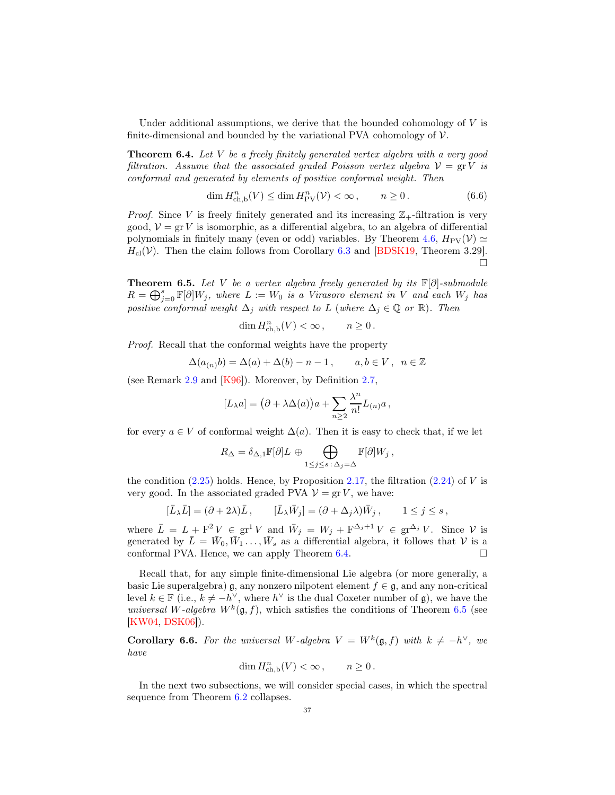Under additional assumptions, we derive that the bounded cohomology of  $V$  is finite-dimensional and bounded by the variational PVA cohomology of  $\mathcal V$ .

<span id="page-36-1"></span>**Theorem 6.4.** Let  $V$  be a freely finitely generated vertex algebra with a very good filtration. Assume that the associated graded Poisson vertex algebra  $V = \text{gr } V$  is conformal and generated by elements of positive conformal weight. Then

$$
\dim H^{n}_{\mathrm{ch},\mathrm{b}}(V) \le \dim H^{n}_{\mathrm{PV}}(\mathcal{V}) < \infty, \qquad n \ge 0. \tag{6.6}
$$

*Proof.* Since V is freely finitely generated and its increasing  $\mathbb{Z}_{+}$ -filtration is very good,  $\mathcal{V} = \text{gr } V$  is isomorphic, as a differential algebra, to an algebra of differential polynomials in finitely many (even or odd) variables. By Theorem [4.6,](#page-26-3)  $H_{PV}(\mathcal{V}) \simeq$  $H_{\text{cl}}(\mathcal{V})$ . Then the claim follows from Corollary [6.3](#page-35-0) and [\[BDSK19,](#page-54-3) Theorem 3.29].  $\Box$ 

<span id="page-36-0"></span>**Theorem 6.5.** Let V be a vertex algebra freely generated by its  $\mathbb{F}[\partial]$ -submodule  $R = \bigoplus_{j=0}^{s} \mathbb{F}[\partial] W_j$ , where  $L := W_0$  is a Virasoro element in V and each  $W_j$  has positive conformal weight  $\Delta_j$  with respect to L (where  $\Delta_j \in \mathbb{Q}$  or  $\mathbb{R}$ ). Then

$$
\dim H^n_{{\rm ch,b}}(V)<\infty\,,\qquad n\ge 0\,.
$$

Proof. Recall that the conformal weights have the property

$$
\Delta(a_{(n)}b) = \Delta(a) + \Delta(b) - n - 1, \qquad a, b \in V, \ \ n \in \mathbb{Z}
$$

(see Remark [2.9](#page-8-5) and [\[K96\]](#page-55-4)). Moreover, by Definition [2.7,](#page-7-0)

$$
[L_{\lambda}a] = (\partial + \lambda \Delta(a))a + \sum_{n \geq 2} \frac{\lambda^n}{n!} L_{(n)}a,
$$

for every  $a \in V$  of conformal weight  $\Delta(a)$ . Then it is easy to check that, if we let

$$
R_{\Delta} = \delta_{\Delta,1} \mathbb{F}[\partial] L \oplus \bigoplus_{1 \leq j \leq s \,:\, \Delta_j = \Delta} \mathbb{F}[\partial] W_j ,
$$

the condition  $(2.25)$  holds. Hence, by Proposition [2.17,](#page-11-3) the filtration  $(2.24)$  of V is very good. In the associated graded PVA  $\mathcal{V} = \text{gr } V$ , we have:

$$
[\bar{L}_{\lambda}\bar{L}] = (\partial + 2\lambda)\bar{L}, \qquad [\bar{L}_{\lambda}\bar{W}_j] = (\partial + \Delta_j\lambda)\bar{W}_j, \qquad 1 \le j \le s,
$$

where  $\bar{L} = L + \mathbf{F}^2 V \in \text{gr}^1 V$  and  $\bar{W}_j = W_j + \mathbf{F}^{\Delta_j+1} V \in \text{gr}^{\Delta_j} V$ . Since  $V$  is generated by  $\bar{L} = \bar{W}_0, \bar{W}_1, \ldots, \bar{W}_s$  as a differential algebra, it follows that  $V$  is a conformal PVA. Hence, we can apply Theorem [6.4.](#page-36-1)  $\Box$ 

Recall that, for any simple finite-dimensional Lie algebra (or more generally, a basic Lie superalgebra) g, any nonzero nilpotent element  $f \in \mathfrak{g}$ , and any non-critical level  $k \in \mathbb{F}$  (i.e.,  $k \neq -h^{\vee}$ , where  $h^{\vee}$  is the dual Coxeter number of  $\mathfrak{g}$ ), we have the universal W-algebra  $W^k(\mathfrak{g}, f)$ , which satisfies the conditions of Theorem [6.5](#page-36-0) (see [\[KW04,](#page-55-6) [DSK06\]](#page-54-14)).

**Corollary 6.6.** For the universal W-algebra  $V = W^k(\mathfrak{g},f)$  with  $k \neq -h^{\vee}$ , we have

$$
\dim H^n_{\mathrm{ch},\mathrm{b}}(V) < \infty \,, \qquad n \ge 0 \,.
$$

In the next two subsections, we will consider special cases, in which the spectral sequence from Theorem [6.2](#page-35-5) collapses.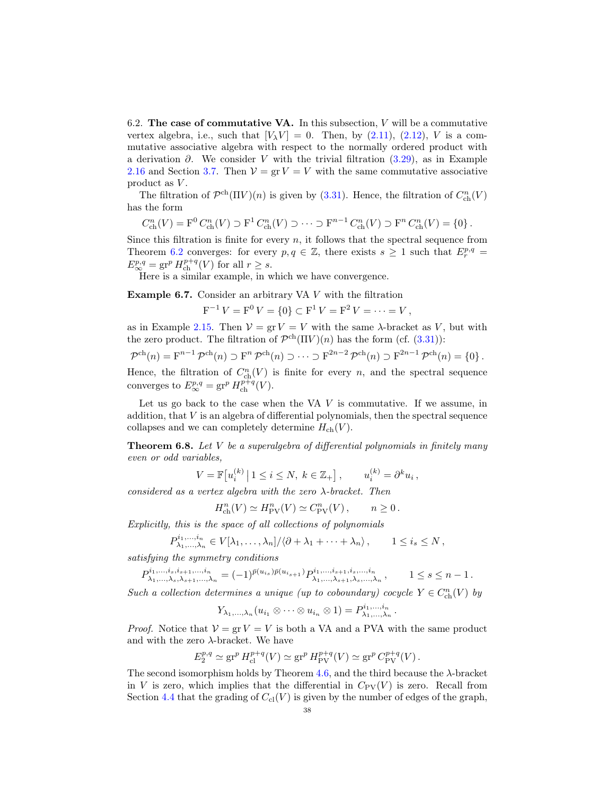6.2. The case of commutative VA. In this subsection,  $V$  will be a commutative vertex algebra, i.e., such that  $[V_\lambda V] = 0$ . Then, by [\(2.11\)](#page-8-0), [\(2.12\)](#page-8-3), V is a commutative associative algebra with respect to the normally ordered product with a derivation  $\partial$ . We consider V with the trivial filtration [\(3.29\)](#page-17-1), as in Example [2.16](#page-11-4) and Section [3.7.](#page-17-3) Then  $V = \text{gr } V = V$  with the same commutative associative product as  $V$ .

The filtration of  $\mathcal{P}^{ch}(\Pi V)(n)$  is given by [\(3.31\)](#page-17-7). Hence, the filtration of  $C_{ch}^{n}(V)$ has the form

$$
C_{\text{ch}}^n(V) = \mathcal{F}^0 C_{\text{ch}}^n(V) \supset \mathcal{F}^1 C_{\text{ch}}^n(V) \supset \cdots \supset \mathcal{F}^{n-1} C_{\text{ch}}^n(V) \supset \mathcal{F}^n C_{\text{ch}}^n(V) = \{0\}.
$$

Since this filtration is finite for every  $n$ , it follows that the spectral sequence from Theorem [6.2](#page-35-5) converges: for every  $p, q \in \mathbb{Z}$ , there exists  $s \geq 1$  such that  $E_r^{p,q} =$  $E^{p,q}_{\infty} = \operatorname{gr}^p H^{p+q}_{\operatorname{ch}}(V)$  for all  $r \geq s$ .

Here is a similar example, in which we have convergence.

Example 6.7. Consider an arbitrary VA V with the filtration

$$
F^{-1}V = F^{0}V = \{0\} \subset F^{1}V = F^{2}V = \cdots = V,
$$

as in Example [2.15.](#page-11-5) Then  $V = \text{gr } V = V$  with the same  $\lambda$ -bracket as V, but with the zero product. The filtration of  $\mathcal{P}^{ch}(\Pi V)(n)$  has the form (cf. [\(3.31\)](#page-17-7)):

$$
\mathcal{P}^{\mathrm{ch}}(n) = \mathrm{F}^{n-1} \mathcal{P}^{\mathrm{ch}}(n) \supset \mathrm{F}^n \mathcal{P}^{\mathrm{ch}}(n) \supset \cdots \supset \mathrm{F}^{2n-2} \mathcal{P}^{\mathrm{ch}}(n) \supset \mathrm{F}^{2n-1} \mathcal{P}^{\mathrm{ch}}(n) = \{0\}.
$$

Hence, the filtration of  $C_{ch}^{n}(V)$  is finite for every n, and the spectral sequence converges to  $E^{p,q}_{\infty} = \text{gr}^p H_{\text{ch}}^{p+q}(V)$ .

Let us go back to the case when the VA  $V$  is commutative. If we assume, in addition, that  $V$  is an algebra of differential polynomials, then the spectral sequence collapses and we can completely determine  $H_{ch}(V)$ .

**Theorem 6.8.** Let V be a superalgebra of differential polynomials in finitely many even or odd variables,

$$
V = \mathbb{F}[u_i^{(k)} | 1 \le i \le N, k \in \mathbb{Z}_+], \qquad u_i^{(k)} = \partial^k u_i,
$$

considered as a vertex algebra with the zero  $\lambda$ -bracket. Then

$$
H^n_{\operatorname{ch}}(V)\simeq H^n_{\rm PV}(V)\simeq C^n_{\rm PV}(V)\,,\qquad n\geq 0\,.
$$

Explicitly, this is the space of all collections of polynomials

$$
P_{\lambda_1,\dots,\lambda_n}^{i_1,\dots,i_n} \in V[\lambda_1,\dots,\lambda_n]/\langle \partial + \lambda_1 + \dots + \lambda_n \rangle, \qquad 1 \leq i_s \leq N,
$$

satisfying the symmetry conditions

 $P^{i_1,...,i_s,i_{s+1},...,i_n}_{\lambda_1,\ldots,\lambda_n,\lambda_{s+1},...,k_n}$  $\lambda^{i_1,...,i_s,i_{s+1},...,i_n}_{\lambda_1,...,\lambda_s,\lambda_{s+1},...,\lambda_n} = (-1)^{\bar{p}(u_{i_s})\bar{p}(u_{i_{s+1}})} P^{{i_1,...,i_{s+1},i_s,...,i_n}}_{\lambda_1,...,\lambda_{s+1},\lambda_s,...,\lambda_n}$  $\lambda_1, ..., \lambda_{s+1}, \lambda_s, ..., \lambda_n, \qquad 1 \leq s \leq n-1.$ 

Such a collection determines a unique (up to coboundary) cocycle  $Y \in C^n_{\text{ch}}(V)$  by

$$
Y_{\lambda_1,\ldots,\lambda_n}(u_{i_1}\otimes\cdots\otimes u_{i_n}\otimes 1)=P_{\lambda_1,\ldots,\lambda_n}^{i_1,\ldots,i_n}.
$$

*Proof.* Notice that  $V = \text{gr } V = V$  is both a VA and a PVA with the same product and with the zero  $\lambda$ -bracket. We have

$$
E_2^{p,q} \simeq \text{gr}^p H_{\text{cl}}^{p+q}(V) \simeq \text{gr}^p H_{\text{PV}}^{p+q}(V) \simeq \text{gr}^p C_{\text{PV}}^{p+q}(V).
$$

The second isomorphism holds by Theorem [4.6,](#page-26-3) and the third because the λ-bracket in V is zero, which implies that the differential in  $C_{\rm PV}(V)$  is zero. Recall from Section [4.4](#page-24-0) that the grading of  $C_{\text{cl}}(V)$  is given by the number of edges of the graph,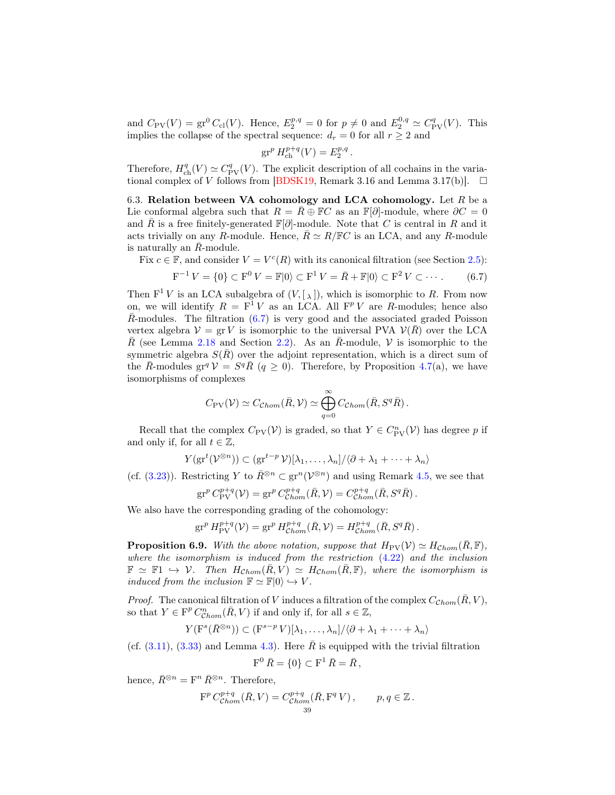and  $C_{\text{PV}}(V) = \text{gr}^0 C_{\text{cl}}(V)$ . Hence,  $E_2^{p,q} = 0$  for  $p \neq 0$  and  $E_2^{0,q} \simeq C_{\text{PV}}^q(V)$ . This implies the collapse of the spectral sequence:  $d_r = 0$  for all  $r \geq 2$  and

$$
\operatorname{gr}^p H_{\operatorname{ch}}^{p+q}(V) = E_2^{p,q}.
$$

Therefore,  $H_{\text{ch}}^{q}(V) \simeq C_{\text{PV}}^{q}(V)$ . The explicit description of all cochains in the varia-tional complex of V follows from [\[BDSK19,](#page-54-3) Remark 3.16 and Lemma 3.17(b)].  $\square$ 

<span id="page-38-2"></span>6.3. Relation between VA cohomology and LCA cohomology. Let  $R$  be a Lie conformal algebra such that  $R = \overline{R} \oplus \mathbb{F}C$  as an  $\mathbb{F}[\partial]$ -module, where  $\partial C = 0$ and R is a free finitely-generated  $\mathbb{F}[\partial]$ -module. Note that C is central in R and it acts trivially on any R-module. Hence,  $\bar{R} \simeq R/\mathbb{F}C$  is an LCA, and any R-module is naturally an  $R$ -module.

Fix  $c \in \mathbb{F}$ , and consider  $V = V^c(R)$  with its canonical filtration (see Section [2.5\)](#page-11-6):

<span id="page-38-0"></span>
$$
F^{-1} V = \{0\} \subset F^{0} V = \mathbb{F}|0\rangle \subset F^{1} V = \bar{R} + \mathbb{F}|0\rangle \subset F^{2} V \subset \cdots. \tag{6.7}
$$

Then  $F^1 V$  is an LCA subalgebra of  $(V, [\lambda])$ , which is isomorphic to R. From now on, we will identify  $R = F^1 V$  as an LCA. All  $F^p V$  are R-modules; hence also  $\overline{R}$ -modules. The filtration [\(6.7\)](#page-38-0) is very good and the associated graded Poisson vertex algebra  $V = \text{gr } V$  is isomorphic to the universal PVA  $V(\overline{R})$  over the LCA  $\overline{R}$  (see Lemma [2.18](#page-12-3) and Section [2.2\)](#page-6-1). As an  $\overline{R}$ -module, V is isomorphic to the symmetric algebra  $S(R)$  over the adjoint representation, which is a direct sum of the  $\bar{R}$ -modules gr<sup>q</sup>  $\mathcal{V} = S^q \bar{R}$  ( $q \ge 0$ ). Therefore, by Proposition [4.7\(](#page-26-4)a), we have isomorphisms of complexes

$$
C_{\rm PV}(\mathcal{V}) \simeq C_{\rm Chom}(\bar{R}, \mathcal{V}) \simeq \bigoplus_{q=0}^{\infty} C_{\rm Chom}(\bar{R}, S^q \bar{R}).
$$

Recall that the complex  $C_{\text{PV}}(\mathcal{V})$  is graded, so that  $Y \in C_{\text{PV}}^n(\mathcal{V})$  has degree p if and only if, for all  $t \in \mathbb{Z}$ ,

$$
Y(\mathrm{gr}^t(\mathcal{V}^{\otimes n})) \subset (\mathrm{gr}^{t-p}\mathcal{V})[\lambda_1,\ldots,\lambda_n]/\langle \partial + \lambda_1 + \cdots + \lambda_n \rangle
$$

(cf. [\(3.23\)](#page-16-4)). Restricting Y to  $\bar{R}^{\otimes n} \subset \text{gr}^n(\mathcal{V}^{\otimes n})$  and using Remark [4.5,](#page-25-1) we see that

$$
\operatorname{gr}^p C^{p+q}_{\text{PV}}(\mathcal{V}) = \operatorname{gr}^p C^{p+q}_{\text{Chom}}(\bar{R}, \mathcal{V}) = C^{p+q}_{\text{Chom}}(\bar{R}, S^q \bar{R}).
$$

We also have the corresponding grading of the cohomology:

$$
\operatorname{gr}^p H_{\text{PV}}^{p+q}(\mathcal{V}) = \operatorname{gr}^p H_{\text{Chom}}^{p+q}(\bar{R}, \mathcal{V}) = H_{\text{Chom}}^{p+q}(\bar{R}, S^q \bar{R}).
$$

<span id="page-38-1"></span>**Proposition 6.9.** With the above notation, suppose that  $H_{PV}(\mathcal{V}) \simeq H_{Chom}(\bar{R}, \mathbb{F})$ , where the isomorphism is induced from the restriction [\(4.22\)](#page-26-2) and the inclusion  $\mathbb{F} \simeq \mathbb{F} \mathbb{1} \hookrightarrow \mathcal{V}$ . Then  $H_{Chom}(\bar{R}, V) \simeq H_{Chom}(\bar{R}, \mathbb{F})$ , where the isomorphism is induced from the inclusion  $\mathbb{F} \simeq \mathbb{F}|0\rangle \hookrightarrow V$ .

*Proof.* The canonical filtration of V induces a filtration of the complex  $C_{Chom}(\overline{R}, V)$ , so that  $Y \in \mathcal{F}^p C^n_{Chom} (\bar{R}, V)$  if and only if, for all  $s \in \mathbb{Z}$ ,

$$
Y(\mathbf{F}^s(\bar{R}^{\otimes n})) \subset (\mathbf{F}^{s-p} V)[\lambda_1, \ldots, \lambda_n] / \langle \partial + \lambda_1 + \cdots + \lambda_n \rangle
$$

(cf.  $(3.11)$ ,  $(3.33)$  and Lemma [4.3\)](#page-23-0). Here  $\overline{R}$  is equipped with the trivial filtration

$$
F^0 \,\bar{R} = \{0\} \subset F^1 \,\bar{R} = \bar{R} \,,
$$

hence,  $\bar{R}^{\otimes n} = \mathbf{F}^n \bar{R}^{\otimes n}$ . Therefore,

$$
\mathcal{F}^p C^{p+q}_{\mathcal{C}hom}(\bar{R}, V) = C^{p+q}_{\mathcal{C}hom}(\bar{R}, \mathcal{F}^q V), \qquad p, q \in \mathbb{Z}.
$$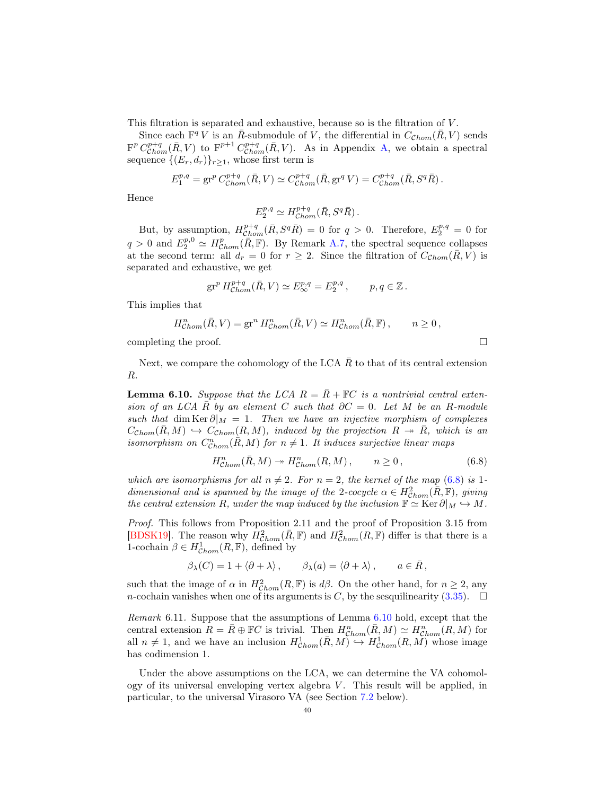This filtration is separated and exhaustive, because so is the filtration of  $V$ .

Since each  $F^q V$  is an  $\overline{R}$ -submodule of V, the differential in  $C_{\mathcal{C}hom}(\overline{R}, V)$  sends  $\mathbf{F}^p C^{p+q}_{\text{Chom}}(\bar{R}, V)$  to  $\mathbf{F}^{p+1} C^{p+q}_{\text{Chom}}(\bar{R}, V)$ . As in Appendix [A,](#page-50-0) we obtain a spectral sequence  $\{(E_r, d_r)\}_{r \geq 1}$ , whose first term is

$$
E_1^{p,q} = \text{gr}^p C_{Chom}^{p+q} (\bar{R}, V) \simeq C_{Chom}^{p+q} (\bar{R}, \text{gr}^q V) = C_{Chom}^{p+q} (\bar{R}, S^q \bar{R}).
$$

Hence

$$
E_2^{p,q} \simeq H^{p+q}_{\mathcal{C}hom}(\bar{R}, S^q \bar{R}).
$$

But, by assumption,  $H^{p+q}_{Chom}(\bar{R}, S^q \bar{R}) = 0$  for  $q > 0$ . Therefore,  $E_2^{p,q} = 0$  for  $q > 0$  and  $E_2^{p,0} \simeq H_{\text{Chom}}^p(\overline{R},\mathbb{F})$ . By Remark [A.7,](#page-54-15) the spectral sequence collapses at the second term: all  $d_r = 0$  for  $r \geq 2$ . Since the filtration of  $C_{Chom}(\bar{R}, V)$  is separated and exhaustive, we get

$$
\operatorname{gr}^p H^{p+q}_{\mathcal{C}hom}(\bar R, V) \simeq E^{p,q}_\infty = E^{p,q}_2\,, \qquad p,q\in \mathbb{Z}\,.
$$

This implies that

$$
H_{Chom}^n(\bar{R}, V) = \operatorname{gr}^n H_{Chom}^n(\bar{R}, V) \simeq H_{Chom}^n(\bar{R}, \mathbb{F}), \qquad n \ge 0,
$$

completing the proof.  $\Box$ 

Next, we compare the cohomology of the LCA  $\bar{R}$  to that of its central extension R.

<span id="page-39-1"></span>**Lemma 6.10.** Suppose that the LCA  $R = \overline{R} + \mathbb{F}C$  is a nontrivial central extension of an LCA R by an element C such that  $\partial C = 0$ . Let M be an R-module such that dim Ker  $\partial_M = 1$ . Then we have an injective morphism of complexes  $C_{\text{Chom}}(\bar{R}, M) \hookrightarrow C_{\text{Chom}}(R, M)$ , induced by the projection  $R \rightarrow \bar{R}$ , which is an isomorphism on  $C_{Chom}^n(\overline{R}, M)$  for  $n \neq 1$ . It induces surjective linear maps

<span id="page-39-0"></span>
$$
H_{\mathcal{C}hom}^n(\bar{R}, M) \twoheadrightarrow H_{\mathcal{C}hom}^n(R, M) \,, \qquad n \ge 0 \,, \tag{6.8}
$$

which are isomorphisms for all  $n \neq 2$ . For  $n = 2$ , the kernel of the map [\(6.8\)](#page-39-0) is 1dimensional and is spanned by the image of the 2-cocycle  $\alpha \in H^2_{Chom}(\overline{R}, \mathbb{F})$ , giving the central extension R, under the map induced by the inclusion  $\mathbb{F} \simeq \text{Ker } \partial \vert_M \hookrightarrow M$ .

Proof. This follows from Proposition 2.11 and the proof of Proposition 3.15 from [\[BDSK19\]](#page-54-3). The reason why  $H_{Chom}^2(\bar{R}, \mathbb{F})$  and  $H_{Chom}^2(R, \mathbb{F})$  differ is that there is a 1-cochain  $\beta \in H^1_{\mathcal{C}hom}(R, \mathbb{F})$ , defined by

$$
\beta_{\lambda}(C) = 1 + \langle \partial + \lambda \rangle
$$
,  $\beta_{\lambda}(a) = \langle \partial + \lambda \rangle$ ,  $a \in \overline{R}$ ,

such that the image of  $\alpha$  in  $H^2_{Chom}(R, \mathbb{F})$  is  $d\beta$ . On the other hand, for  $n \geq 2$ , any *n*-cochain vanishes when one of its arguments is C, by the sesquilinearity [\(3.35\)](#page-17-6).  $\Box$ 

Remark 6.11. Suppose that the assumptions of Lemma [6.10](#page-39-1) hold, except that the central extension  $R = \overline{R} \oplus \mathbb{F}C$  is trivial. Then  $H^n_{Chom}(\overline{R}, M) \simeq H^n_{Chom}(R, M)$  for all  $n \neq 1$ , and we have an inclusion  $H^1_{Chom}(\bar{R}, M) \hookrightarrow H^1_{Chom}(R, M)$  whose image has codimension 1.

Under the above assumptions on the LCA, we can determine the VA cohomology of its universal enveloping vertex algebra  $V$ . This result will be applied, in particular, to the universal Virasoro VA (see Section [7.2](#page-44-0) below).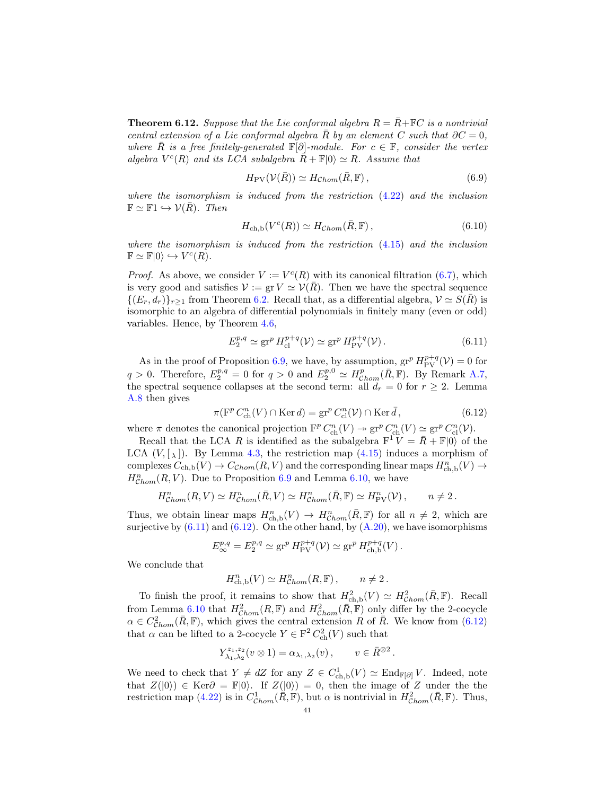<span id="page-40-2"></span>**Theorem 6.12.** Suppose that the Lie conformal algebra  $R = \overline{R} + \mathbb{F}C$  is a nontrivial central extension of a Lie conformal algebra R by an element C such that  $\partial C = 0$ , where R is a free finitely-generated  $\mathbb{F}[\partial]$ -module. For  $c \in \mathbb{F}$ , consider the vertex algebra  $V^c(R)$  and its LCA subalgebra  $\overline{R} + \mathbb{F}|0\rangle \simeq R$ . Assume that

$$
H_{\rm PV}(\mathcal{V}(\bar{R})) \simeq H_{\mathcal{C}hom}(\bar{R}, \mathbb{F}), \qquad (6.9)
$$

where the isomorphism is induced from the restriction  $(4.22)$  and the inclusion  $\mathbb{F} \simeq \mathbb{F} \mathbb{1} \hookrightarrow \mathcal{V}(\bar{R})$ . Then

$$
H_{\text{ch},\text{b}}(V^c(R)) \simeq H_{\text{Chom}}(\bar{R},\mathbb{F}),\tag{6.10}
$$

where the isomorphism is induced from the restriction  $(4.15)$  and the inclusion  $\mathbb{F} \simeq \mathbb{F}|0\rangle \hookrightarrow V^c(R).$ 

*Proof.* As above, we consider  $V := V<sup>c</sup>(R)$  with its canonical filtration [\(6.7\)](#page-38-0), which is very good and satisfies  $\mathcal{V} := \text{gr } V \simeq \mathcal{V}(\overline{R})$ . Then we have the spectral sequence  $\{(E_r, d_r)\}_{r>1}$  from Theorem [6.2.](#page-35-5) Recall that, as a differential algebra,  $\mathcal{V} \simeq S(\overline{R})$  is isomorphic to an algebra of differential polynomials in finitely many (even or odd) variables. Hence, by Theorem [4.6,](#page-26-3)

<span id="page-40-0"></span>
$$
E_2^{p,q} \simeq \operatorname{gr}^p H_{\text{cl}}^{p+q}(\mathcal{V}) \simeq \operatorname{gr}^p H_{\text{PV}}^{p+q}(\mathcal{V}). \tag{6.11}
$$

As in the proof of Proposition [6.9,](#page-38-1) we have, by assumption,  $gr^p H_{PV}^{p+q}(\mathcal{V}) = 0$  for  $q > 0$ . Therefore,  $E_2^{p,q} = 0$  for  $q > 0$  and  $E_2^{p,0} \simeq H_{\mathcal{C}hom}^p(\bar{R}, \mathbb{F})$ . By Remark [A.7,](#page-54-15) the spectral sequence collapses at the second term: all  $d_r = 0$  for  $r \geq 2$ . Lemma [A.8](#page-54-16) then gives

<span id="page-40-1"></span>
$$
\pi(\mathbf{F}^p C_{\text{ch}}^n(V) \cap \text{Ker } d) = \mathbf{gr}^p C_{\text{cl}}^n(\mathcal{V}) \cap \text{Ker } \bar{d},\tag{6.12}
$$

where  $\pi$  denotes the canonical projection  $\mathbf{F}^p C_{\text{ch}}^n(V) \to \text{gr}^p C_{\text{ch}}^n(V) \simeq \text{gr}^p C_{\text{cl}}^n(V)$ .

Recall that the LCA R is identified as the subalgebra  $F^{\text{T}}V = \bar{R} + \mathbb{F}|0\rangle$  of the LCA  $(V, [\lambda])$ . By Lemma [4.3,](#page-23-0) the restriction map  $(4.15)$  induces a morphism of complexes  $C_{ch,b}(V) \to C_{Chom}(R, V)$  and the corresponding linear maps  $H^n_{ch,b}(V) \to$  $H_{Chom}^n(R, V)$ . Due to Proposition [6.9](#page-38-1) and Lemma [6.10,](#page-39-1) we have

$$
H^n_{Chom}(R,V) \simeq H^n_{Chom}(\bar{R},V) \simeq H^n_{Chom}(\bar{R},\mathbb{F}) \simeq H^n_{\rm PV}(\mathcal{V}), \qquad n \neq 2.
$$

Thus, we obtain linear maps  $H_{\mathrm{ch,b}}^n(V) \to H_{\mathrm{Chom}}^n(\bar{R},\mathbb{F})$  for all  $n \neq 2$ , which are surjective by  $(6.11)$  and  $(6.12)$ . On the other hand, by  $(A.20)$ , we have isomorphisms

$$
E^{p,q}_{\infty} = E^{p,q}_2 \simeq \operatorname{gr}^p H^{p+q}_{\text{PV}}(\mathcal{V}) \simeq \operatorname{gr}^p H^{p+q}_{\text{ch},\text{b}}(V).
$$

We conclude that

$$
H^n_{\text{ch},\mathbf{b}}(V) \simeq H^n_{\text{Chom}}(R,\mathbb{F}), \qquad n \neq 2.
$$

To finish the proof, it remains to show that  $H_{\text{ch,b}}^2(V) \simeq H_{\text{Chom}}^2(\bar{R}, \mathbb{F})$ . Recall from Lemma [6.10](#page-39-1) that  $H^2_{Chom}(R, \mathbb{F})$  and  $H^2_{Chom}(\bar{R}, \mathbb{F})$  only differ by the 2-cocycle  $\alpha \in C^2_{Chom}(\bar{R}, \mathbb{F})$ , which gives the central extension R of  $\bar{R}$ . We know from [\(6.12\)](#page-40-1) that  $\alpha$  can be lifted to a 2-cocycle  $Y \in \mathcal{F}^2 C^2_{\text{ch}}(V)$  such that

$$
Y_{\lambda_1,\lambda_2}^{z_1,z_2}(v\otimes 1) = \alpha_{\lambda_1,\lambda_2}(v), \qquad v \in \bar{R}^{\otimes 2}.
$$

We need to check that  $Y \neq dZ$  for any  $Z \in C^1_{\text{ch},\text{b}}(V) \simeq \text{End}_{\mathbb{F}[\partial]} V$ . Indeed, note that  $Z(|0\rangle) \in \text{Ker}\partial = \mathbb{F}|0\rangle$ . If  $Z(|0\rangle) = 0$ , then the image of Z under the the restriction map [\(4.22\)](#page-26-2) is in  $C_{Chom}^1(\overline{R}, \overline{\mathbb{F}})$ , but  $\alpha$  is nontrivial in  $H^2_{Chom}(\overline{R}, \mathbb{F})$ . Thus,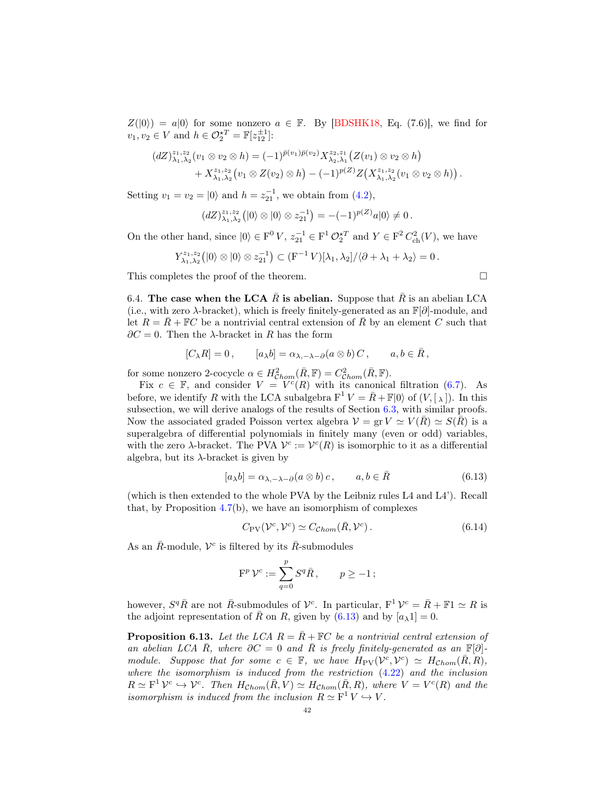$Z(|0\rangle) = a|0\rangle$  for some nonzero  $a \in \mathbb{F}$ . By [\[BDSHK18,](#page-54-1) Eq. (7.6)], we find for  $v_1, v_2 \in V$  and  $h \in \mathcal{O}_2^{\star T} = \mathbb{F}[z_{12}^{\pm 1}]$ :

$$
(dZ)^{z_1,z_2}_{\lambda_1,\lambda_2}(v_1 \otimes v_2 \otimes h) = (-1)^{\bar{p}(v_1)\bar{p}(v_2)} X^{z_2,z_1}_{\lambda_2,\lambda_1}(Z(v_1) \otimes v_2 \otimes h) + X^{z_1,z_2}_{\lambda_1,\lambda_2}(v_1 \otimes Z(v_2) \otimes h) - (-1)^{p(Z)} Z(X^{z_1,z_2}_{\lambda_1,\lambda_2}(v_1 \otimes v_2 \otimes h)).
$$

Setting  $v_1 = v_2 = |0\rangle$  and  $h = z_{21}^{-1}$ , we obtain from [\(4.2\)](#page-20-0),

$$
\left(\frac{dZ}{\lambda_1,\lambda_2}\right)\left(\left|0\right\rangle\otimes\left|0\right\rangle\otimes z_{21}^{-1}\right) = -(-1)^{p(Z)}a\left|0\right\rangle\neq 0.
$$

On the other hand, since  $|0\rangle \in F^0 V$ ,  $z_{21}^{-1} \in F^1 \mathcal{O}_2^{\star T}$  and  $Y \in F^2 C_{ch}^2(V)$ , we have

$$
Y_{\lambda_1,\lambda_2}^{z_1,z_2}(|0\rangle\otimes|0\rangle\otimes z_{21}^{-1})\subset (\mathrm{F}^{-1}V)[\lambda_1,\lambda_2]/\langle \partial+\lambda_1+\lambda_2\rangle=0.
$$

This completes the proof of the theorem.  $\hfill \square$ 

6.4. The case when the LCA R is abelian. Suppose that R is an abelian LCA (i.e., with zero  $\lambda$ -bracket), which is freely finitely-generated as an  $\mathbb{F}[\partial]$ -module, and let  $R = R + \mathbb{F}C$  be a nontrivial central extension of R by an element C such that  $∂C = 0$ . Then the  $\lambda$ -bracket in R has the form

$$
[C_{\lambda}R]=0\,,\qquad [a_{\lambda}b]=\alpha_{\lambda,-\lambda-\partial}(a\otimes b)\,C\,,\qquad a,b\in\bar R\,,
$$

for some nonzero 2-cocycle  $\alpha \in H^2_{\mathcal{C}hom}(\bar{R}, \mathbb{F}) = C^2_{\mathcal{C}hom}(\bar{R}, \mathbb{F}).$ 

Fix  $c \in \mathbb{F}$ , and consider  $V = V^c(R)$  with its canonical filtration [\(6.7\)](#page-38-0). As before, we identify R with the LCA subalgebra  $F^1 V = \overline{R} + \mathbb{F} |0\rangle$  of  $(V, [\lambda])$ . In this subsection, we will derive analogs of the results of Section [6.3,](#page-38-2) with similar proofs. Now the associated graded Poisson vertex algebra  $\mathcal{V} = \text{gr } V \simeq V(\bar{R}) \simeq S(\bar{R})$  is a superalgebra of differential polynomials in finitely many (even or odd) variables, with the zero  $\lambda$ -bracket. The PVA  $\mathcal{V}^c := \mathcal{V}^c(R)$  is isomorphic to it as a differential algebra, but its  $\lambda$ -bracket is given by

<span id="page-41-0"></span>
$$
[a_{\lambda}b] = \alpha_{\lambda, -\lambda - \partial}(a \otimes b)c, \qquad a, b \in \bar{R}
$$
 (6.13)

(which is then extended to the whole PVA by the Leibniz rules L4 and L4'). Recall that, by Proposition  $4.7(b)$  $4.7(b)$ , we have an isomorphism of complexes

<span id="page-41-2"></span>
$$
C_{\rm PV}(\mathcal{V}^c, \mathcal{V}^c) \simeq C_{\mathcal{C}hom}(\bar{R}, \mathcal{V}^c).
$$
\n(6.14)

As an  $\bar{R}$ -module,  $V^c$  is filtered by its  $\bar{R}$ -submodules

$$
\mathcal{F}^p \, \mathcal{V}^c := \sum_{q=0}^p S^q \bar{R} \,, \qquad p \ge -1 \,;
$$

however,  $S^q \bar{R}$  are not  $\bar{R}$ -submodules of  $\mathcal{V}^c$ . In particular,  $F^1 \mathcal{V}^c = \bar{R} + \mathbb{F}1 \simeq R$  is the adjoint representation of R on R, given by  $(6.13)$  and by  $[a_\lambda 1] = 0$ .

<span id="page-41-1"></span>**Proposition 6.13.** Let the LCA  $R = \overline{R} + \mathbb{F}C$  be a nontrivial central extension of an abelian LCA R, where  $\partial C = 0$  and R is freely finitely-generated as an  $\mathbb{F}[\partial]$ module. Suppose that for some  $c \in \mathbb{F}$ , we have  $H_{\text{PV}}(\mathcal{V}^c, \mathcal{V}^c) \simeq H_{\text{Chom}}(\bar{R}, R)$ , where the isomorphism is induced from the restriction [\(4.22\)](#page-26-2) and the inclusion  $R \simeq \mathbb{F}^1 \mathcal{V}^c \hookrightarrow \mathcal{V}^c$ . Then  $H_{Chom}(\bar{R}, V) \simeq H_{Chom}(\bar{R}, R)$ , where  $V = V^c(R)$  and the isomorphism is induced from the inclusion  $R \simeq F^1 V \hookrightarrow V$ .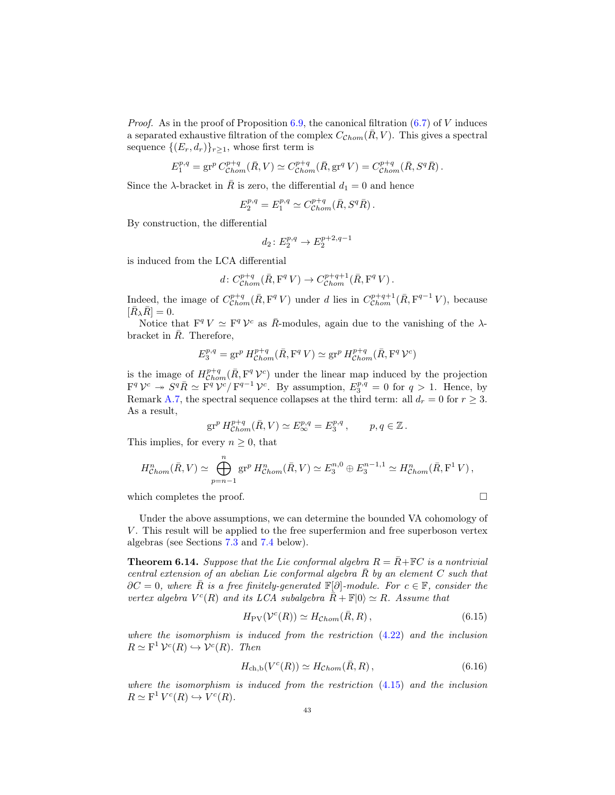*Proof.* As in the proof of Proposition [6.9,](#page-38-1) the canonical filtration  $(6.7)$  of V induces a separated exhaustive filtration of the complex  $C_{\mathcal{C}hom}(\overline{R}, V)$ . This gives a spectral sequence  $\{(E_r, d_r)\}_{r>1}$ , whose first term is

$$
E_1^{p,q} = \text{gr}^p C_{Chom}^{p+q} (\bar{R}, V) \simeq C_{Chom}^{p+q} (\bar{R}, \text{gr}^q V) = C_{Chom}^{p+q} (\bar{R}, S^q \bar{R}).
$$

Since the  $\lambda$ -bracket in R is zero, the differential  $d_1 = 0$  and hence

$$
E_2^{p,q} = E_1^{p,q} \simeq C_{\mathcal{C}hom}^{p+q}(\bar R, S^q \bar R) \,.
$$

By construction, the differential

$$
d_2 \colon E_2^{p,q} \to E_2^{p+2,q-1}
$$

is induced from the LCA differential

$$
d\colon C^{p+q}_{\mathcal{C}hom}(\bar R,\mathbf{F}^q\,V)\to C^{p+q+1}_{\mathcal{C}hom}(\bar R,\mathbf{F}^q\,V)\,.
$$

Indeed, the image of  $C_{\text{Chom}}^{p+q}(\bar{R}, \mathbf{F}^q V)$  under d lies in  $C_{\text{Chom}}^{p+q+1}(\bar{R}, \mathbf{F}^{q-1} V)$ , because  $[\bar{R}_{\lambda} \bar{R}] = 0.$ 

Notice that  $F^q V \simeq F^q V^c$  as  $\overline{R}$ -modules, again due to the vanishing of the  $\lambda$ bracket in  $\overline{R}$ . Therefore,

$$
E_3^{p,q}=\operatorname{gr}^p H_{{\mathcal{C}}hom}^{p+q}(\bar R,\mathbf{F}^q\,V)\simeq \operatorname{gr}^p H_{{\mathcal{C}}hom}^{p+q}(\bar R,\mathbf{F}^q\,{\mathcal{V}}^c)
$$

is the image of  $H^{p+q}_{Chom}(\bar{R}, F^q \mathcal{V}^c)$  under the linear map induced by the projection  $\mathbf{F}^q \mathcal{V}^c \twoheadrightarrow S^q \overline{R} \simeq \overline{\mathbf{F}}^q \mathcal{V}^c / \mathbf{F}^{q-1} \mathcal{V}^c$ . By assumption,  $E_3^{p,q} = 0$  for  $q > 1$ . Hence, by Remark [A.7,](#page-54-15) the spectral sequence collapses at the third term: all  $d_r = 0$  for  $r \geq 3$ . As a result,

$$
\operatorname{gr}^p H^{p+q}_{Chom}(\bar R,V) \simeq E^{p,q}_{\infty} = E^{p,q}_3 \,, \qquad p,q \in \mathbb{Z} \,.
$$

This implies, for every  $n \geq 0$ , that

$$
H^n_{Chom}(\bar{R}, V) \simeq \bigoplus_{p=n-1}^n \operatorname{gr}^p H^n_{Chom}(\bar{R}, V) \simeq E_3^{n,0} \oplus E_3^{n-1,1} \simeq H^n_{Chom}(\bar{R}, \mathbf{F}^1 V),
$$

which completes the proof.  $\Box$ 

Under the above assumptions, we can determine the bounded VA cohomology of V. This result will be applied to the free superfermion and free superboson vertex algebras (see Sections [7.3](#page-44-1) and [7.4](#page-45-1) below).

<span id="page-42-0"></span>**Theorem 6.14.** Suppose that the Lie conformal algebra  $R = \overline{R} + \mathbb{F}C$  is a nontrivial central extension of an abelian Lie conformal algebra  $\overline{R}$  by an element C such that  $\partial C = 0$ , where  $\overline{R}$  is a free finitely-generated  $\mathbb{F}[\partial]$ -module. For  $c \in \mathbb{F}$ , consider the vertex algebra  $V^c(R)$  and its LCA subalgebra  $\overline{R} + \mathbb{F} |0\rangle \simeq R$ . Assume that

<span id="page-42-1"></span>
$$
H_{\rm PV}(\mathcal{V}^c(R)) \simeq H_{\mathcal{C}hom}(\bar{R}, R), \qquad (6.15)
$$

where the isomorphism is induced from the restriction [\(4.22\)](#page-26-2) and the inclusion  $R \simeq \mathrm{F}^1 \mathcal{V}^c(R) \hookrightarrow \mathcal{V}^c(R)$ . Then

<span id="page-42-2"></span>
$$
H_{\text{ch},\text{b}}(V^c(R)) \simeq H_{\text{Chom}}(\bar{R},R), \qquad (6.16)
$$

where the isomorphism is induced from the restriction [\(4.15\)](#page-23-1) and the inclusion  $R \simeq \mathbf{F}^1 V^c(R) \hookrightarrow V^c(R).$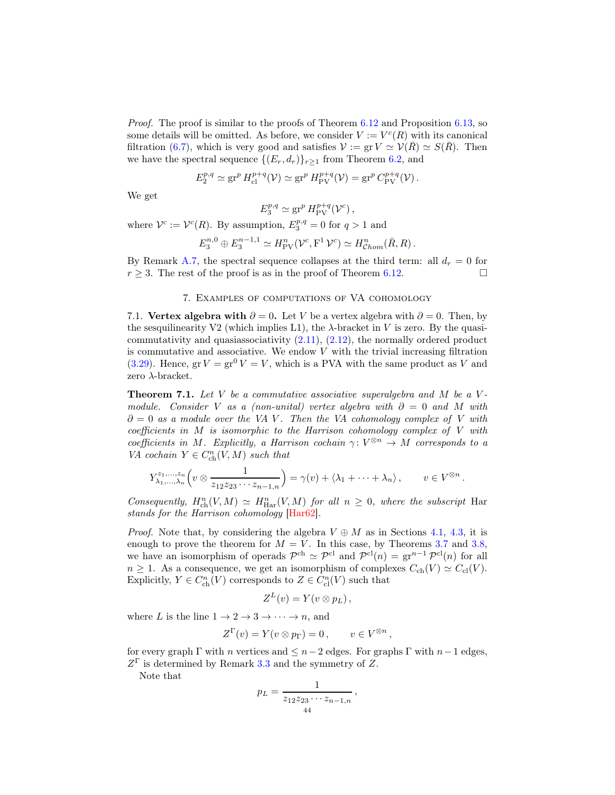Proof. The proof is similar to the proofs of Theorem [6.12](#page-40-2) and Proposition [6.13,](#page-41-1) so some details will be omitted. As before, we consider  $V := V<sup>c</sup>(R)$  with its canonical filtration [\(6.7\)](#page-38-0), which is very good and satisfies  $\mathcal{V} := \text{gr } V \simeq \mathcal{V}(R) \simeq S(R)$ . Then we have the spectral sequence  $\{(E_r, d_r)\}_{r\geq 1}$  from Theorem [6.2,](#page-35-5) and

$$
E_2^{p,q} \simeq \operatorname{gr}^p H_{\text{cl}}^{p+q}(\mathcal{V}) \simeq \operatorname{gr}^p H_{\text{PV}}^{p+q}(\mathcal{V}) = \operatorname{gr}^p C_{\text{PV}}^{p+q}(\mathcal{V}).
$$

We get

$$
E_3^{p,q} \simeq \operatorname{gr}^p H_{\text{PV}}^{p+q}(\mathcal{V}^c) ,
$$

where  $\mathcal{V}^c := \mathcal{V}^c(R)$ . By assumption,  $E_3^{p,q} = 0$  for  $q > 1$  and

$$
E_3^{n,0} \oplus E_3^{n-1,1} \simeq H_{\text{PV}}^n(\mathcal{V}^c, F^1 \mathcal{V}^c) \simeq H_{\text{Chom}}^n(\bar{R}, R) .
$$

<span id="page-43-0"></span>By Remark [A.7,](#page-54-15) the spectral sequence collapses at the third term: all  $d_r = 0$  for  $r \geq 3$ . The rest of the proof is as in the proof of Theorem [6.12.](#page-40-2)

## 7. Examples of computations of VA cohomology

7.1. Vertex algebra with  $\partial = 0$ . Let V be a vertex algebra with  $\partial = 0$ . Then, by the sesquilinearity V2 (which implies L1), the  $\lambda$ -bracket in V is zero. By the quasicommutativity and quasiassociativity [\(2.11\)](#page-8-0), [\(2.12\)](#page-8-3), the normally ordered product is commutative and associative. We endow  $V$  with the trivial increasing filtration [\(3.29\)](#page-17-1). Hence,  $gr V = gr^0 V = V$ , which is a PVA with the same product as V and zero  $\lambda$ -bracket.

<span id="page-43-1"></span>**Theorem 7.1.** Let V be a commutative associative superalgebra and M be a Vmodule. Consider V as a (non-unital) vertex algebra with  $\partial = 0$  and M with  $\partial = 0$  as a module over the VA V. Then the VA cohomology complex of V with coefficients in  $M$  is isomorphic to the Harrison cohomology complex of  $V$  with coefficients in M. Explicitly, a Harrison cochain  $\gamma: V^{\otimes n} \to M$  corresponds to a VA cochain  $Y \in C_{\text{ch}}^n(V, M)$  such that

$$
Y^{\varepsilon_1,\ldots,\varepsilon_n}_{\lambda_1,\ldots,\lambda_n}\Big(v\otimes \frac{1}{z_{12}z_{23}\cdots z_{n-1,n}}\Big)=\gamma(v)+\langle \lambda_1+\cdots+\lambda_n\rangle\,,\qquad v\in V^{\otimes n}\,.
$$

Consequently,  $H_{\text{ch}}^n(V,M) \simeq H_{\text{Har}}^n(V,M)$  for all  $n \geq 0$ , where the subscript Har stands for the Harrison cohomology [\[Har62\]](#page-55-3).

*Proof.* Note that, by considering the algebra  $V \oplus M$  as in Sections [4.1,](#page-19-1) [4.3,](#page-20-4) it is enough to prove the theorem for  $M = V$ . In this case, by Theorems [3.7](#page-17-2) and [3.8,](#page-18-2) we have an isomorphism of operads  $\mathcal{P}^{ch} \simeq \mathcal{P}^{cl}$  and  $\mathcal{P}^{cl}(n) = \text{gr}^{n-1} \mathcal{P}^{cl}(n)$  for all  $n \geq 1$ . As a consequence, we get an isomorphism of complexes  $C_{ch}(V) \simeq C_{cl}(V)$ . Explicitly,  $Y \in C^n_{\text{ch}}(V)$  corresponds to  $Z \in C^n_{\text{cl}}(V)$  such that

$$
Z^L(v) = Y(v \otimes p_L),
$$

where L is the line  $1 \to 2 \to 3 \to \cdots \to n$ , and

$$
Z^{\Gamma}(v) = Y(v \otimes p_{\Gamma}) = 0, \qquad v \in V^{\otimes n},
$$

for every graph  $\Gamma$  with n vertices and  $\leq n-2$  edges. For graphs  $\Gamma$  with  $n-1$  edges,  $Z^{\Gamma}$  is determined by Remark [3.3](#page-15-2) and the symmetry of Z.

Note that

$$
p_L = \frac{1}{z_{12}z_{23}\cdots z_{n-1,n}},
$$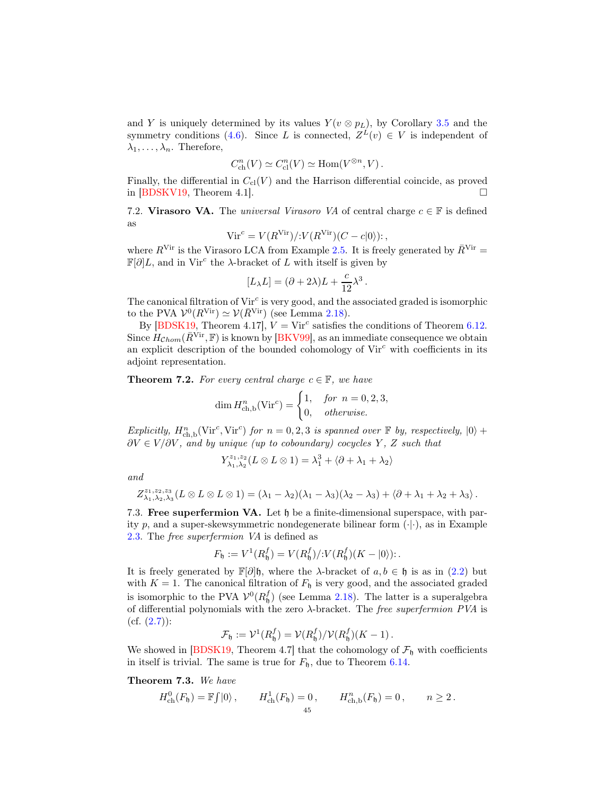and Y is uniquely determined by its values  $Y(v \otimes p_L)$ , by Corollary [3.5](#page-16-6) and the symmetry conditions [\(4.6\)](#page-21-0). Since L is connected,  $Z^{L}(v) \in V$  is independent of  $\lambda_1, \ldots, \lambda_n$ . Therefore,

$$
C_{\text{ch}}^n(V) \simeq C_{\text{cl}}^n(V) \simeq \text{Hom}(V^{\otimes n}, V).
$$

Finally, the differential in  $C_{\text{cl}}(V)$  and the Harrison differential coincide, as proved in  $[BDSKV19, Theorem 4.1].$ 

<span id="page-44-0"></span>7.2. Virasoro VA. The universal Virasoro VA of central charge  $c \in \mathbb{F}$  is defined as

$$
Vir^c = V(RVir)/:V(RVir)(C - c|0\rangle):,
$$

where  $R^{\text{Vir}}$  is the Virasoro LCA from Example [2.5.](#page-6-2) It is freely generated by  $\bar{R}^{\text{Vir}}=$  $\mathbb{F}[\partial]L$ , and in Vir<sup>c</sup> the  $\lambda$ -bracket of L with itself is given by

$$
[L_{\lambda}L] = (\partial + 2\lambda)L + \frac{c}{12}\lambda^3.
$$

The canonical filtration of  $Vir^c$  is very good, and the associated graded is isomorphic to the PVA  $\mathcal{V}^0(R^{\text{Vir}}) \simeq \mathcal{V}(\bar{R}^{\text{Vir}})$  (see Lemma [2.18\)](#page-12-3).

By [\[BDSK19,](#page-54-3) Theorem 4.17],  $V = \text{Vir}^c$  satisfies the conditions of Theorem [6.12.](#page-40-2) Since  $H_{Chom}(\bar{R}^{\text{Vir}}, \mathbb{F})$  is known by [\[BKV99\]](#page-54-8), as an immediate consequence we obtain an explicit description of the bounded cohomology of  $Vir^c$  with coefficients in its adjoint representation.

**Theorem 7.2.** For every central charge  $c \in \mathbb{F}$ , we have

$$
\dim H^n_{\text{ch},\text{b}}(\text{Vir}^c) = \begin{cases} 1, & \text{for } n = 0, 2, 3, \\ 0, & \text{otherwise.} \end{cases}
$$

Explicitly,  $H_{\text{ch},b}^n(\text{Vir}^c, \text{Vir}^c)$  for  $n = 0, 2, 3$  is spanned over  $\mathbb F$  by, respectively,  $|0\rangle$  +  $\partial V \in V/\partial V$ , and by unique (up to coboundary) cocycles Y, Z such that

$$
Y_{\lambda_1,\lambda_2}^{z_1,z_2}(L\otimes L\otimes 1)=\lambda_1^3+\langle \partial+\lambda_1+\lambda_2\rangle
$$

and

$$
Z_{\lambda_1,\lambda_2,\lambda_3}^{z_1,z_2,z_3}(L\otimes L\otimes L\otimes 1)=(\lambda_1-\lambda_2)(\lambda_1-\lambda_3)(\lambda_2-\lambda_3)+\langle \partial+\lambda_1+\lambda_2+\lambda_3\rangle.
$$

<span id="page-44-1"></span>7.3. Free superfermion VA. Let h be a finite-dimensional superspace, with parity p, and a super-skewsymmetric nondegenerate bilinear form  $(\cdot|\cdot)$ , as in Example [2.3.](#page-6-3) The free superfermion VA is defined as

$$
F_{\mathfrak{h}} := V^1(R_{\mathfrak{h}}^f) = V(R_{\mathfrak{h}}^f)/:V(R_{\mathfrak{h}}^f)(K - |0\rangle):.
$$

It is freely generated by  $\mathbb{F}[\partial]$ h, where the  $\lambda$ -bracket of  $a, b \in \mathfrak{h}$  is as in [\(2.2\)](#page-6-4) but with  $K = 1$ . The canonical filtration of  $F<sub>h</sub>$  is very good, and the associated graded is isomorphic to the PVA  $V^0(R_5^f)$  (see Lemma [2.18\)](#page-12-3). The latter is a superalgebra of differential polynomials with the zero  $\lambda$ -bracket. The *free superfermion PVA* is  $(cf. (2.7))$  $(cf. (2.7))$  $(cf. (2.7))$ :

$$
\mathcal{F}_{\mathfrak{h}} := \mathcal{V}^1(R_{\mathfrak{h}}^f) = \mathcal{V}(R_{\mathfrak{h}}^f) / \mathcal{V}(R_{\mathfrak{h}}^f)(K-1).
$$

We showed in [\[BDSK19,](#page-54-3) Theorem 4.7] that the cohomology of  $\mathcal{F}_{\mathfrak{h}}$  with coefficients in itself is trivial. The same is true for  $F_{\mathfrak{h}}$ , due to Theorem [6.14.](#page-42-0)

Theorem 7.3. We have

$$
H_{\text{ch}}^0(F_{\mathfrak{h}}) = \mathbb{F} \int |0\rangle \,, \qquad H_{\text{ch}}^1(F_{\mathfrak{h}}) = 0 \,, \qquad H_{\text{ch},\text{b}}^n(F_{\mathfrak{h}}) = 0 \,, \qquad n \ge 2 \,.
$$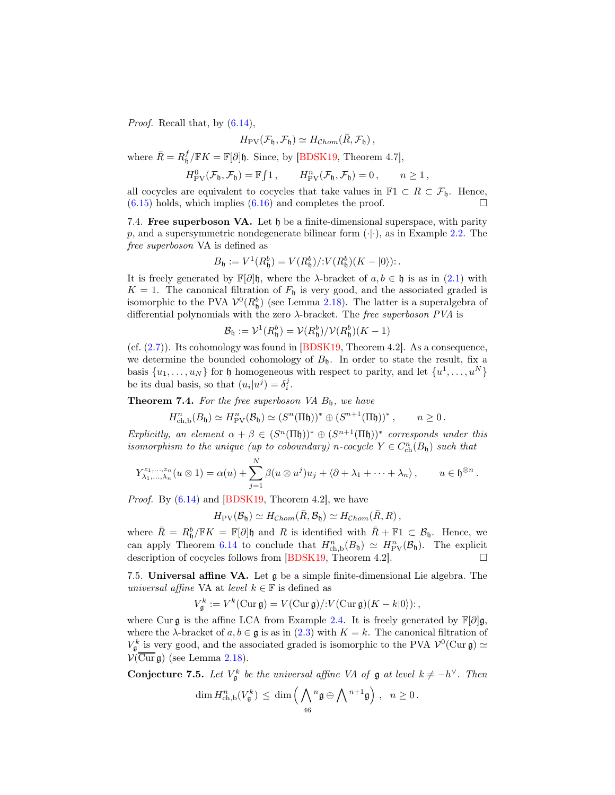*Proof.* Recall that, by  $(6.14)$ ,

$$
H_{\rm PV}(\mathcal{F}_{\mathfrak{h}}, \mathcal{F}_{\mathfrak{h}}) \simeq H_{\mathcal{C}hom}(\bar{R}, \mathcal{F}_{\mathfrak{h}}),
$$

where  $\bar{R} = R_{\mathfrak{h}}^f / \mathbb{F}K = \mathbb{F}[\partial] \mathfrak{h}$ . Since, by [\[BDSK19,](#page-54-3) Theorem 4.7],

$$
H_{\text{PV}}^0(\mathcal{F}_\mathfrak{h}, \mathcal{F}_\mathfrak{h}) = \mathbb{F}\!\int 1\,, \qquad H_{\text{PV}}^n(\mathcal{F}_\mathfrak{h}, \mathcal{F}_\mathfrak{h}) = 0\,, \qquad n \ge 1\,,
$$

all cocycles are equivalent to cocycles that take values in  $\mathbb{F}1 \subset R \subset \mathcal{F}_{\mathfrak{h}}$ . Hence,  $(6.15)$  holds, which implies  $(6.16)$  and completes the proof.

<span id="page-45-1"></span>7.4. Free superboson VA. Let h be a finite-dimensional superspace, with parity p, and a supersymmetric nondegenerate bilinear form  $(\cdot|\cdot)$ , as in Example [2.2.](#page-5-3) The free superboson VA is defined as

$$
B_{\mathfrak{h}} := V^1(R_{\mathfrak{h}}^b) = V(R_{\mathfrak{h}}^b)/:V(R_{\mathfrak{h}}^b)(K - |0\rangle):.
$$

It is freely generated by  $\mathbb{F}[\partial]$ h, where the  $\lambda$ -bracket of  $a, b \in \mathfrak{h}$  is as in [\(2.1\)](#page-6-5) with  $K = 1$ . The canonical filtration of  $F<sub>h</sub>$  is very good, and the associated graded is isomorphic to the PVA  $V^0(R_0^b)$  (see Lemma [2.18\)](#page-12-3). The latter is a superalgebra of differential polynomials with the zero  $\lambda$ -bracket. The *free superboson PVA* is

$$
\mathcal{B}_{\mathfrak{h}} := \mathcal{V}^1(R_{\mathfrak{h}}^b) = \mathcal{V}(R_{\mathfrak{h}}^b) / \mathcal{V}(R_{\mathfrak{h}}^b)(K - 1)
$$

(cf. [\(2.7\)](#page-7-1)). Its cohomology was found in [\[BDSK19,](#page-54-3) Theorem 4.2]. As a consequence, we determine the bounded cohomology of  $B<sub>b</sub>$ . In order to state the result, fix a basis  $\{u_1, \ldots, u_N\}$  for  $\mathfrak h$  homogeneous with respect to parity, and let  $\{u^1, \ldots, u^N\}$ be its dual basis, so that  $(u_i|u^j) = \delta_i^j$ .

<span id="page-45-0"></span>**Theorem 7.4.** For the free superboson VA  $B<sub>h</sub>$ , we have

$$
H^n_{\mathrm{ch},\mathrm{b}}(B_{\mathfrak{h}}) \simeq H^n_{\mathrm{PV}}(\mathcal{B}_{\mathfrak{h}}) \simeq (S^n(\Pi \mathfrak{h}))^* \oplus (S^{n+1}(\Pi \mathfrak{h}))^*, \qquad n \geq 0.
$$

Explicitly, an element  $\alpha + \beta \in (S^n(\Pi \mathfrak{h}))^* \oplus (S^{n+1}(\Pi \mathfrak{h}))^*$  corresponds under this isomorphism to the unique (up to coboundary) n-cocycle  $Y \in C^n_{ch}(B_{\mathfrak{h}})$  such that

$$
Y^{\alpha_1,\dots,\alpha_n}_{\lambda_1,\dots,\lambda_n}(u\otimes 1)=\alpha(u)+\sum_{j=1}^N\beta(u\otimes u^j)u_j+\langle\partial+\lambda_1+\dots+\lambda_n\rangle, \qquad u\in \mathfrak{h}^{\otimes n}.
$$

*Proof.* By  $(6.14)$  and  $[BDSK19, Theorem 4.2]$ , we have

$$
H_{\rm PV}(\mathcal{B}_\mathfrak{h}) \simeq H_{\mathcal{C}hom}(\bar{R}, \mathcal{B}_\mathfrak{h}) \simeq H_{\mathcal{C}hom}(\bar{R}, R) ,
$$

where  $\bar{R} = R_0^b / \mathbb{F}K = \mathbb{F}[\partial]$ h and R is identified with  $\bar{R} + \mathbb{F}1 \subset \mathcal{B}_0$ . Hence, we can apply Theorem [6.14](#page-42-0) to conclude that  $H^n_{ch,b}(B_{\mathfrak{h}}) \simeq H^n_{PV}(\mathcal{B}_{\mathfrak{h}})$ . The explicit description of cocycles follows from [\[BDSK19,](#page-54-3) Theorem 4.2].  $\Box$ 

7.5. Universal affine VA. Let  $\mathfrak g$  be a simple finite-dimensional Lie algebra. The universal affine VA at level  $k \in \mathbb{F}$  is defined as

$$
V_{\mathfrak{g}}^k := V^k(\mathrm{Cur}\,\mathfrak{g}) = V(\mathrm{Cur}\,\mathfrak{g})/V(\mathrm{Cur}\,\mathfrak{g})(K - k|0\rangle) ;
$$

where Cur g is the affine LCA from Example [2.4.](#page-6-6) It is freely generated by  $\mathbb{F}[\partial]$ g, where the  $\lambda$ -bracket of  $a, b \in \mathfrak{g}$  is as in [\(2.3\)](#page-6-7) with  $K = k$ . The canonical filtration of  $V_{\mathfrak{g}}^k$  is very good, and the associated graded is isomorphic to the PVA  $\mathcal{V}^0$ (Cur $\mathfrak{g}) \simeq$  $\mathcal{V}(\overline{\mathrm{Cur}}\,\mathfrak{g})$  (see Lemma [2.18\)](#page-12-3).

**Conjecture 7.5.** Let  $V_{\mathfrak{g}}^k$  be the universal affine VA of  $\mathfrak{g}$  at level  $k \neq -h^{\vee}$ . Then

$$
\dim H^n_{\mathrm{ch},\mathrm{b}}(V_{\mathfrak{g}}^k) \, \leq \, \dim \Big(\bigwedge_{46} {}^n \mathfrak{g} \oplus \bigwedge {}^{n+1} \mathfrak{g}\Big) \; , \ \ n \geq 0\, .
$$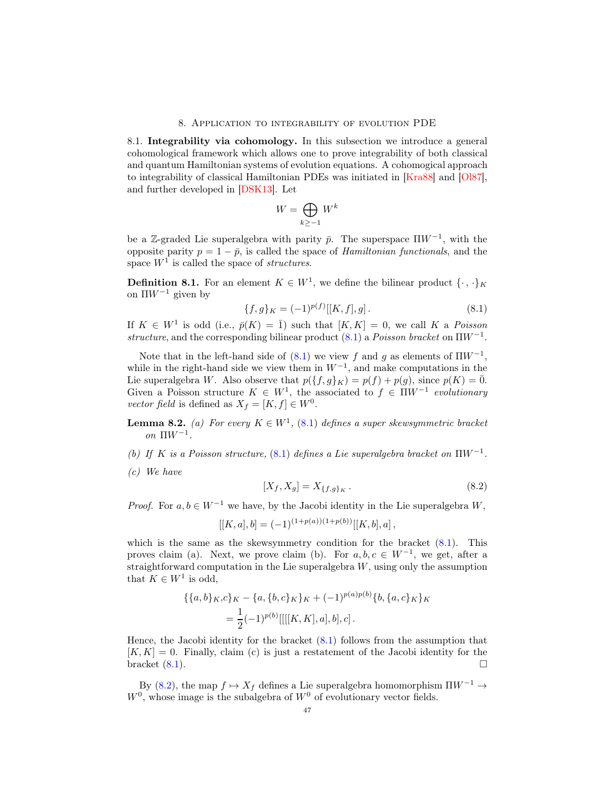#### 8. Application to integrability of evolution PDE

<span id="page-46-0"></span>8.1. Integrability via cohomology. In this subsection we introduce a general cohomological framework which allows one to prove integrability of both classical and quantum Hamiltonian systems of evolution equations. A cohomogical approach to integrability of classical Hamiltonian PDEs was initiated in [\[Kra88\]](#page-55-7) and [\[Ol87\]](#page-55-8), and further developed in [\[DSK13\]](#page-55-1). Let

$$
W = \bigoplus_{k \ge -1} W^k
$$

be a Z-graded Lie superalgebra with parity  $\bar{p}$ . The superspace  $\Pi W^{-1}$ , with the opposite parity  $p = 1 - \bar{p}$ , is called the space of *Hamiltonian functionals*, and the space  $W<sup>1</sup>$  is called the space of *structures*.

**Definition 8.1.** For an element  $K \in W<sup>1</sup>$ , we define the bilinear product  $\{\cdot, \cdot\}_K$ on  $\Pi W^{-1}$  given by

<span id="page-46-1"></span>
$$
\{f,g\}_K = (-1)^{p(f)}[[K,f],g].\tag{8.1}
$$

If  $K \in W^1$  is odd (i.e.,  $\bar{p}(K) = \bar{1}$ ) such that  $[K, K] = 0$ , we call K a Poisson structure, and the corresponding bilinear product  $(8.1)$  a *Poisson bracket* on  $\Pi W^{-1}$ .

Note that in the left-hand side of  $(8.1)$  we view f and g as elements of  $\Pi W^{-1}$ , while in the right-hand side we view them in  $W^{-1}$ , and make computations in the Lie superalgebra W. Also observe that  $p({f, g}K) = p(f) + p(g)$ , since  $p(K) = \overline{0}$ . Given a Poisson structure  $K \in W<sup>1</sup>$ , the associated to  $f \in \Pi W^{-1}$  evolutionary vector field is defined as  $X_f = [K, f] \in W^0$ .

**Lemma 8.2.** (a) For every  $K \in W^1$ , [\(8.1\)](#page-46-1) defines a super skewsymmetric bracket on ΠW<sup>−</sup><sup>1</sup> .

- (b) If K is a Poisson structure, [\(8.1\)](#page-46-1) defines a Lie superalgebra bracket on  $\Pi W^{-1}$ .
- (c) We have

<span id="page-46-2"></span>
$$
[X_f, X_g] = X_{\{f, g\}_K} \,. \tag{8.2}
$$

*Proof.* For  $a, b \in W^{-1}$  we have, by the Jacobi identity in the Lie superalgebra W,

 $[[K, a], b] = (-1)^{(1+p(a))(1+p(b))}[[K, b], a],$ 

which is the same as the skewsymmetry condition for the bracket  $(8.1)$ . This proves claim (a). Next, we prove claim (b). For  $a, b, c \in W^{-1}$ , we get, after a straightforward computation in the Lie superalgebra  $W$ , using only the assumption that  $K \in W^1$  is odd,

$$
\begin{aligned} \{\{a,b\}_K,c\}_K - \{a,\{b,c\}_K\}_K + (-1)^{p(a)p(b)}\{b,\{a,c\}_K\}_K \\ = \frac{1}{2}(-1)^{p(b)}[[[[K,K],a],b],c]. \end{aligned}
$$

Hence, the Jacobi identity for the bracket [\(8.1\)](#page-46-1) follows from the assumption that  $[K, K] = 0$ . Finally, claim (c) is just a restatement of the Jacobi identity for the bracket  $(8.1)$ .

By [\(8.2\)](#page-46-2), the map  $f \mapsto X_f$  defines a Lie superalgebra homomorphism  $\Pi W^{-1} \rightarrow$  $W<sup>0</sup>$ , whose image is the subalgebra of  $W<sup>0</sup>$  of evolutionary vector fields.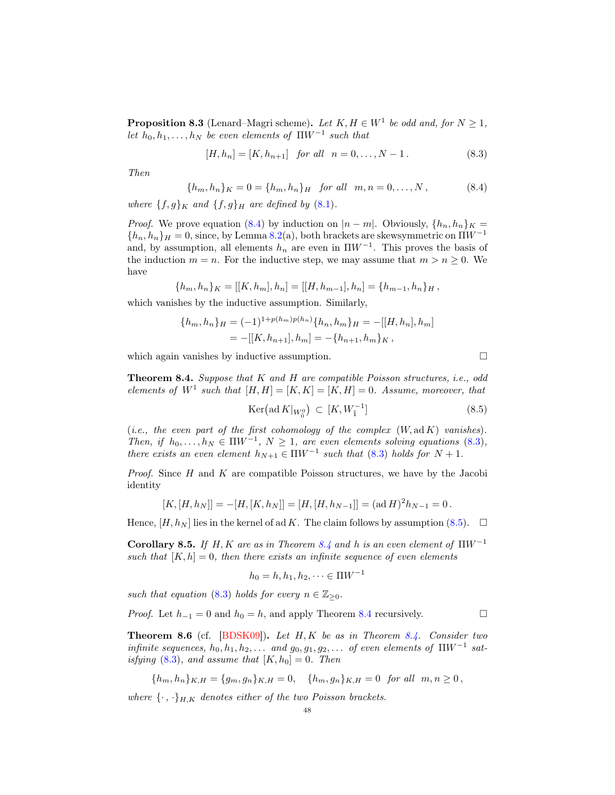<span id="page-47-4"></span>**Proposition 8.3** (Lenard–Magri scheme). Let  $K, H \in W^1$  be odd and, for  $N \geq 1$ , let  $h_0, h_1, \ldots, h_N$  be even elements of  $\Pi W^{-1}$  such that

<span id="page-47-1"></span>
$$
[H, h_n] = [K, h_{n+1}] \text{ for all } n = 0, \dots, N - 1.
$$
 (8.3)

Then

<span id="page-47-0"></span>
$$
\{h_m, h_n\}_K = 0 = \{h_m, h_n\}_H \quad \text{for all} \quad m, n = 0, \dots, N\,,\tag{8.4}
$$

where  $\{f,g\}_K$  and  $\{f,g\}_H$  are defined by [\(8.1\)](#page-46-1).

*Proof.* We prove equation [\(8.4\)](#page-47-0) by induction on  $|n - m|$ . Obviously,  $\{h_n, h_n\}_K =$  ${h_n, h_n}_H = 0$ , since, by Lemma 8.2(a), both brackets are skewsymmetric on  $\Pi W^{-1}$ and, by assumption, all elements  $h_n$  are even in  $\Pi W^{-1}$ . This proves the basis of the induction  $m = n$ . For the inductive step, we may assume that  $m > n \geq 0$ . We have

$$
\{h_m, h_n\}_K = [[K, h_m], h_n] = [[H, h_{m-1}], h_n] = \{h_{m-1}, h_n\}_H,
$$

which vanishes by the inductive assumption. Similarly,

$$
\{h_m, h_n\}_H = (-1)^{1+p(h_m)p(h_n)} \{h_n, h_m\}_H = -[[H, h_n], h_m]
$$
  
= -[[K, h\_{n+1}], h\_m] = -\{h\_{n+1}, h\_m\}\_K,

which again vanishes by inductive assumption.  $\Box$ 

<span id="page-47-3"></span>Theorem 8.4. Suppose that K and H are compatible Poisson structures, i.e., odd elements of  $W^1$  such that  $[H, H] = [K, K] = [K, H] = 0$ . Assume, moreover, that

<span id="page-47-2"></span>
$$
\operatorname{Ker}\left(\operatorname{ad} K|_{W_0^0}\right) \subset [K, W_1^{-1}]
$$
\n
$$
(8.5)
$$

(i.e., the even part of the first cohomology of the complex  $(W, ad K)$  vanishes). Then, if  $h_0, \ldots, h_N \in \Pi W^{-1}, N \geq 1$ , are even elements solving equations [\(8.3\)](#page-47-1), there exists an even element  $h_{N+1} \in \Pi W^{-1}$  such that [\(8.3\)](#page-47-1) holds for  $N + 1$ .

*Proof.* Since  $H$  and  $K$  are compatible Poisson structures, we have by the Jacobi identity

$$
[K,[H,h_N]] = -[H,[K,h_N]] = [H,[H,h_{N-1}]] = (\mathrm{ad}\,H)^2 h_{N-1} = 0.
$$

Hence,  $[H, h_N]$  lies in the kernel of ad K. The claim follows by assumption [\(8.5\)](#page-47-2).  $\Box$ 

<span id="page-47-6"></span>Corollary 8.5. If H, K are as in Theorem [8.4](#page-47-3) and h is an even element of  $\Pi W^{-1}$ such that  $[K, h] = 0$ , then there exists an infinite sequence of even elements

$$
h_0 = h, h_1, h_2, \dots \in \Pi W^{-1}
$$

such that equation [\(8.3\)](#page-47-1) holds for every  $n \in \mathbb{Z}_{\geq 0}$ .

*Proof.* Let  $h_{-1} = 0$  and  $h_0 = h$ , and apply Theorem [8.4](#page-47-3) recursively.

<span id="page-47-5"></span>**Theorem 8.6** (cf. [\[BDSK09\]](#page-54-17)). Let  $H, K$  be as in Theorem [8.4.](#page-47-3) Consider two infinite sequences,  $h_0, h_1, h_2, \ldots$  and  $g_0, g_1, g_2, \ldots$  of even elements of  $\Pi W^{-1}$  sat-isfying [\(8.3\)](#page-47-1), and assume that  $[K, h_0] = 0$ . Then

$$
\{h_m, h_n\}_{K,H} = \{g_m, g_n\}_{K,H} = 0, \quad \{h_m, g_n\}_{K,H} = 0 \text{ for all } m, n \ge 0,
$$

where  $\{\cdot,\cdot\}_{H,K}$  denotes either of the two Poisson brackets.

$$
f_{\rm{max}}
$$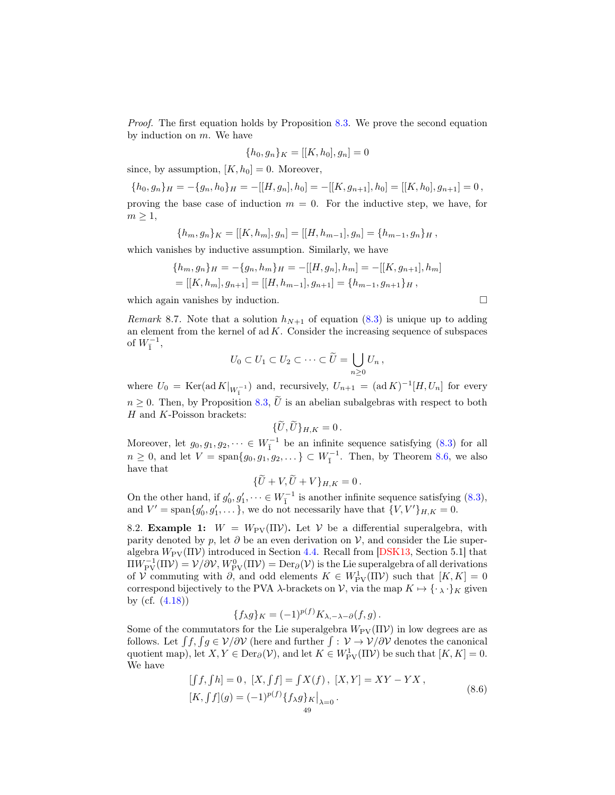Proof. The first equation holds by Proposition [8.3.](#page-47-4) We prove the second equation by induction on  $m$ . We have

$$
\{h_0, g_n\}_K = [[K, h_0], g_n] = 0
$$

since, by assumption,  $[K, h_0] = 0$ . Moreover,

 ${h_0, g_n}_H = -{g_n, h_0}_H = -[[H, g_n], h_0] = -[[K, g_{n+1}], h_0] = [[K, h_0], g_{n+1}] = 0$ proving the base case of induction  $m = 0$ . For the inductive step, we have, for  $m \geq 1$ ,

$$
{h_m, g_n}_K = [[K, h_m], g_n] = [[H, h_{m-1}], g_n] = {h_{m-1}, g_n}_H,
$$

which vanishes by inductive assumption. Similarly, we have

$$
\{h_m, g_n\}_H = -\{g_n, h_m\}_H = -[[H, g_n], h_m] = -[[K, g_{n+1}], h_m]
$$
  
= [[K, h\_m], g\_{n+1}] = [[H, h\_{m-1}], g\_{n+1}] = \{h\_{m-1}, g\_{n+1}\}\_H,

which again vanishes by induction.

Remark 8.7. Note that a solution  $h_{N+1}$  of equation [\(8.3\)](#page-47-1) is unique up to adding an element from the kernel of  $ad K$ . Consider the increasing sequence of subspaces of  $W_{\bar{1}}^{-1}$ ,

$$
U_0\subset U_1\subset U_2\subset\cdots\subset \widetilde{U}=\bigcup_{n\geq 0}U_n,
$$

where  $U_0 = \text{Ker}(\text{ad }K|_{W_1^{-1}})$  and, recursively,  $U_{n+1} = (\text{ad }K)^{-1}[H, U_n]$  for every  $n \geq 0$ . Then, by Proposition [8.3,](#page-47-4)  $\tilde{U}$  is an abelian subalgebras with respect to both  ${\cal H}$  and  ${\cal K}\text{-Poisson brackets:}$ 

$$
\{\tilde{U},\tilde{U}\}_{H,K}=0\,.
$$

Moreover, let  $g_0, g_1, g_2, \dots \in W_{\bar{1}}^{-1}$  be an infinite sequence satisfying [\(8.3\)](#page-47-1) for all  $n \geq 0$ , and let  $V = \text{span}\{g_0, g_1, g_2, \dots\} \subset W_{\overline{1}}^{-1}$ . Then, by Theorem [8.6,](#page-47-5) we also have that

$$
\{\tilde{U}+V,\tilde{U}+V\}_{H,K}=0.
$$

On the other hand, if  $g'_0, g'_1, \dots \in W_{\bar{1}}^{-1}$  is another infinite sequence satisfying [\(8.3\)](#page-47-1), and  $V' = \text{span}\lbrace g'_0, g'_1, \dots \rbrace$ , we do not necessarily have that  $\lbrace V, V' \rbrace_{H,K} = 0$ .

8.2. **Example 1:**  $W = W_{\text{PV}}(\Pi V)$ . Let V be a differential superalgebra, with parity denoted by p, let  $\partial$  be an even derivation on  $\mathcal{V}$ , and consider the Lie superalgebra  $W_{\text{PV}}(\Pi \mathcal{V})$  introduced in Section [4.4.](#page-24-0) Recall from [\[DSK13,](#page-55-1) Section 5.1] that  $\Pi W_{\rm PV}^{-1}(\Pi \mathcal{V}) = \mathcal{V}/\partial \mathcal{V}, W_{\rm PV}^0(\Pi \mathcal{V}) = \mathrm{Der}_\partial(\mathcal{V})$  is the Lie superalgebra of all derivations of V commuting with  $\partial$ , and odd elements  $K \in W^1_{\text{PV}}(\Pi \mathcal{V})$  such that  $[K, K] = 0$ correspond bijectively to the PVA  $\lambda$ -brackets on V, via the map  $K \mapsto {\{\cdot \}}_K$  given by (cf. [\(4.18\)](#page-24-2))

$$
\{f_{\lambda}g\}_{K} = (-1)^{p(f)} K_{\lambda,-\lambda-\partial}(f,g).
$$

Some of the commutators for the Lie superalgebra  $W_{\text{PV}}(\Pi \mathcal{V})$  in low degrees are as follows. Let  $\int f, \int g \in V/\partial V$  (here and further  $\int: V \to V/\partial V$  denotes the canonical quotient map), let  $X, Y \in \text{Der}_{\partial}(V)$ , and let  $K \in W^1_{\text{PV}}(\Pi V)$  be such that  $[K, K] = 0$ . We have

<span id="page-48-0"></span>
$$
[f, f h] = 0, [X, f f] = fX(f), [X, Y] = XY - YX,
$$
  

$$
[K, f f](g) = (-1)^{p(f)} \{f_{\lambda}g\}_{K}|_{\lambda=0}.
$$
\n(8.6)

$$
\Box
$$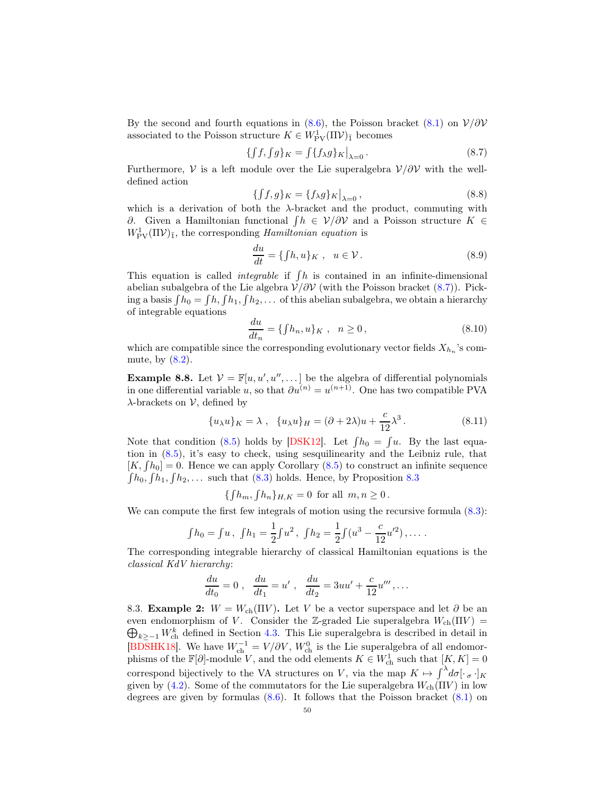By the second and fourth equations in [\(8.6\)](#page-48-0), the Poisson bracket [\(8.1\)](#page-46-1) on  $V/\partial V$ associated to the Poisson structure  $K \in W^1_{\text{PV}}(\Pi \mathcal{V})_{\bar{1}}$  becomes

<span id="page-49-0"></span>
$$
\{ \int f, \int g \}_K = \int \{ f_\lambda g \}_K \Big|_{\lambda = 0} \,. \tag{8.7}
$$

Furthermore,  $\mathcal V$  is a left module over the Lie superalgebra  $\mathcal V/\partial \mathcal V$  with the welldefined action

<span id="page-49-1"></span>
$$
\{f,g\}_K = \{f_\lambda g\}_K\big|_{\lambda=0},\tag{8.8}
$$

which is a derivation of both the  $\lambda$ -bracket and the product, commuting with ∂. Given a Hamiltonian functional  $\int h \in V/\partial V$  and a Poisson structure  $K \in$  $W_{\rm PV}^1(\Pi \mathcal{V})_{\bar{1}}$ , the corresponding *Hamiltonian equation* is

<span id="page-49-2"></span>
$$
\frac{du}{dt} = \{ \int h, u \}_K , \quad u \in \mathcal{V} . \tag{8.9}
$$

This equation is called *integrable* if  $\int h$  is contained in an infinite-dimensional abelian subalgebra of the Lie algebra  $V/\partial V$  (with the Poisson bracket [\(8.7\)](#page-49-0)). Picking a basis  $\int h_0 = \int h, \int h_1, \int h_2, \ldots$  of this abelian subalgebra, we obtain a hierarchy of integrable equations

$$
\frac{du}{dt_n} = \{fh_n, u\}_K, \quad n \ge 0,
$$
\n(8.10)

which are compatible since the corresponding evolutionary vector fields  $X_{h_n}$ 's commute, by  $(8.2)$ .

<span id="page-49-3"></span>**Example 8.8.** Let  $V = \mathbb{F}[u, u', u'', \dots]$  be the algebra of differential polynomials in one differential variable u, so that  $\partial u^{(n)} = u^{(n+1)}$ . One has two compatible PVA  $\lambda$ -brackets on  $\mathcal{V}$ , defined by

$$
\{u_{\lambda}u\}_K = \lambda , \quad \{u_{\lambda}u\}_H = (\partial + 2\lambda)u + \frac{c}{12}\lambda^3.
$$
 (8.11)

Note that condition [\(8.5\)](#page-47-2) holds by [\[DSK12\]](#page-54-18). Let  $\int h_0 = \int u$ . By the last equation in [\(8.5\)](#page-47-2), it's easy to check, using sesquilinearity and the Leibniz rule, that  $[K, \int h_0] = 0$ . Hence we can apply Corollary [\(8.5\)](#page-47-6) to construct an infinite sequence  $\int h_0, \int h_1, \int h_2, \ldots$  such that [\(8.3\)](#page-47-1) holds. Hence, by Proposition [8.3](#page-47-4)

$$
\{\int h_m, \int h_n\}_{H,K} = 0
$$
 for all  $m, n \ge 0$ .

We can compute the first few integrals of motion using the recursive formula  $(8.3)$ :

$$
\int h_0 = \int u, \ \int h_1 = \frac{1}{2} \int u^2, \ \int h_2 = \frac{1}{2} \int (u^3 - \frac{c}{12} u'^2), \dots
$$

The corresponding integrable hierarchy of classical Hamiltonian equations is the classical KdV hierarchy:

$$
\frac{du}{dt_0} = 0 \; , \; \frac{du}{dt_1} = u' \; , \; \frac{du}{dt_2} = 3uu' + \frac{c}{12}u''', \ldots
$$

8.3. Example 2:  $W = W_{ch}(\Pi V)$ . Let V be a vector superspace and let  $\partial$  be an  $\bigoplus_{k\geq -1} W_{ch}^k$  defined in Section [4.3.](#page-20-4) This Lie superalgebra is described in detail in even endomorphism of V. Consider the Z-graded Lie superalgebra  $W_{ch}(\Pi V)$  = [\[BDSHK18\]](#page-54-1). We have  $W_{ch}^{-1} = V/\partial V$ ,  $W_{ch}^{0}$  is the Lie superalgebra of all endomorphisms of the  $\mathbb{F}[\partial]$ -module V, and the odd elements  $K \in W^1_{\text{ch}}$  such that  $[K, K] = 0$ correspond bijectively to the VA structures on V, via the map  $K \mapsto \int^{\lambda} d\sigma [\cdot \sigma \cdot]_K$ given by [\(4.2\)](#page-20-0). Some of the commutators for the Lie superalgebra  $W_{\text{ch}}(\Pi V)$  in low degrees are given by formulas  $(8.6)$ . It follows that the Poisson bracket  $(8.1)$  on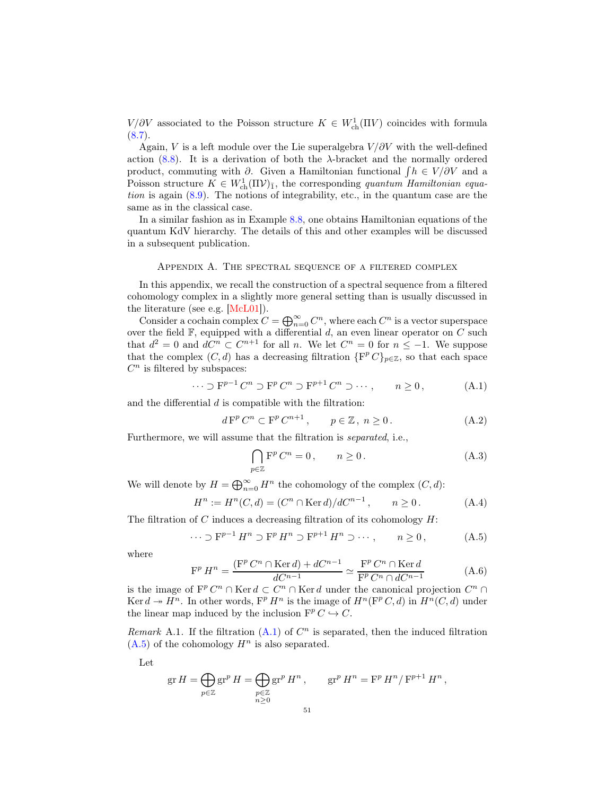$V/\partial V$  associated to the Poisson structure  $K \in W^1_{ch}(\Pi V)$  coincides with formula  $(8.7).$  $(8.7).$ 

Again, V is a left module over the Lie superalgebra  $V/\partial V$  with the well-defined action [\(8.8\)](#page-49-1). It is a derivation of both the  $\lambda$ -bracket and the normally ordered product, commuting with  $\partial$ . Given a Hamiltonian functional  $\int h \in V \setminus \partial V$  and a Poisson structure  $K \in W^1_{ch}(\Pi \mathcal{V})_{\bar{1}}$ , the corresponding quantum Hamiltonian equation is again [\(8.9\)](#page-49-2). The notions of integrability, etc., in the quantum case are the same as in the classical case.

In a similar fashion as in Example [8.8,](#page-49-3) one obtains Hamiltonian equations of the quantum KdV hierarchy. The details of this and other examples will be discussed in a subsequent publication.

#### Appendix A. The spectral sequence of a filtered complex

<span id="page-50-0"></span>In this appendix, we recall the construction of a spectral sequence from a filtered cohomology complex in a slightly more general setting than is usually discussed in the literature (see e.g. [\[McL01\]](#page-55-9)).

Consider a cochain complex  $C = \bigoplus_{n=0}^{\infty} C^n$ , where each  $C^n$  is a vector superspace over the field  $\mathbb{F}$ , equipped with a differential d, an even linear operator on C such that  $d^2 = 0$  and  $dC^n \subset C^{n+1}$  for all n. We let  $C^n = 0$  for  $n \leq -1$ . We suppose that the complex  $(C, d)$  has a decreasing filtration  $\{F^p C\}_{p \in \mathbb{Z}}$ , so that each space  $C<sup>n</sup>$  is filtered by subspaces:

<span id="page-50-2"></span>
$$
\cdots \supset F^{p-1}C^n \supset F^pC^n \supset F^{p+1}C^n \supset \cdots, \qquad n \ge 0,
$$
 (A.1)

and the differential  $d$  is compatible with the filtration:

<span id="page-50-4"></span>
$$
d Fp Cn \subset Fp Cn+1, \qquad p \in \mathbb{Z}, \ n \ge 0.
$$
 (A.2)

Furthermore, we will assume that the filtration is separated, i.e.,

<span id="page-50-5"></span>
$$
\bigcap_{p\in\mathbb{Z}} \mathbf{F}^p C^n = 0, \qquad n \ge 0.
$$
\n(A.3)

We will denote by  $H = \bigoplus_{n=0}^{\infty} H^n$  the cohomology of the complex  $(C, d)$ :

$$
H^{n} := H^{n}(C, d) = (C^{n} \cap \text{Ker } d) / dC^{n-1}, \qquad n \ge 0.
$$
 (A.4)

The filtration of C induces a decreasing filtration of its cohomology  $H$ :

<span id="page-50-3"></span>
$$
\cdots \supset F^{p-1} H^n \supset F^p H^n \supset F^{p+1} H^n \supset \cdots, \qquad n \ge 0,
$$
 (A.5)

where

<span id="page-50-1"></span>
$$
\mathbf{F}^{p} H^{n} = \frac{(\mathbf{F}^{p} C^{n} \cap \text{Ker } d) + d C^{n-1}}{d C^{n-1}} \simeq \frac{\mathbf{F}^{p} C^{n} \cap \text{Ker } d}{\mathbf{F}^{p} C^{n} \cap d C^{n-1}}
$$
(A.6)

is the image of  $\mathbb{F}^p C^n \cap \text{Ker } d \subset C^n \cap \text{Ker } d$  under the canonical projection  $C^n \cap$ Ker  $d \to H^n$ . In other words,  $F^p H^n$  is the image of  $H^n(F^p C, d)$  in  $H^n(C, d)$  under the linear map induced by the inclusion  $\mathbf{F}^p C \hookrightarrow C$ .

<span id="page-50-6"></span>Remark A.1. If the filtration  $(A.1)$  of  $C<sup>n</sup>$  is separated, then the induced filtration  $(A.5)$  of the cohomology  $H<sup>n</sup>$  is also separated.

Let

$$
\operatorname{gr} H = \bigoplus_{p \in \mathbb{Z}} \operatorname{gr}^p H = \bigoplus_{\substack{p \in \mathbb{Z} \\ n \ge 0}} \operatorname{gr}^p H^n, \qquad \operatorname{gr}^p H^n = \operatorname{F}^p H^n / \operatorname{F}^{p+1} H^n,
$$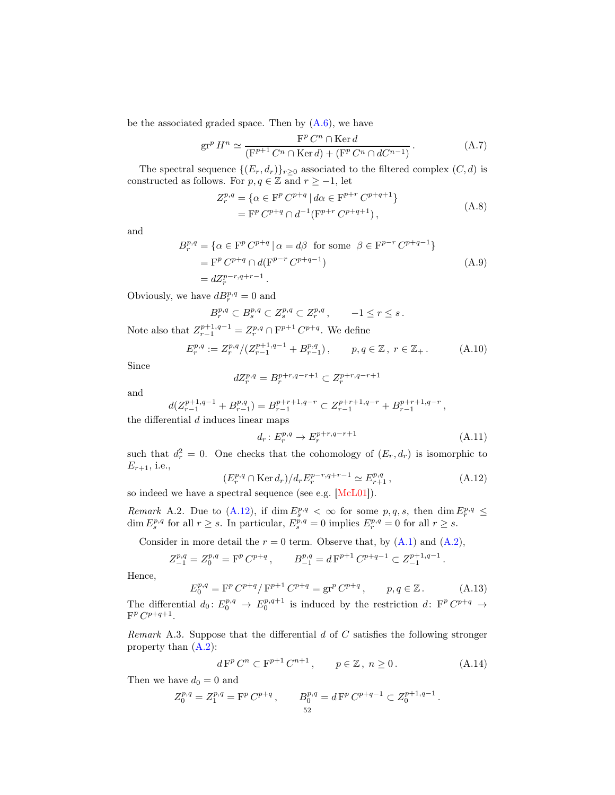be the associated graded space. Then by  $(A.6)$ , we have

<span id="page-51-2"></span>
$$
\operatorname{gr}^p H^n \simeq \frac{\operatorname{F}^p C^n \cap \operatorname{Ker} d}{(\operatorname{F}^{p+1} C^n \cap \operatorname{Ker} d) + (\operatorname{F}^p C^n \cap dC^{n-1})}.
$$
 (A.7)

The spectral sequence  $\{(E_r, d_r)\}_{r\geq 0}$  associated to the filtered complex  $(C, d)$  is constructed as follows. For  $p, q \in \mathbb{Z}$  and  $r \ge -1$ , let

$$
Z_r^{p,q} = \{ \alpha \in \mathcal{F}^p C^{p+q} \mid d\alpha \in \mathcal{F}^{p+r} C^{p+q+1} \}
$$
  
= 
$$
\mathcal{F}^p C^{p+q} \cap d^{-1} (\mathcal{F}^{p+r} C^{p+q+1}),
$$
 (A.8)

and

$$
B_r^{p,q} = \{ \alpha \in \mathcal{F}^p C^{p+q} \mid \alpha = d\beta \text{ for some } \beta \in \mathcal{F}^{p-r} C^{p+q-1} \}
$$
  
= 
$$
\mathcal{F}^p C^{p+q} \cap d(\mathcal{F}^{p-r} C^{p+q-1})
$$
  
= 
$$
dZ_r^{p-r,q+r-1}.
$$
 (A.9)

Obviously, we have  $dB_r^{p,q} = 0$  and

$$
B_r^{p,q} \subset B_s^{p,q} \subset Z_s^{p,q} \subset Z_r^{p,q}, \qquad -1 \le r \le s.
$$

Note also that  $Z_{r-1}^{p+1,q-1} = Z_r^{p,q} \cap \mathbf{F}^{p+1} C^{p+q}$ . We define

<span id="page-51-6"></span>
$$
E_r^{p,q} := Z_r^{p,q} / (Z_{r-1}^{p+1,q-1} + B_{r-1}^{p,q}), \qquad p, q \in \mathbb{Z}, \ r \in \mathbb{Z}_+ \,. \tag{A.10}
$$

Since

$$
dZ_r^{p,q}=B_r^{p+r,q-r+1}\subset Z_r^{p+r,q-r+1}
$$

and

$$
d(Z_{r-1}^{p+1,q-1} + B_{r-1}^{p,q}) = B_{r-1}^{p+r+1,q-r} \subset Z_{r-1}^{p+r+1,q-r} + B_{r-1}^{p+r+1,q-r},
$$

the differential  $d$  induces linear maps

<span id="page-51-4"></span>
$$
d_r: E_r^{p,q} \to E_r^{p+r,q-r+1}
$$
\n(A.11)

such that  $d_r^2 = 0$ . One checks that the cohomology of  $(E_r, d_r)$  is isomorphic to  $E_{r+1}$ , i.e.,

<span id="page-51-1"></span>
$$
(E_r^{p,q} \cap \text{Ker } d_r) / d_r E_r^{p-r,q+r-1} \simeq E_{r+1}^{p,q},\tag{A.12}
$$

so indeed we have a spectral sequence (see e.g. [\[McL01\]](#page-55-9)).

<span id="page-51-5"></span>Remark A.2. Due to [\(A.12\)](#page-51-1), if  $\dim E_s^{p,q} < \infty$  for some  $p,q,s$ , then  $\dim E_r^{p,q} \leq$  $\dim E_s^{p,q}$  for all  $r \geq s$ . In particular,  $E_s^{p,q} = 0$  implies  $E_r^{p,q} = 0$  for all  $r \geq s$ .

Consider in more detail the  $r = 0$  term. Observe that, by  $(A.1)$  and  $(A.2)$ ,

$$
Z^{p,q}_{-1} = Z^{p,q}_0 = \mathcal{F}^p\, C^{p+q} \,, \qquad B^{p,q}_{-1} = d\, \mathcal{F}^{p+1}\, C^{p+q-1} \subset Z^{p+1,q-1}_{-1} \,.
$$

Hence,

<span id="page-51-3"></span>
$$
E_0^{p,q} = \mathcal{F}^p C^{p+q} / \mathcal{F}^{p+1} C^{p+q} = \mathbf{gr}^p C^{p+q} , \qquad p, q \in \mathbb{Z} . \tag{A.13}
$$

The differential  $d_0: E_0^{p,q} \to E_0^{p,q+1}$  is induced by the restriction d:  $F^p C^{p+q} \to$  $F^p C^{p+q+1}.$ 

<span id="page-51-0"></span>Remark A.3. Suppose that the differential  $d$  of  $C$  satisfies the following stronger property than [\(A.2\)](#page-50-4):

$$
d F^{p} C^{n} \subset F^{p+1} C^{n+1}, \qquad p \in \mathbb{Z}, \ n \ge 0.
$$
 (A.14)

Then we have  $d_0 = 0$  and

$$
Z_0^{p,q} = Z_1^{p,q} = \mathcal{F}^p C^{p+q} , \qquad B_0^{p,q} = d\mathcal{F}^p C^{p+q-1} \subset Z_0^{p+1,q-1} .
$$
  
<sub>52</sub>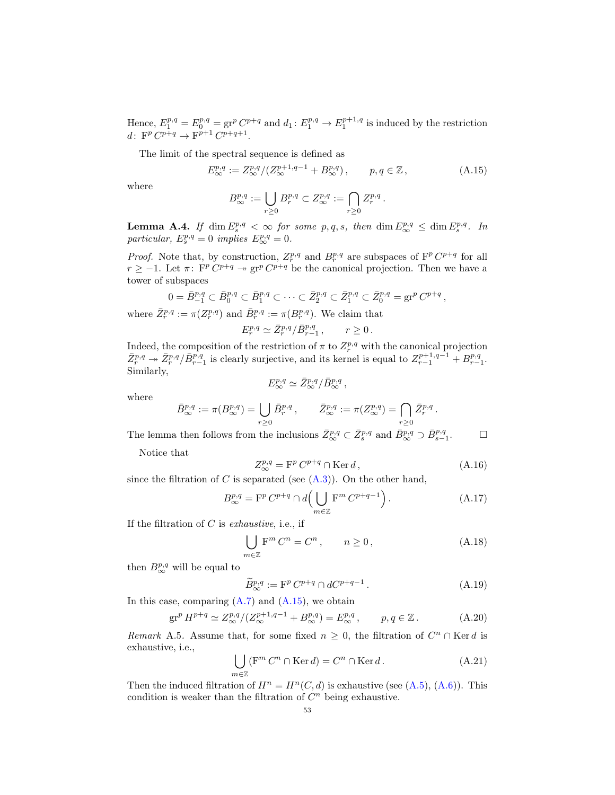Hence,  $E_1^{p,q} = E_0^{p,q} = \text{gr}^p C^{p+q}$  and  $d_1: E_1^{p,q} \to E_1^{p+1,q}$  is induced by the restriction d:  $\mathbf{F}^p C^{p+q} \to \mathbf{F}^{p+1} C^{p+q+1}.$ 

The limit of the spectral sequence is defined as

<span id="page-52-1"></span>
$$
E_{\infty}^{p,q} := Z_{\infty}^{p,q} / (Z_{\infty}^{p+1,q-1} + B_{\infty}^{p,q}), \qquad p, q \in \mathbb{Z}, \qquad (A.15)
$$

where

$$
B^{p,q}_{\infty} := \bigcup_{r \geq 0} B^{p,q}_r \subset Z^{p,q}_{\infty} := \bigcap_{r \geq 0} Z^{p,q}_r.
$$

<span id="page-52-2"></span>**Lemma A.4.** If  $\dim E^{p,q}_s < \infty$  for some p, q, s, then  $\dim E^{p,q}_{\infty} \leq \dim E^{p,q}_s$ . In particular,  $E_s^{p,q} = 0$  implies  $E_{\infty}^{p,q} = 0$ .

*Proof.* Note that, by construction,  $Z_r^{p,q}$  and  $B_r^{p,q}$  are subspaces of  $\mathbb{F}^p C^{p+q}$  for all  $r \geq -1$ . Let  $\pi$ :  $\mathbf{F}^p C^{p+q} \to \mathbf{gr}^p C^{p+q}$  be the canonical projection. Then we have a tower of subspaces

$$
0=\bar{B}_{-1}^{p,q}\subset \bar{B}_0^{p,q}\subset \bar{B}_1^{p,q}\subset \cdots \subset \bar{Z}_2^{p,q}\subset \bar{Z}_1^{p,q}\subset \bar{Z}_0^{p,q}=\operatorname{gr}^pC^{p+q}\,,
$$
 where  $\bar{Z}_r^{p,q}:=\pi(Z_r^{p,q})$  and  $\bar{B}_r^{p,q}:=\pi(B_r^{p,q})$ . We claim that

$$
E_r^{p,q} \simeq \bar{Z}_r^{p,q} / \bar{B}_{r-1}^{p,q} , \qquad r \ge 0 .
$$

Indeed, the composition of the restriction of  $\pi$  to  $Z_r^{p,q}$  with the canonical projection  $\bar{Z}_r^{p,q} \to \bar{Z}_r^{p,q}/\bar{B}_{r-1}^{p,q}$  is clearly surjective, and its kernel is equal to  $Z_{r-1}^{p+1,q-1} + B_{r-1}^{p,q}$ . Similarly,

$$
E^{p,q}_\infty\simeq \bar{Z}^{p,q}_\infty/\bar{B}^{p,q}_\infty\,,
$$

where

$$
\bar{B}^{p,q}_{\infty} := \pi(B^{p,q}_{\infty}) = \bigcup_{r \geq 0} \bar{B}^{p,q}_r, \qquad \bar{Z}^{p,q}_{\infty} := \pi(Z^{p,q}_{\infty}) = \bigcap_{r \geq 0} \bar{Z}^{p,q}_r.
$$

The lemma then follows from the inclusions  $\bar{Z}_{\infty}^{p,q} \subset \bar{Z}_{s}^{p,q}$  and  $\bar{B}_{\infty}^{p,q} \supset \bar{B}_{s-1}^{p,q}$  $\Box$ 

Notice that

<span id="page-52-4"></span>
$$
Z_{\infty}^{p,q} = \mathbf{F}^p \, C^{p+q} \cap \text{Ker} \, d \,, \tag{A.16}
$$

since the filtration of C is separated (see  $(A.3)$ ). On the other hand,

$$
B^{p,q}_{\infty} = \mathbf{F}^p C^{p+q} \cap d\left(\bigcup_{m \in \mathbb{Z}} \mathbf{F}^m C^{p+q-1}\right). \tag{A.17}
$$

If the filtration of  $C$  is exhaustive, i.e., if

$$
\bigcup_{m\in\mathbb{Z}} \mathbf{F}^m C^n = C^n, \qquad n \ge 0,
$$
\n(A.18)

then  $B^{p,q}_{\infty}$  will be equal to

$$
\widetilde{B}_{\infty}^{p,q} := \mathbf{F}^p C^{p+q} \cap dC^{p+q-1} \,. \tag{A.19}
$$

In this case, comparing  $(A.7)$  and  $(A.15)$ , we obtain

<span id="page-52-0"></span>
$$
\text{gr}^p H^{p+q} \simeq Z^{p,q}_{\infty} / (Z^{p+1,q-1}_{\infty} + B^{p,q}_{\infty}) = E^{p,q}_{\infty} , \qquad p, q \in \mathbb{Z} . \tag{A.20}
$$

<span id="page-52-3"></span>Remark A.5. Assume that, for some fixed  $n \geq 0$ , the filtration of  $C<sup>n</sup> \cap$  Kerd is exhaustive, i.e.,

$$
\bigcup_{m \in \mathbb{Z}} (\mathbf{F}^m C^n \cap \text{Ker } d) = C^n \cap \text{Ker } d. \tag{A.21}
$$

Then the induced filtration of  $H^n = H^n(C, d)$  is exhaustive (see [\(A.5\)](#page-50-3), [\(A.6\)](#page-50-1)). This condition is weaker than the filtration of  $C<sup>n</sup>$  being exhaustive.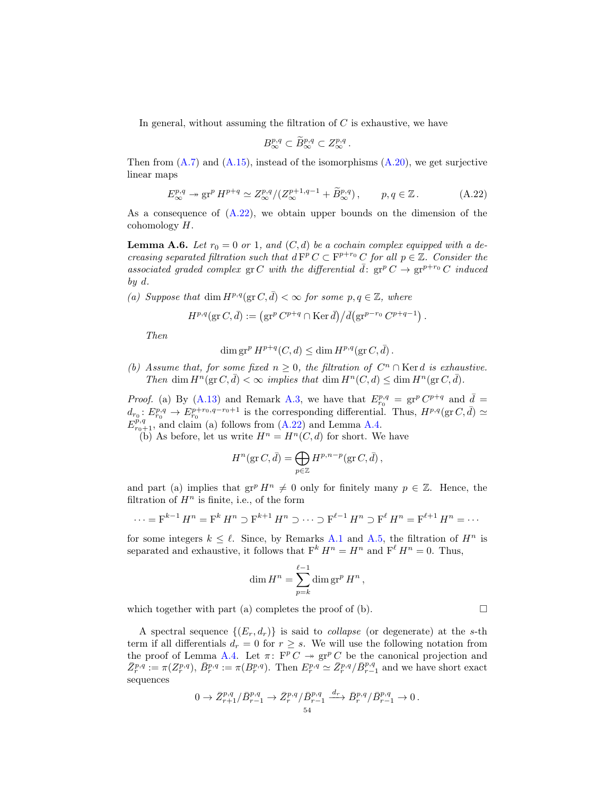In general, without assuming the filtration of  $C$  is exhaustive, we have

$$
B^{p,q}_{\infty}\subset \widetilde{B}^{p,q}_{\infty}\subset Z^{p,q}_{\infty}.
$$

Then from  $(A.7)$  and  $(A.15)$ , instead of the isomorphisms  $(A.20)$ , we get surjective linear maps

<span id="page-53-0"></span>
$$
E_{\infty}^{p,q} \to \operatorname{gr}^p H^{p+q} \simeq Z_{\infty}^{p,q}/(Z_{\infty}^{p+1,q-1} + \widetilde{B}_{\infty}^{p,q}), \qquad p,q \in \mathbb{Z}.
$$
 (A.22)

As a consequence of [\(A.22\)](#page-53-0), we obtain upper bounds on the dimension of the cohomology H.

<span id="page-53-1"></span>**Lemma A.6.** Let  $r_0 = 0$  or 1, and  $(C, d)$  be a cochain complex equipped with a decreasing separated filtration such that  $d F^p C \subset F^{p+r_0} C$  for all  $p \in \mathbb{Z}$ . Consider the associated graded complex gr C with the differential  $\bar{d}$ : gr<sup>p</sup> C  $\rightarrow$  gr<sup>p+r<sub>0</sub></sub> C induced</sup> by d.

(a) Suppose that dim  $H^{p,q}(\text{gr }C, \bar{d}) < \infty$  for some  $p, q \in \mathbb{Z}$ , where

$$
H^{p,q}(\text{gr }C,\bar{d}) := \left(\text{gr}^p C^{p+q} \cap \text{Ker }\bar{d}\right) / \bar{d}(\text{gr}^{p-r_0} C^{p+q-1}).
$$

Then

$$
\dim \operatorname{gr}^p H^{p+q}(C,d) \le \dim H^{p,q}(\operatorname{gr} C,\overline{d}) .
$$

(b) Assume that, for some fixed  $n \geq 0$ , the filtration of  $C<sup>n</sup> \cap$  Kerd is exhaustive. Then dim  $H^n(\text{gr } C, \bar{d}) < \infty$  implies that dim  $H^n(C, d) \leq \dim H^n(\text{gr } C, \bar{d})$ .

*Proof.* (a) By [\(A.13\)](#page-51-3) and Remark [A.3,](#page-51-0) we have that  $E_{r_0}^{p,q} = \text{gr}^p C^{p+q}$  and  $\bar{d} =$  $d_{r_0}: E^{p,q}_{r_0} \to E^{p+r_0,q-r_0+1}_{r_0}$  is the corresponding differential. Thus,  $H^{p,q}(\text{gr }C, \bar{d}) \simeq$  $E_{r_0+1}^{p,q}$ , and claim (a) follows from [\(A.22\)](#page-53-0) and Lemma [A.4.](#page-52-2)

(b) As before, let us write  $H^n = H^n(C, d)$  for short. We have

$$
H^n(\text{gr }C,\bar{d}) = \bigoplus_{p \in \mathbb{Z}} H^{p,n-p}(\text{gr }C,\bar{d}),
$$

and part (a) implies that  $gr^p H^n \neq 0$  only for finitely many  $p \in \mathbb{Z}$ . Hence, the filtration of  $H^n$  is finite, i.e., of the form

$$
\cdots = \mathbf{F}^{k-1} H^n = \mathbf{F}^k H^n \supset \mathbf{F}^{k+1} H^n \supset \cdots \supset \mathbf{F}^{\ell-1} H^n \supset \mathbf{F}^{\ell} H^n = \mathbf{F}^{\ell+1} H^n = \cdots
$$

for some integers  $k \leq \ell$ . Since, by Remarks [A.1](#page-50-6) and [A.5,](#page-52-3) the filtration of  $H^n$  is separated and exhaustive, it follows that  $F^k H^n = H^n$  and  $F^{\ell} H^n = 0$ . Thus,

$$
\dim H^n = \sum_{p=k}^{\ell-1} \dim \operatorname{gr}^p H^n,
$$

which together with part (a) completes the proof of (b).  $\Box$ 

A spectral sequence  $\{(E_r, d_r)\}\)$  is said to *collapse* (or degenerate) at the s-th term if all differentials  $d_r = 0$  for  $r \geq s$ . We will use the following notation from the proof of Lemma [A.4.](#page-52-2) Let  $\pi: F^p C \rightarrow \text{gr}^p C$  be the canonical projection and  $\bar{Z}_r^{p,q} := \pi(Z_r^{p,q}), \ \bar{B}_r^{p,q} := \pi(B_r^{p,q}).$  Then  $E_r^{p,q} \simeq \bar{Z}_r^{p,q}/\bar{B}_{r-1}^{p,q}$  and we have short exact sequences

$$
0 \to \bar{Z}_{r+1}^{p,q}/\bar{B}_{r-1}^{p,q} \to \bar{Z}_{r}^{p,q}/\bar{B}_{r-1}^{p,q} \xrightarrow{d_{r}} \bar{B}_{r}^{p,q}/\bar{B}_{r-1}^{p,q} \to 0 \,.
$$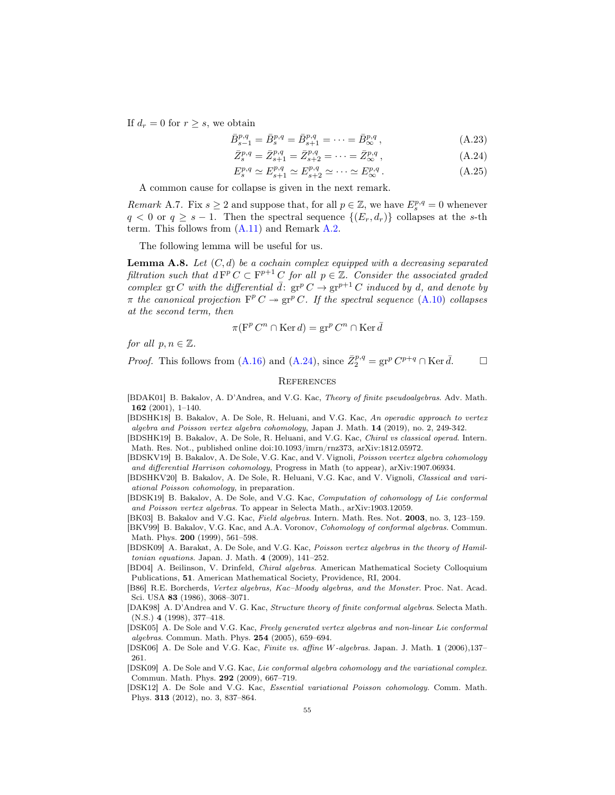If  $d_r = 0$  for  $r \geq s$ , we obtain

$$
\bar{B}^{p,q}_{s-1} = \bar{B}^{p,q}_{s} = \bar{B}^{p,q}_{s+1} = \dots = \bar{B}^{p,q}_{\infty}, \tag{A.23}
$$

$$
\bar{Z}_{s}^{p,q} = \bar{Z}_{s+1}^{p,q} = \bar{Z}_{s+2}^{p,q} = \dots = \bar{Z}_{\infty}^{p,q},\tag{A.24}
$$

<span id="page-54-19"></span>
$$
E_s^{p,q} \simeq E_{s+1}^{p,q} \simeq E_{s+2}^{p,q} \simeq \cdots \simeq E_{\infty}^{p,q}.
$$
 (A.25)

A common cause for collapse is given in the next remark.

<span id="page-54-15"></span>*Remark* A.7. Fix  $s \geq 2$  and suppose that, for all  $p \in \mathbb{Z}$ , we have  $E_s^{p,q} = 0$  whenever  $q < 0$  or  $q \geq s - 1$ . Then the spectral sequence  $\{(E_r, d_r)\}\)$  collapses at the s-th term. This follows from [\(A.11\)](#page-51-4) and Remark [A.2.](#page-51-5)

The following lemma will be useful for us.

<span id="page-54-16"></span>**Lemma A.8.** Let  $(C, d)$  be a cochain complex equipped with a decreasing separated filtration such that  $dF^p C \subset F^{p+1} C$  for all  $p \in \mathbb{Z}$ . Consider the associated graded complex gr C with the differential  $\bar{d}$ :  $gr^p C \rightarrow gr^{p+1} C$  induced by d, and denote by  $\pi$  the canonical projection  $F^p C \twoheadrightarrow \text{gr}^p C$ . If the spectral sequence [\(A.10\)](#page-51-6) collapses at the second term, then

$$
\pi(\mathbf{F}^p C^n \cap \text{Ker } d) = \operatorname{gr}^p C^n \cap \text{Ker } \overline{d}
$$

for all  $p, n \in \mathbb{Z}$ .

*Proof.* This follows from [\(A.16\)](#page-52-4) and [\(A.24\)](#page-54-19), since  $\bar{Z}_2^{p,q} = \text{gr}^p C^{p+q} \cap \text{Ker } \bar{d}$ .

## <span id="page-54-0"></span>**REFERENCES**

<span id="page-54-9"></span>[BDAK01] B. Bakalov, A. D'Andrea, and V.G. Kac, Theory of finite pseudoalgebras. Adv. Math. 162 (2001), 1–140.

<span id="page-54-1"></span>[BDSHK18] B. Bakalov, A. De Sole, R. Heluani, and V.G. Kac, An operadic approach to vertex algebra and Poisson vertex algebra cohomology, Japan J. Math. 14 (2019), no. 2, 249-342.

<span id="page-54-2"></span>[BDSHK19] B. Bakalov, A. De Sole, R. Heluani, and V.G. Kac, Chiral vs classical operad. Intern. Math. Res. Not., published online doi:10.1093/imrn/rnz373, arXiv:1812.05972.

<span id="page-54-4"></span>[BDSKV19] B. Bakalov, A. De Sole, V.G. Kac, and V. Vignoli, Poisson veertex algebra cohomology and differential Harrison cohomology, Progress in Math (to appear), arXiv:1907.06934.

<span id="page-54-5"></span>[BDSHKV20] B. Bakalov, A. De Sole, R. Heluani, V.G. Kac, and V. Vignoli, Classical and variational Poisson cohomology, in preparation.

<span id="page-54-3"></span>[BDSK19] B. Bakalov, A. De Sole, and V.G. Kac, Computation of cohomology of Lie conformal and Poisson vertex algebras. To appear in Selecta Math., arXiv:1903.12059.

<span id="page-54-7"></span>[BK03] B. Bakalov and V.G. Kac, Field algebras. Intern. Math. Res. Not. 2003, no. 3, 123–159.

<span id="page-54-8"></span>[BKV99] B. Bakalov, V.G. Kac, and A.A. Voronov, Cohomology of conformal algebras. Commun. Math. Phys. 200 (1999), 561–598.

<span id="page-54-17"></span>[BDSK09] A. Barakat, A. De Sole, and V.G. Kac, Poisson vertex algebras in the theory of Hamiltonian equations. Japan. J. Math. 4 (2009), 141–252.

<span id="page-54-11"></span>[BD04] A. Beilinson, V. Drinfeld, Chiral algebras. American Mathematical Society Colloquium Publications, 51. American Mathematical Society, Providence, RI, 2004.

<span id="page-54-6"></span>[B86] R.E. Borcherds, Vertex algebras, Kac–Moody algebras, and the Monster. Proc. Nat. Acad. Sci. USA 83 (1986), 3068–3071.

<span id="page-54-13"></span>[DAK98] A. D'Andrea and V. G. Kac, Structure theory of finite conformal algebras. Selecta Math. (N.S.) 4 (1998), 377–418.

<span id="page-54-12"></span>[DSK05] A. De Sole and V.G. Kac, Freely generated vertex algebras and non-linear Lie conformal algebras. Commun. Math. Phys. 254 (2005), 659–694.

<span id="page-54-14"></span>[DSK06] A. De Sole and V.G. Kac, Finite vs. affine W-algebras. Japan. J. Math. 1 (2006),137– 261.

<span id="page-54-10"></span>[DSK09] A. De Sole and V.G. Kac, Lie conformal algebra cohomology and the variational complex. Commun. Math. Phys. 292 (2009), 667–719.

<span id="page-54-18"></span>[DSK12] A. De Sole and V.G. Kac, Essential variational Poisson cohomology. Comm. Math. Phys. 313 (2012), no. 3, 837–864.